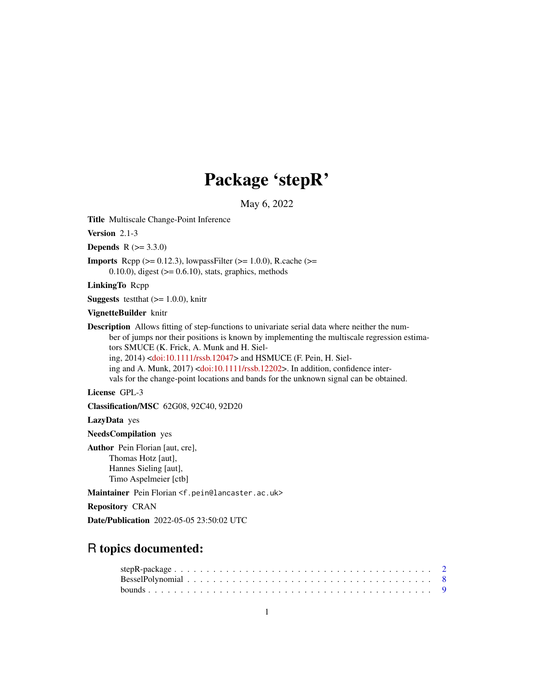# Package 'stepR'

May 6, 2022

<span id="page-0-0"></span>Title Multiscale Change-Point Inference

Version 2.1-3

**Depends** R  $(>= 3.3.0)$ 

**Imports** Rcpp  $(>= 0.12.3)$ , lowpassFilter  $(>= 1.0.0)$ , R.cache  $(>=$  $(0.10.0)$ , digest ( $>= 0.6.10$ ), stats, graphics, methods

LinkingTo Rcpp

**Suggests** test that  $(>= 1.0.0)$ , knitr

VignetteBuilder knitr

Description Allows fitting of step-functions to univariate serial data where neither the number of jumps nor their positions is known by implementing the multiscale regression estimators SMUCE (K. Frick, A. Munk and H. Sieling, 2014) [<doi:10.1111/rssb.12047>](https://doi.org/10.1111/rssb.12047) and HSMUCE (F. Pein, H. Siel-ing and A. Munk, 2017) [<doi:10.1111/rssb.12202>](https://doi.org/10.1111/rssb.12202). In addition, confidence intervals for the change-point locations and bands for the unknown signal can be obtained.

License GPL-3

Classification/MSC 62G08, 92C40, 92D20

LazyData yes

NeedsCompilation yes

Author Pein Florian [aut, cre], Thomas Hotz [aut], Hannes Sieling [aut], Timo Aspelmeier [ctb]

Maintainer Pein Florian <f.pein@lancaster.ac.uk>

Repository CRAN

Date/Publication 2022-05-05 23:50:02 UTC

# R topics documented: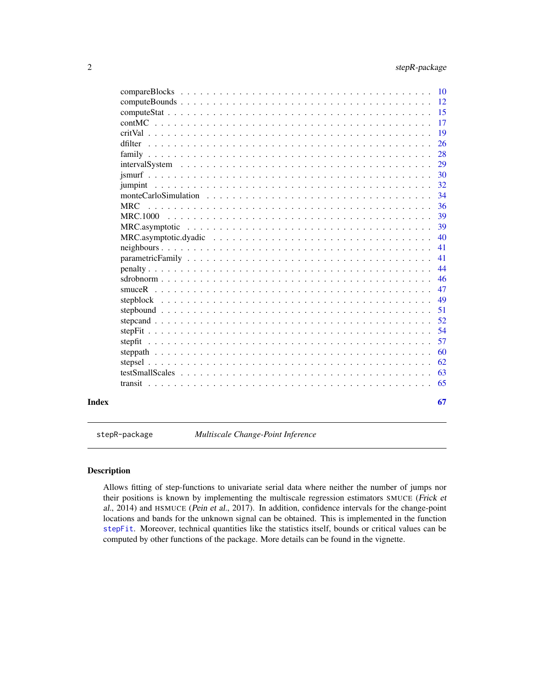<span id="page-1-0"></span>

|                                                                                                                          |  |  |  | -12 |
|--------------------------------------------------------------------------------------------------------------------------|--|--|--|-----|
|                                                                                                                          |  |  |  | -15 |
|                                                                                                                          |  |  |  | 17  |
|                                                                                                                          |  |  |  | 19  |
| dfilter                                                                                                                  |  |  |  | 26  |
|                                                                                                                          |  |  |  | 28  |
|                                                                                                                          |  |  |  | 29  |
|                                                                                                                          |  |  |  | 30  |
|                                                                                                                          |  |  |  | 32  |
| monte Carlo Simulation $\dots \dots \dots \dots \dots \dots \dots \dots \dots \dots \dots \dots \dots \dots \dots \dots$ |  |  |  | 34  |
| <b>MRC</b>                                                                                                               |  |  |  | 36  |
|                                                                                                                          |  |  |  | 39  |
|                                                                                                                          |  |  |  | 39  |
|                                                                                                                          |  |  |  | 40  |
|                                                                                                                          |  |  |  | 41  |
|                                                                                                                          |  |  |  | 41  |
|                                                                                                                          |  |  |  | 44  |
|                                                                                                                          |  |  |  | 46  |
|                                                                                                                          |  |  |  | 47  |
|                                                                                                                          |  |  |  | 49  |
|                                                                                                                          |  |  |  | 51  |
|                                                                                                                          |  |  |  | 52  |
|                                                                                                                          |  |  |  | 54  |
|                                                                                                                          |  |  |  | 57  |
|                                                                                                                          |  |  |  | 60  |
|                                                                                                                          |  |  |  | 62  |
|                                                                                                                          |  |  |  | 63  |
|                                                                                                                          |  |  |  | 65  |
| Index                                                                                                                    |  |  |  | 67  |

stepR-package *Multiscale Change-Point Inference*

# Description

Allows fitting of step-functions to univariate serial data where neither the number of jumps nor their positions is known by implementing the multiscale regression estimators SMUCE (Frick et al., 2014) and HSMUCE (Pein et al., 2017). In addition, confidence intervals for the change-point locations and bands for the unknown signal can be obtained. This is implemented in the function [stepFit](#page-53-1). Moreover, technical quantities like the statistics itself, bounds or critical values can be computed by other functions of the package. More details can be found in the vignette.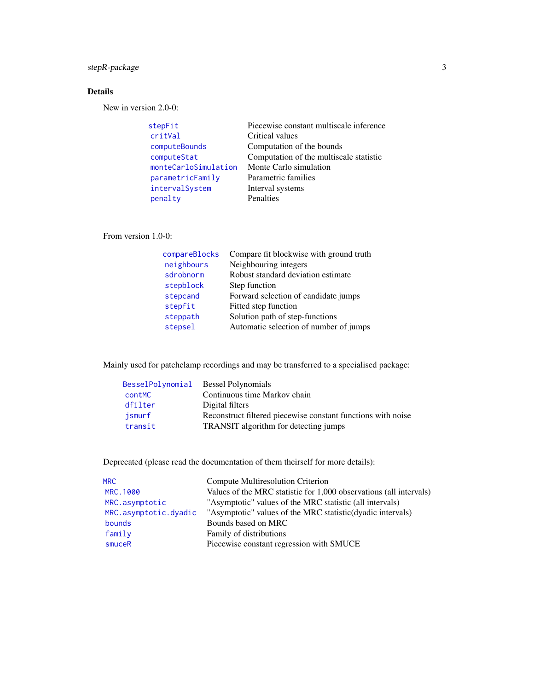# <span id="page-2-0"></span>stepR-package 3

# Details

New in version 2.0-0:

| stepFit              | Piecewise constant multiscale inference |
|----------------------|-----------------------------------------|
| critVal              | Critical values                         |
| computeBounds        | Computation of the bounds               |
| computeStat          | Computation of the multiscale statistic |
| monteCarloSimulation | Monte Carlo simulation                  |
| parametricFamily     | Parametric families                     |
| intervalSystem       | Interval systems                        |
| penalty              | Penalties                               |

From version 1.0-0:

| compareBlocks | Compare fit blockwise with ground truth |
|---------------|-----------------------------------------|
| neighbours    | Neighbouring integers                   |
| sdrobnorm     | Robust standard deviation estimate      |
| stepblock     | Step function                           |
| stepcand      | Forward selection of candidate jumps    |
| stepfit       | Fitted step function                    |
| steppath      | Solution path of step-functions         |
| stepsel       | Automatic selection of number of jumps  |

Mainly used for patchclamp recordings and may be transferred to a specialised package:

| BesselPolynomial | <b>Bessel Polynomials</b>                                    |
|------------------|--------------------------------------------------------------|
| <b>contMC</b>    | Continuous time Markov chain                                 |
| dfilter          | Digital filters                                              |
| ismurf           | Reconstruct filtered piecewise constant functions with noise |
| transit          | TRANSIT algorithm for detecting jumps                        |

Deprecated (please read the documentation of them theirself for more details):

| <b>MRC</b>            | Compute Multiresolution Criterion                                  |
|-----------------------|--------------------------------------------------------------------|
| MRC.1000              | Values of the MRC statistic for 1,000 observations (all intervals) |
| MRC.asymptotic        | "Asymptotic" values of the MRC statistic (all intervals)           |
| MRC.asymptotic.dyadic | "Asymptotic" values of the MRC statistic(dyadic intervals)         |
| bounds                | Bounds based on MRC                                                |
| family                | Family of distributions                                            |
| smuceR                | Piecewise constant regression with SMUCE                           |
|                       |                                                                    |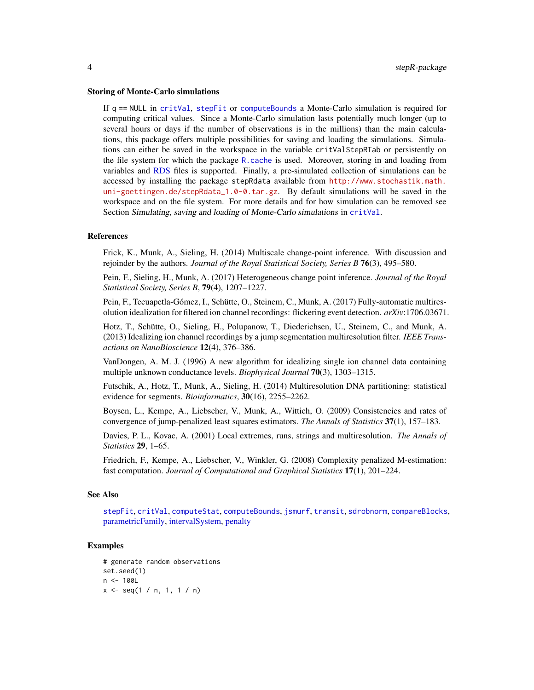#### <span id="page-3-0"></span>Storing of Monte-Carlo simulations

If q == NULL in [critVal](#page-18-1), [stepFit](#page-53-1) or [computeBounds](#page-11-1) a Monte-Carlo simulation is required for computing critical values. Since a Monte-Carlo simulation lasts potentially much longer (up to several hours or days if the number of observations is in the millions) than the main calculations, this package offers multiple possibilities for saving and loading the simulations. Simulations can either be saved in the workspace in the variable critValStepRTab or persistently on the file system for which the package [R.cache](#page-0-0) is used. Moreover, storing in and loading from variables and [RDS](#page-0-0) files is supported. Finally, a pre-simulated collection of simulations can be accessed by installing the package stepRdata available from [http://www.stochastik.math.](http://www.stochastik.math.uni-goettingen.de/stepRdata_1.0-0.tar.gz) [uni-goettingen.de/stepRdata\\_1.0-0.tar.gz](http://www.stochastik.math.uni-goettingen.de/stepRdata_1.0-0.tar.gz). By default simulations will be saved in the workspace and on the file system. For more details and for how simulation can be removed see Section Simulating, saving and loading of Monte-Carlo simulations in [critVal](#page-18-1).

#### References

Frick, K., Munk, A., Sieling, H. (2014) Multiscale change-point inference. With discussion and rejoinder by the authors. *Journal of the Royal Statistical Society, Series B* 76(3), 495–580.

Pein, F., Sieling, H., Munk, A. (2017) Heterogeneous change point inference. *Journal of the Royal Statistical Society, Series B*, 79(4), 1207–1227.

Pein, F., Tecuapetla-Gómez, I., Schütte, O., Steinem, C., Munk, A. (2017) Fully-automatic multiresolution idealization for filtered ion channel recordings: flickering event detection. *arXiv*:1706.03671.

Hotz, T., Schütte, O., Sieling, H., Polupanow, T., Diederichsen, U., Steinem, C., and Munk, A. (2013) Idealizing ion channel recordings by a jump segmentation multiresolution filter. *IEEE Transactions on NanoBioscience* 12(4), 376–386.

VanDongen, A. M. J. (1996) A new algorithm for idealizing single ion channel data containing multiple unknown conductance levels. *Biophysical Journal* 70(3), 1303–1315.

Futschik, A., Hotz, T., Munk, A., Sieling, H. (2014) Multiresolution DNA partitioning: statistical evidence for segments. *Bioinformatics*, 30(16), 2255–2262.

Boysen, L., Kempe, A., Liebscher, V., Munk, A., Wittich, O. (2009) Consistencies and rates of convergence of jump-penalized least squares estimators. *The Annals of Statistics* 37(1), 157–183.

Davies, P. L., Kovac, A. (2001) Local extremes, runs, strings and multiresolution. *The Annals of Statistics* 29, 1–65.

Friedrich, F., Kempe, A., Liebscher, V., Winkler, G. (2008) Complexity penalized M-estimation: fast computation. *Journal of Computational and Graphical Statistics* 17(1), 201–224.

#### See Also

[stepFit](#page-53-1), [critVal](#page-18-1), [computeStat](#page-14-1), [computeBounds](#page-11-1), [jsmurf](#page-29-1), [transit](#page-64-1), [sdrobnorm](#page-45-1), [compareBlocks](#page-9-1), [parametricFamily,](#page-40-1) [intervalSystem,](#page-28-1) [penalty](#page-43-1)

```
# generate random observations
set.seed(1)
n < - 100Lx \leq -\text{seq}(1 / n, 1, 1 / n)
```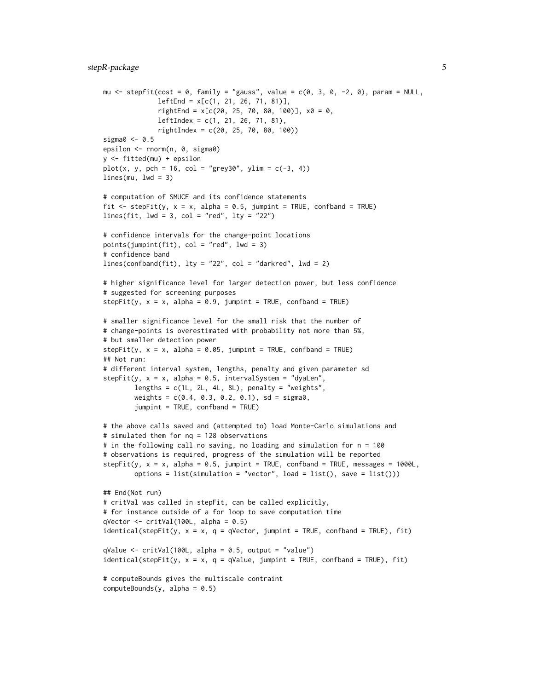```
mu \le stepfit(cost = 0, family = "gauss", value = c(0, 3, 0, -2, 0), param = NULL,
              leftEnd = x[c(1, 21, 26, 71, 81)],rightEnd = x[c(20, 25, 70, 80, 100)], x0 = 0,leftIndex = c(1, 21, 26, 71, 81),rightIndex = c(20, 25, 70, 80, 100))sigma0 < -0.5epsilon <- rnorm(n, 0, sigma0)
y <- fitted(mu) + epsilon
plot(x, y, pch = 16, col = "grey30", ylim = c(-3, 4))lines(mu, lwd = 3)# computation of SMUCE and its confidence statements
fit \le stepFit(y, x = x, alpha = 0.5, jumpint = TRUE, confband = TRUE)
lines(fit, lwd = 3, col = "red", lty = "22")# confidence intervals for the change-point locations
points(jumpint(fit), col = "red", lwd = 3)
# confidence band
lines(confband(fit), lty = "22", col = "darkred", lw = 2)# higher significance level for larger detection power, but less confidence
# suggested for screening purposes
stepFit(y, x = x, alpha = 0.9, jumpint = TRUE, confband = TRUE)# smaller significance level for the small risk that the number of
# change-points is overestimated with probability not more than 5%,
# but smaller detection power
stepFit(y, x = x, alpha = 0.05, jumpint = TRUE, confband = TRUE)
## Not run:
# different interval system, lengths, penalty and given parameter sd
stepFit(y, x = x, alpha = 0.5, intervalSystem = "dyaLen",
        lengths = c(1L, 2L, 4L, 8L), penalty = "weights",
        weights = c(0.4, 0.3, 0.2, 0.1), sd = sigma0,
        jumpint = TRUE, confband = TRUE)
# the above calls saved and (attempted to) load Monte-Carlo simulations and
# simulated them for nq = 128 observations
# in the following call no saving, no loading and simulation for n = 100
# observations is required, progress of the simulation will be reported
stepFit(y, x = x, alpha = 0.5, jumpint = TRUE, confband = TRUE, messages = 1000L,
        options = list(simulation = "vector", load = list(), save = list()))
## End(Not run)
# critVal was called in stepFit, can be called explicitly,
# for instance outside of a for loop to save computation time
qVector \le critVal(100L, alpha = 0.5)
identical(stepFit(y, x = x, q = qVector, jumpint = TRUE, confband = TRUE), fit)qValue \leq -critVal(100L, alpha = 0.5, output = "value")identical(stepFit(y, x = x, q = qValue, jumpint = TRUE, confband = TRUE), fit)# computeBounds gives the multiscale contraint
computeBounds(y, alpha = 0.5)
```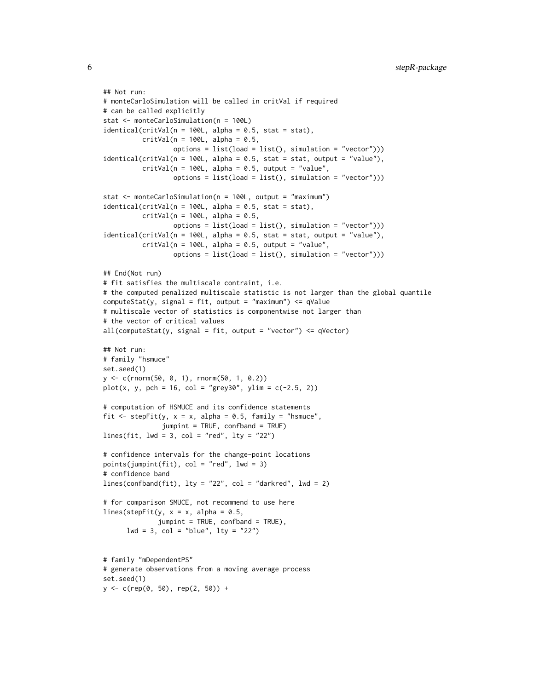```
## Not run:
# monteCarloSimulation will be called in critVal if required
# can be called explicitly
stat <- monteCarloSimulation(n = 100L)
identical(critVal(n = 100L, alpha = 0.5, stat = stat),critVal(n = 100L, alpha = 0.5,options = list(load = list(), simulation = "vector")))
identical(critVal(n = 100L, alpha = 0.5, stat = stat, output = "value"),
          critVal(n = 100L, alpha = 0.5, output = "value",options = list(load = list(), simulation = "vector"))stat <- monteCarloSimulation(n = 100L, output = "maximum")
identical(critVal(n = 100L, alpha = 0.5, stat = stat),critVal(n = 100L, alpha = 0.5,options = list(load = list(), simulation = "vector")))
identical(critVal(n = 100L, alpha = 0.5, stat = stat, output = "value"),critVal(n = 100L, alpha = 0.5, output = "value",options = list(load = list(), simulation = "vector")))
## End(Not run)
# fit satisfies the multiscale contraint, i.e.
# the computed penalized multiscale statistic is not larger than the global quantile
computeStat(y, signal = fit, output = "maximum") \leq qValue# multiscale vector of statistics is componentwise not larger than
# the vector of critical values
all(computeStat(y, signal = fit, output = "vector") \leq qVector)
## Not run:
# family "hsmuce"
set.seed(1)
y <- c(rnorm(50, 0, 1), rnorm(50, 1, 0.2))
plot(x, y, pch = 16, col = "grey30", ylim = c(-2.5, 2))# computation of HSMUCE and its confidence statements
fit \le stepFit(y, x = x, alpha = 0.5, family = "hsmuce",
               jumpint = TRUE, confband = TRUE)
lines(fit, lwd = 3, col = "red", lty = "22")# confidence intervals for the change-point locations
points(jumpint(fit), col = "red", lwd = 3)
# confidence band
lines(confband(fit), lty = "22", col = "darkred", lwd = 2)
# for comparison SMUCE, not recommend to use here
lines(stepFit(y, x = x, alpha = 0.5,
              jumpint = TRUE, confband = TRUE),
      1wd = 3, col = "blue", 1ty = "22")# family "mDependentPS"
# generate observations from a moving average process
set.seed(1)
```
 $y \leq -c$ (rep(0, 50), rep(2, 50)) +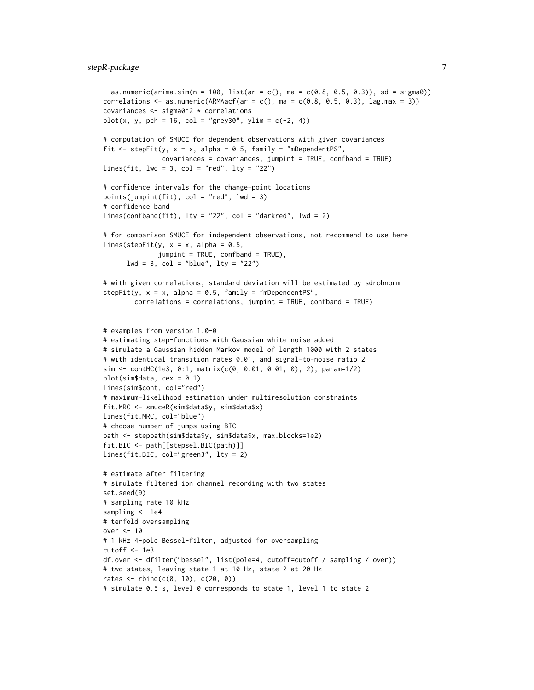# stepR-package 7

```
as.numeric(arima.sim(n = 100, list(ar = c(), ma = c(0.8, 0.5, 0.3)), sd = sigma0))
correlations \leq as.numeric(ARMAacf(ar = c(), ma = c(0.8, 0.5, 0.3), lag.max = 3))
covariances <- sigma0^2 * correlations
plot(x, y, pch = 16, col = "grey30", ylim = c(-2, 4))# computation of SMUCE for dependent observations with given covariances
fit \le stepFit(y, x = x, alpha = 0.5, family = "mDependentPS",
               covariances = covariances, jumpint = TRUE, confband = TRUE)lines(fit, lwd = 3, col = "red", lty = "22")# confidence intervals for the change-point locations
points(jumpint(fit), col = "red", lwd = 3)
# confidence band
lines(confband(fit), lty = "22", col = "darkred", lwd = 2)
# for comparison SMUCE for independent observations, not recommend to use here
lines(stepFit(y, x = x, alpha = 0.5,
              jumpint = TRUE, confband = TRUE),
      1wd = 3, col = "blue", 1ty = "22")# with given correlations, standard deviation will be estimated by sdrobnorm
stepFit(y, x = x, alpha = 0.5, family = "mDependentPS",
        correlations = correlations, jumpint = TRUE, confband = TRUE)
# examples from version 1.0-0
# estimating step-functions with Gaussian white noise added
# simulate a Gaussian hidden Markov model of length 1000 with 2 states
# with identical transition rates 0.01, and signal-to-noise ratio 2
sim <- contMC(1e3, 0:1, matrix(c(0, 0.01, 0.01, 0), 2), param=1/2)
plot(sim$data, cex = 0.1)lines(sim$cont, col="red")
# maximum-likelihood estimation under multiresolution constraints
fit.MRC <- smuceR(sim$data$y, sim$data$x)
lines(fit.MRC, col="blue")
# choose number of jumps using BIC
path <- steppath(sim$data$y, sim$data$x, max.blocks=1e2)
fit.BIC <- path[[stepsel.BIC(path)]]
lines(fit.BIC, col="green3", lty = 2)
# estimate after filtering
# simulate filtered ion channel recording with two states
set.seed(9)
# sampling rate 10 kHz
sampling <- 1e4
# tenfold oversampling
over <- 10
# 1 kHz 4-pole Bessel-filter, adjusted for oversampling
cutoff < -1e3df.over <- dfilter("bessel", list(pole=4, cutoff=cutoff / sampling / over))
# two states, leaving state 1 at 10 Hz, state 2 at 20 Hz
rates \le rbind(c(0, 10), c(20, 0))
# simulate 0.5 s, level 0 corresponds to state 1, level 1 to state 2
```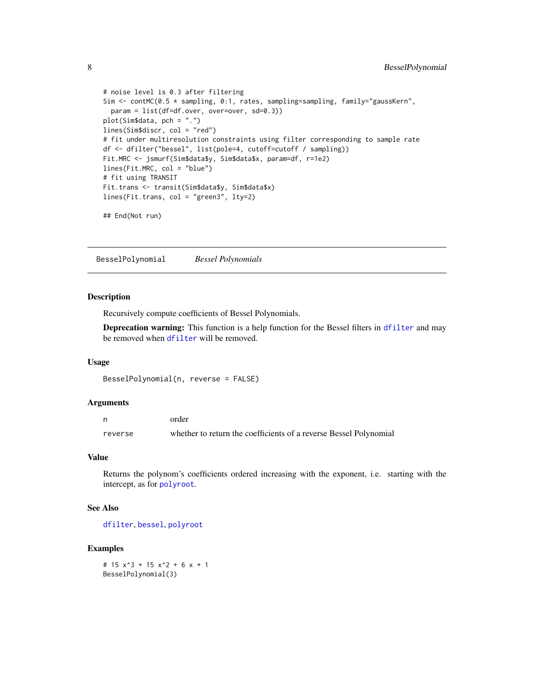```
# noise level is 0.3 after filtering
Sim <- contMC(0.5 * sampling, 0:1, rates, sampling=sampling, family="gaussKern",
  param = list(df=df.over, over=over, sd=0.3))
plot(Sim$data, pch = ".")
lines(Sim$discr, col = "red")
# fit under multiresolution constraints using filter corresponding to sample rate
df <- dfilter("bessel", list(pole=4, cutoff=cutoff / sampling))
Fit.MRC <- jsmurf(Sim$data$y, Sim$data$x, param=df, r=1e2)
lines(Fit.MRC, col = "blue")
# fit using TRANSIT
Fit.trans <- transit(Sim$data$y, Sim$data$x)
lines(Fit.trans, col = "green3", lty=2)
```
## End(Not run)

<span id="page-7-1"></span>BesselPolynomial *Bessel Polynomials*

# Description

Recursively compute coefficients of Bessel Polynomials.

Deprecation warning: This function is a help function for the Bessel filters in [dfilter](#page-25-1) and may be removed when [dfilter](#page-25-1) will be removed.

#### Usage

```
BesselPolynomial(n, reverse = FALSE)
```
#### Arguments

|         | order                                                             |
|---------|-------------------------------------------------------------------|
| reverse | whether to return the coefficients of a reverse Bessel Polynomial |

#### Value

Returns the polynom's coefficients ordered increasing with the exponent, i.e. starting with the intercept, as for [polyroot](#page-0-0).

#### See Also

[dfilter](#page-25-1), [bessel](#page-0-0), [polyroot](#page-0-0)

#### Examples

# 15 x^3 + 15 x^2 + 6 x + 1 BesselPolynomial(3)

<span id="page-7-0"></span>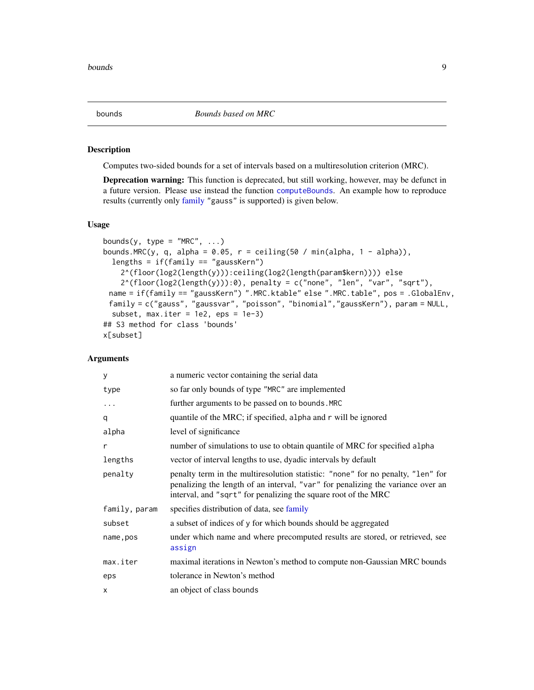#### <span id="page-8-1"></span><span id="page-8-0"></span>Description

Computes two-sided bounds for a set of intervals based on a multiresolution criterion (MRC).

Deprecation warning: This function is deprecated, but still working, however, may be defunct in a future version. Please use instead the function [computeBounds](#page-11-1). An example how to reproduce results (currently only [family](#page-27-1) "gauss" is supported) is given below.

#### Usage

```
bounds(y, type = "MRC", \dots)
bounds.MRC(y, q, alpha = 0.05, r = ceiling(50 / min(alpha, 1 - alpha)),
  lengths = if(family == "gaussKern")2^(floor(log2(length(y))):ceiling(log2(length(param$kern)))) else
    2^{(floor(\log 2(\text{length}(y))):\emptyset)}, penalty = c("none", "len", "var", "sqrt"),
 name = if(family == "gaussKern") ".MRC.ktable" else ".MRC.table", pos = .GlobalEnv,
 family = c("gauss", "gaussvar", "poisson", "binomial","gaussKern"), param = NULL,
  subset, max.iter = 1e^2, eps = 1e-3)
## S3 method for class 'bounds'
x[subset]
```
# Arguments

| у             | a numeric vector containing the serial data                                                                                                                                                                                          |
|---------------|--------------------------------------------------------------------------------------------------------------------------------------------------------------------------------------------------------------------------------------|
| type          | so far only bounds of type "MRC" are implemented                                                                                                                                                                                     |
| $\cdots$      | further arguments to be passed on to bounds. MRC                                                                                                                                                                                     |
| q             | quantile of the MRC; if specified, alpha and r will be ignored                                                                                                                                                                       |
| alpha         | level of significance                                                                                                                                                                                                                |
| r             | number of simulations to use to obtain quantile of MRC for specified alpha                                                                                                                                                           |
| lengths       | vector of interval lengths to use, dyadic intervals by default                                                                                                                                                                       |
| penalty       | penalty term in the multiresolution statistic: "none" for no penalty, "len" for<br>penalizing the length of an interval, "var" for penalizing the variance over an<br>interval, and "sqrt" for penalizing the square root of the MRC |
| family, param | specifies distribution of data, see family                                                                                                                                                                                           |
| subset        | a subset of indices of y for which bounds should be aggregated                                                                                                                                                                       |
| name, pos     | under which name and where precomputed results are stored, or retrieved, see<br>assign                                                                                                                                               |
| max.iter      | maximal iterations in Newton's method to compute non-Gaussian MRC bounds                                                                                                                                                             |
| eps           | tolerance in Newton's method                                                                                                                                                                                                         |
| X             | an object of class bounds                                                                                                                                                                                                            |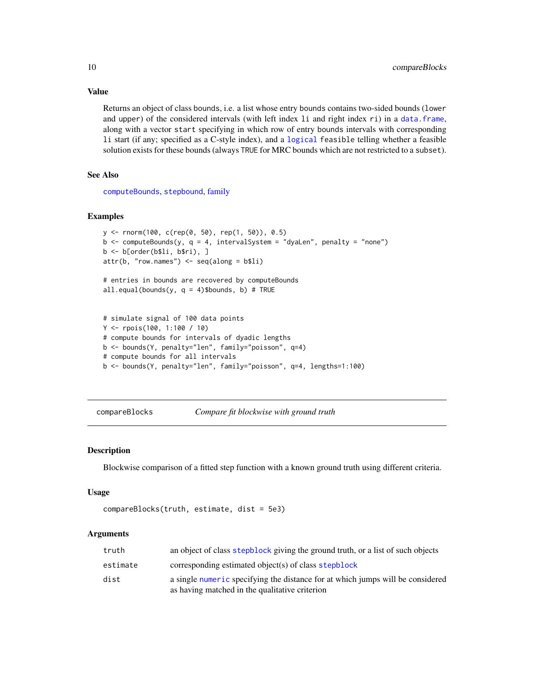Returns an object of class bounds, i.e. a list whose entry bounds contains two-sided bounds (lower and upper) of the considered intervals (with left index 1 i and right index ri) in a [data.frame](#page-0-0), along with a vector start specifying in which row of entry bounds intervals with corresponding li start (if any; specified as a C-style index), and a [logical](#page-0-0) feasible telling whether a feasible

solution exists for these bounds (always TRUE for MRC bounds which are not restricted to a subset).

See Also

[computeBounds](#page-11-1), [stepbound](#page-50-1), [family](#page-27-1)

#### Examples

```
y <- rnorm(100, c(rep(0, 50), rep(1, 50)), 0.5)
b \leq computeBounds(y, q = 4, intervalSystem = "dyaLen", penalty = "none")
b <- b[order(b$li, b$ri), ]
attr(b, "row.names") \leq seq(along = b$li)# entries in bounds are recovered by computeBounds
all.equal(bounds(y, q = 4)$bounds, b) # TRUE
```

```
# simulate signal of 100 data points
Y <- rpois(100, 1:100 / 10)
# compute bounds for intervals of dyadic lengths
b <- bounds(Y, penalty="len", family="poisson", q=4)
# compute bounds for all intervals
b <- bounds(Y, penalty="len", family="poisson", q=4, lengths=1:100)
```
<span id="page-9-1"></span>compareBlocks *Compare fit blockwise with ground truth*

#### Description

Blockwise comparison of a fitted step function with a known ground truth using different criteria.

#### Usage

```
compareBlocks(truth, estimate, dist = 5e3)
```
#### Arguments

| truth    | an object of class stepblock giving the ground truth, or a list of such objects                                                  |
|----------|----------------------------------------------------------------------------------------------------------------------------------|
| estimate | corresponding estimated object(s) of class stepblock                                                                             |
| dist     | a single numeric specifying the distance for at which jumps will be considered<br>as having matched in the qualitative criterion |

<span id="page-9-0"></span>

# Value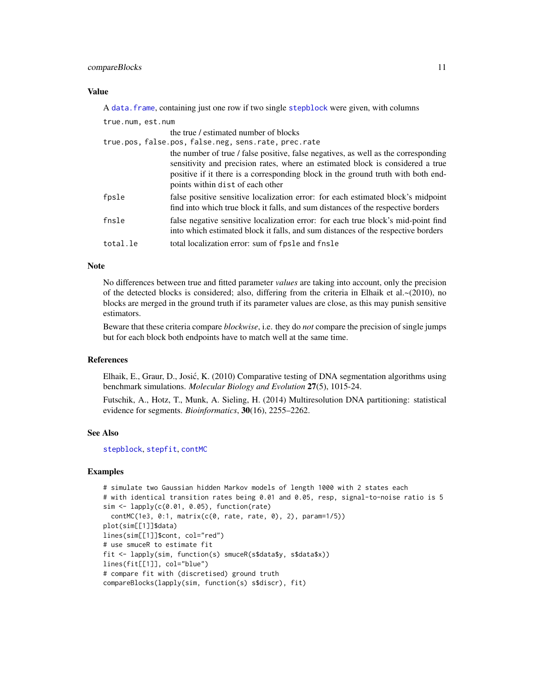# <span id="page-10-0"></span>compareBlocks 11

#### Value

A [data.frame](#page-0-0), containing just one row if two single [stepblock](#page-48-1) were given, with columns

| true.num, est.num |                                                                                                                                                                                                                                                                                              |
|-------------------|----------------------------------------------------------------------------------------------------------------------------------------------------------------------------------------------------------------------------------------------------------------------------------------------|
|                   | the true / estimated number of blocks                                                                                                                                                                                                                                                        |
|                   | true.pos, false.pos, false.neg, sens.rate, prec.rate                                                                                                                                                                                                                                         |
|                   | the number of true / false positive, false negatives, as well as the corresponding<br>sensitivity and precision rates, where an estimated block is considered a true<br>positive if it there is a corresponding block in the ground truth with both end-<br>points within dist of each other |
| fpsle             | false positive sensitive localization error: for each estimated block's midpoint<br>find into which true block it falls, and sum distances of the respective borders                                                                                                                         |
| fnsle             | false negative sensitive localization error: for each true block's mid-point find<br>into which estimated block it falls, and sum distances of the respective borders                                                                                                                        |
| total.le          | total localization error: sum of fpsle and fnsle                                                                                                                                                                                                                                             |

#### Note

No differences between true and fitted parameter *values* are taking into account, only the precision of the detected blocks is considered; also, differing from the criteria in Elhaik et al. $\sim$ (2010), no blocks are merged in the ground truth if its parameter values are close, as this may punish sensitive estimators.

Beware that these criteria compare *blockwise*, i.e. they do *not* compare the precision of single jumps but for each block both endpoints have to match well at the same time.

# References

Elhaik, E., Graur, D., Josic, K. (2010) Comparative testing of DNA segmentation algorithms using ´ benchmark simulations. *Molecular Biology and Evolution* 27(5), 1015-24.

Futschik, A., Hotz, T., Munk, A. Sieling, H. (2014) Multiresolution DNA partitioning: statistical evidence for segments. *Bioinformatics*, 30(16), 2255–2262.

#### See Also

[stepblock](#page-48-1), [stepfit](#page-56-1), [contMC](#page-16-1)

```
# simulate two Gaussian hidden Markov models of length 1000 with 2 states each
# with identical transition rates being 0.01 and 0.05, resp, signal-to-noise ratio is 5
sim <- lapply(c(0.01, 0.05), function(rate)
 contMC(1e3, 0:1, matrix(c(0, rate, rate, 0), 2), param=1/5))
plot(sim[[1]]$data)
lines(sim[[1]]$cont, col="red")
# use smuceR to estimate fit
fit <- lapply(sim, function(s) smuceR(s$data$y, s$data$x))
lines(fit[[1]], col="blue")
# compare fit with (discretised) ground truth
compareBlocks(lapply(sim, function(s) s$discr), fit)
```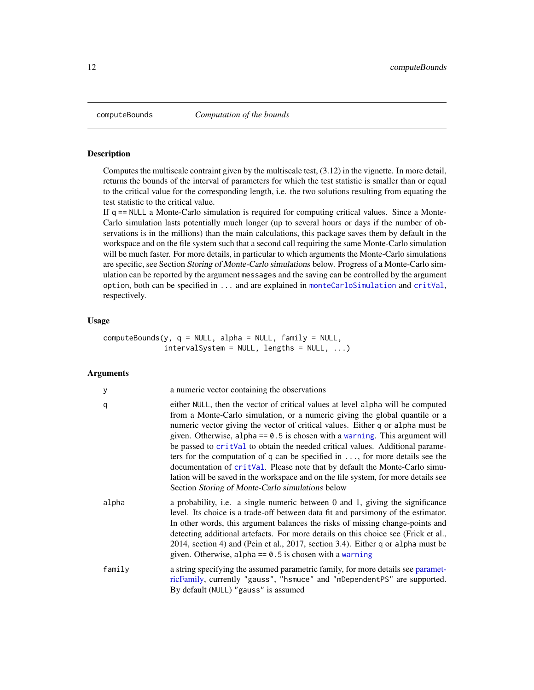<span id="page-11-1"></span><span id="page-11-0"></span>

# Description

Computes the multiscale contraint given by the multiscale test, (3.12) in the vignette. In more detail, returns the bounds of the interval of parameters for which the test statistic is smaller than or equal to the critical value for the corresponding length, i.e. the two solutions resulting from equating the test statistic to the critical value.

If  $q = = \text{NULL}$  a Monte-Carlo simulation is required for computing critical values. Since a Monte-Carlo simulation lasts potentially much longer (up to several hours or days if the number of observations is in the millions) than the main calculations, this package saves them by default in the workspace and on the file system such that a second call requiring the same Monte-Carlo simulation will be much faster. For more details, in particular to which arguments the Monte-Carlo simulations are specific, see Section Storing of Monte-Carlo simulations below. Progress of a Monte-Carlo simulation can be reported by the argument messages and the saving can be controlled by the argument option, both can be specified in ... and are explained in [monteCarloSimulation](#page-33-1) and [critVal](#page-18-1), respectively.

# Usage

| $\mathsf{computeBounds}(y, q = \mathsf{NULL}, \mathsf{alpha} = \mathsf{NULL}, \mathsf{family} = \mathsf{NULL},$ |                                           |  |  |
|-----------------------------------------------------------------------------------------------------------------|-------------------------------------------|--|--|
|                                                                                                                 | $intervalSystem = NULL, lengths = NULL, $ |  |  |

# Arguments

| y      | a numeric vector containing the observations                                                                                                                                                                                                                                                                                                                                                                                                                                                                                                                                                                                                                                                                                        |
|--------|-------------------------------------------------------------------------------------------------------------------------------------------------------------------------------------------------------------------------------------------------------------------------------------------------------------------------------------------------------------------------------------------------------------------------------------------------------------------------------------------------------------------------------------------------------------------------------------------------------------------------------------------------------------------------------------------------------------------------------------|
| q      | either NULL, then the vector of critical values at level alpha will be computed<br>from a Monte-Carlo simulation, or a numeric giving the global quantile or a<br>numeric vector giving the vector of critical values. Either q or alpha must be<br>given. Otherwise, alpha $== 0.5$ is chosen with a warning. This argument will<br>be passed to critVal to obtain the needed critical values. Additional parame-<br>ters for the computation of q can be specified in $\dots$ , for more details see the<br>documentation of critVal. Please note that by default the Monte-Carlo simu-<br>lation will be saved in the workspace and on the file system, for more details see<br>Section Storing of Monte-Carlo simulations below |
| alpha  | a probability, i.e. a single numeric between 0 and 1, giving the significance<br>level. Its choice is a trade-off between data fit and parsimony of the estimator.<br>In other words, this argument balances the risks of missing change-points and<br>detecting additional artefacts. For more details on this choice see (Frick et al.,<br>2014, section 4) and (Pein et al., 2017, section 3.4). Either q or alpha must be<br>given. Otherwise, alpha == $0.5$ is chosen with a warning                                                                                                                                                                                                                                          |
| family | a string specifying the assumed parametric family, for more details see paramet-<br>ricFamily, currently "gauss", "hsmuce" and "mDependentPS" are supported.<br>By default (NULL) "gauss" is assumed                                                                                                                                                                                                                                                                                                                                                                                                                                                                                                                                |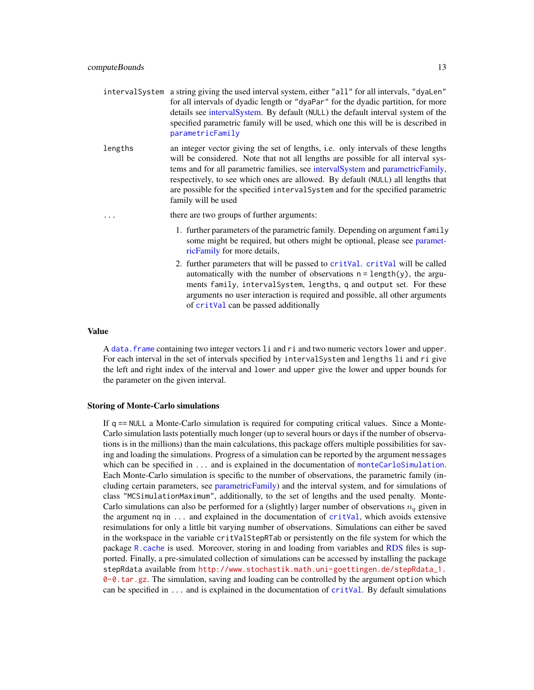- <span id="page-12-0"></span>intervalSystem a string giving the used interval system, either "all" for all intervals, "dyaLen" for all intervals of dyadic length or "dyaPar" for the dyadic partition, for more details see [intervalSystem.](#page-28-1) By default (NULL) the default interval system of the specified parametric family will be used, which one this will be is described in [parametricFamily](#page-40-1)
- lengths an integer vector giving the set of lengths, i.e. only intervals of these lengths will be considered. Note that not all lengths are possible for all interval systems and for all parametric families, see [intervalSystem](#page-28-1) and [parametricFamily,](#page-40-1) respectively, to see which ones are allowed. By default (NULL) all lengths that are possible for the specified intervalSystem and for the specified parametric family will be used

... there are two groups of further arguments:

- 1. further parameters of the parametric family. Depending on argument family some might be required, but others might be optional, please see [paramet](#page-40-1)[ricFamily](#page-40-1) for more details,
- 2. further parameters that will be passed to [critVal](#page-18-1). [critVal](#page-18-1) will be called automatically with the number of observations  $n = length(y)$ , the arguments family, intervalSystem, lengths, q and output set. For these arguments no user interaction is required and possible, all other arguments of [critVal](#page-18-1) can be passed additionally

#### Value

A [data.frame](#page-0-0) containing two integer vectors li and ri and two numeric vectors lower and upper. For each interval in the set of intervals specified by intervalSystem and lengths li and ri give the left and right index of the interval and lower and upper give the lower and upper bounds for the parameter on the given interval.

#### Storing of Monte-Carlo simulations

If q == NULL a Monte-Carlo simulation is required for computing critical values. Since a Monte-Carlo simulation lasts potentially much longer (up to several hours or days if the number of observations is in the millions) than the main calculations, this package offers multiple possibilities for saving and loading the simulations. Progress of a simulation can be reported by the argument messages which can be specified in ... and is explained in the documentation of [monteCarloSimulation](#page-33-1). Each Monte-Carlo simulation is specific to the number of observations, the parametric family (including certain parameters, see [parametricFamily\)](#page-40-1) and the interval system, and for simulations of class "MCSimulationMaximum", additionally, to the set of lengths and the used penalty. Monte-Carlo simulations can also be performed for a (slightly) larger number of observations  $n_q$  given in the argument  $nq$  in  $\dots$  and explained in the documentation of [critVal](#page-18-1), which avoids extensive resimulations for only a little bit varying number of observations. Simulations can either be saved in the workspace in the variable critValStepRTab or persistently on the file system for which the package [R.cache](#page-0-0) is used. Moreover, storing in and loading from variables and [RDS](#page-0-0) files is supported. Finally, a pre-simulated collection of simulations can be accessed by installing the package stepRdata available from [http://www.stochastik.math.uni-goettingen.de/stepRdata\\_1.](http://www.stochastik.math.uni-goettingen.de/stepRdata_1.0-0.tar.gz) [0-0.tar.gz](http://www.stochastik.math.uni-goettingen.de/stepRdata_1.0-0.tar.gz). The simulation, saving and loading can be controlled by the argument option which can be specified in  $\dots$  and is explained in the documentation of  $critVal$ . By default simulations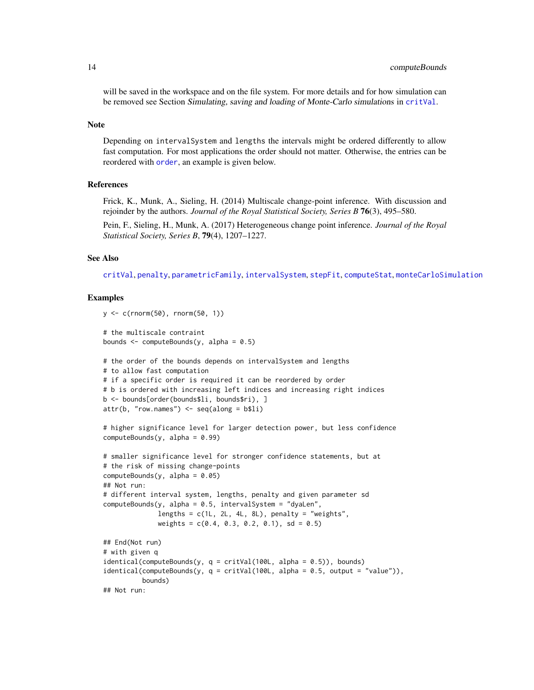# <span id="page-13-0"></span>14 computeBounds and the compute Bounds of the compute Bounds of the compute Bounds of the compute Bounds of the compute Bounds of the compute Bounds of the compute Bounds of the compute Bounds of the compute Bounds of the

will be saved in the workspace and on the file system. For more details and for how simulation can be removed see Section Simulating, saving and loading of Monte-Carlo simulations in [critVal](#page-18-1).

#### Note

Depending on intervalSystem and lengths the intervals might be ordered differently to allow fast computation. For most applications the order should not matter. Otherwise, the entries can be reordered with [order](#page-0-0), an example is given below.

#### References

Frick, K., Munk, A., Sieling, H. (2014) Multiscale change-point inference. With discussion and rejoinder by the authors. *Journal of the Royal Statistical Society, Series B* 76(3), 495–580.

Pein, F., Sieling, H., Munk, A. (2017) Heterogeneous change point inference. *Journal of the Royal Statistical Society, Series B*, 79(4), 1207–1227.

#### See Also

[critVal](#page-18-1), [penalty](#page-43-1), [parametricFamily](#page-40-1), [intervalSystem](#page-28-1), [stepFit](#page-53-1), [computeStat](#page-14-1), [monteCarloSimulation](#page-33-1)

```
y \le -c(rnorm(50), rnorm(50, 1))
# the multiscale contraint
bounds \leq computeBounds(y, alpha = 0.5)
# the order of the bounds depends on intervalSystem and lengths
# to allow fast computation
# if a specific order is required it can be reordered by order
# b is ordered with increasing left indices and increasing right indices
b <- bounds[order(bounds$li, bounds$ri), ]
attr(b, "row.names") \leftarrow seq(along = b$li)# higher significance level for larger detection power, but less confidence
computeBounds(y, alpha = 0.99)
# smaller significance level for stronger confidence statements, but at
# the risk of missing change-points
computeBounds(y, alpha = 0.05)
## Not run:
# different interval system, lengths, penalty and given parameter sd
computeBounds(y, alpha = 0.5, intervalSystem = "dyalen",lengths = c(1L, 2L, 4L, 8L), penalty = "weights",
              weights = c(0.4, 0.3, 0.2, 0.1), sd = 0.5)
## End(Not run)
# with given q
identical(computeBounds(y, q = critVal(100L, alpha = 0.5)), bounds)
identical(computeBounds(y, q = critVal(100L, alpha = 0.5, output = "value")),
          bounds)
## Not run:
```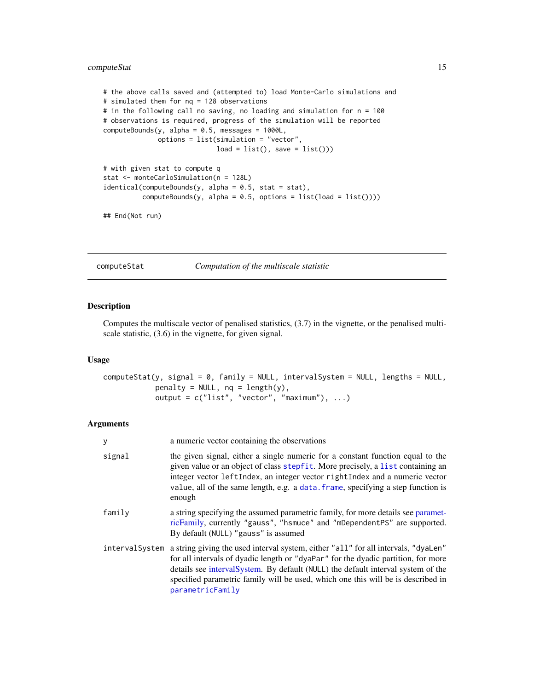# <span id="page-14-0"></span>computeStat 15

```
# the above calls saved and (attempted to) load Monte-Carlo simulations and
# simulated them for nq = 128 observations
# in the following call no saving, no loading and simulation for n = 100
# observations is required, progress of the simulation will be reported
computeBounds(y, alpha = 0.5, message = 1000L,options = list(simulation = "vector",
                            load = list(), save = list())# with given stat to compute q
stat <- monteCarloSimulation(n = 128L)
identical(computeBounds(y, alpha = 0.5, stat = stat),
```

```
computeBounds(y, alpha = 0.5, options = list(load = list()))
```
## End(Not run)

<span id="page-14-1"></span>computeStat *Computation of the multiscale statistic*

# Description

Computes the multiscale vector of penalised statistics, (3.7) in the vignette, or the penalised multiscale statistic, (3.6) in the vignette, for given signal.

# Usage

```
computeStat(y, signal = 0, family = NULL, intervalSystem = NULL, lengths = NULL,penalty = NULL, nq = length(y),output = c("list", "vector", "maximum"), ...)
```
# Arguments

| у      | a numeric vector containing the observations                                                                                                                                                                                                                                                                                                                                         |
|--------|--------------------------------------------------------------------------------------------------------------------------------------------------------------------------------------------------------------------------------------------------------------------------------------------------------------------------------------------------------------------------------------|
| signal | the given signal, either a single numeric for a constant function equal to the<br>given value or an object of class stepfit. More precisely, a list containing an<br>integer vector leftIndex, an integer vector rightIndex and a numeric vector<br>value, all of the same length, e.g. a data. frame, specifying a step function is<br>enough                                       |
| family | a string specifying the assumed parametric family, for more details see paramet-<br>ricFamily, currently "gauss", "hsmuce" and "mDependentPS" are supported.<br>By default (NULL) "gauss" is assumed                                                                                                                                                                                 |
|        | interval System a string giving the used interval system, either "all" for all intervals, "dyaLen"<br>for all intervals of dyadic length or "dyaPar" for the dyadic partition, for more<br>details see interval System. By default (NULL) the default interval system of the<br>specified parametric family will be used, which one this will be is described in<br>parametricFamily |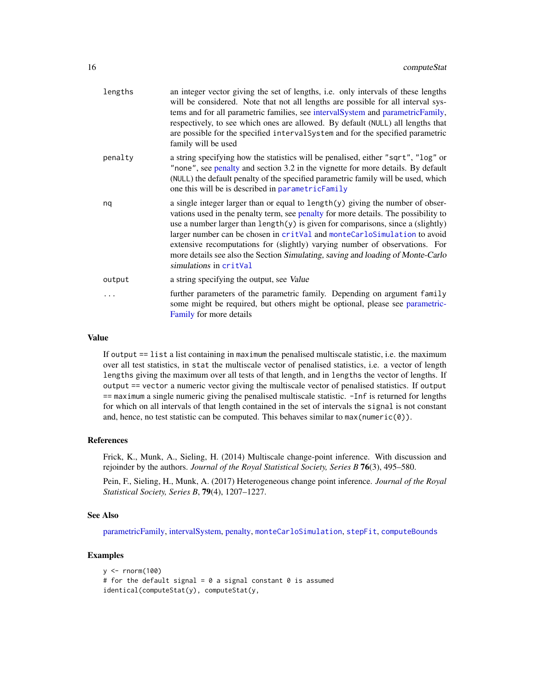<span id="page-15-0"></span>

| an integer vector giving the set of lengths, i.e. only intervals of these lengths<br>will be considered. Note that not all lengths are possible for all interval sys-<br>tems and for all parametric families, see intervalSystem and parametricFamily,<br>respectively, to see which ones are allowed. By default (NULL) all lengths that<br>are possible for the specified intervalSystem and for the specified parametric<br>family will be used                                                                                 |
|-------------------------------------------------------------------------------------------------------------------------------------------------------------------------------------------------------------------------------------------------------------------------------------------------------------------------------------------------------------------------------------------------------------------------------------------------------------------------------------------------------------------------------------|
| a string specifying how the statistics will be penalised, either "sqrt", "log" or<br>"none", see penalty and section 3.2 in the vignette for more details. By default<br>(NULL) the default penalty of the specified parametric family will be used, which<br>one this will be is described in parametricFamily                                                                                                                                                                                                                     |
| a single integer larger than or equal to $length(y)$ giving the number of obser-<br>vations used in the penalty term, see penalty for more details. The possibility to<br>use a number larger than $length(y)$ is given for comparisons, since a (slightly)<br>larger number can be chosen in critVal and monteCarloSimulation to avoid<br>extensive recomputations for (slightly) varying number of observations. For<br>more details see also the Section Simulating, saving and loading of Monte-Carlo<br>simulations in critVal |
| a string specifying the output, see Value                                                                                                                                                                                                                                                                                                                                                                                                                                                                                           |
| further parameters of the parametric family. Depending on argument family<br>some might be required, but others might be optional, please see parametric-<br>Family for more details                                                                                                                                                                                                                                                                                                                                                |
|                                                                                                                                                                                                                                                                                                                                                                                                                                                                                                                                     |

#### Value

If output == list a list containing in maximum the penalised multiscale statistic, i.e. the maximum over all test statistics, in stat the multiscale vector of penalised statistics, i.e. a vector of length lengths giving the maximum over all tests of that length, and in lengths the vector of lengths. If output == vector a numeric vector giving the multiscale vector of penalised statistics. If output == maximum a single numeric giving the penalised multiscale statistic. -Inf is returned for lengths for which on all intervals of that length contained in the set of intervals the signal is not constant and, hence, no test statistic can be computed. This behaves similar to  $max(numeric(0))$ .

#### References

Frick, K., Munk, A., Sieling, H. (2014) Multiscale change-point inference. With discussion and rejoinder by the authors. *Journal of the Royal Statistical Society, Series B* 76(3), 495–580.

Pein, F., Sieling, H., Munk, A. (2017) Heterogeneous change point inference. *Journal of the Royal Statistical Society, Series B*, 79(4), 1207–1227.

#### See Also

[parametricFamily,](#page-40-1) [intervalSystem,](#page-28-1) [penalty,](#page-43-1) [monteCarloSimulation](#page-33-1), [stepFit](#page-53-1), [computeBounds](#page-11-1)

```
y <- rnorm(100)
# for the default signal = 0 a signal constant 0 is assumed
identical(computeStat(y), computeStat(y,
```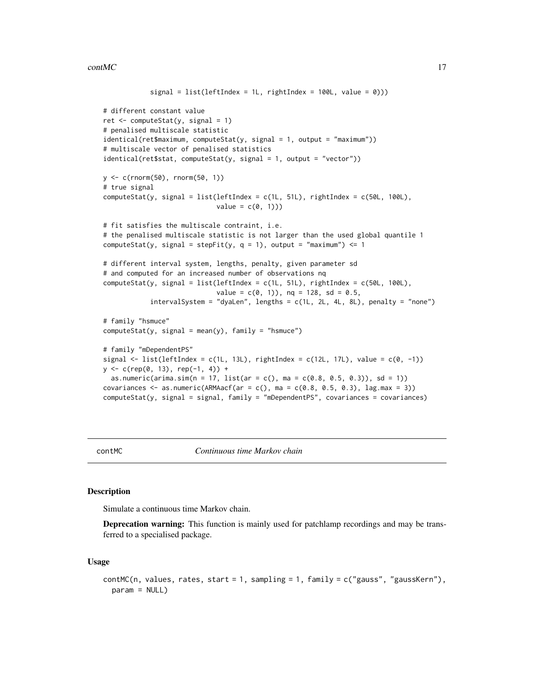```
signal = list(leftIndex = 1L, rightIndex = 100L, value = 0)))
# different constant value
ret <- computeStat(y, signal = 1)
# penalised multiscale statistic
identical(ret$maximum, computeStat(y, signal = 1, output = "maximum"))
# multiscale vector of penalised statistics
identical(ret$stat, computeStat(y, signal = 1, output = "vector"))
y <- c(rnorm(50), rnorm(50, 1))
# true signal
computeStat(y, signal = list(leftIndex = c(1L, 51L), rightIndex = c(50L, 100L),value = c(\emptyset, 1))# fit satisfies the multiscale contraint, i.e.
# the penalised multiscale statistic is not larger than the used global quantile 1
computeStat(y, signal = stepFit(y, q = 1), output = "maximum") <= 1
# different interval system, lengths, penalty, given parameter sd
# and computed for an increased number of observations nq
computeStat(y, signal = list(leftIndex = c(1L, 51L), rightIndex = c(50L, 100L),
                             value = c(\emptyset, 1), nq = 128, sd = 0.5,
            intervalSystem = "dyaLen", lengths = c(1L, 2L, 4L, 8L), penalty = "none")
# family "hsmuce"
computeStat(y, signal = mean(y), family = "hsmuce")# family "mDependentPS"
signal \le list(leftIndex = c(1L, 13L), rightIndex = c(12L, 17L), value = c(0, -1))
y <- c(rep(0, 13), rep(-1, 4)) +
  as.numeric(arima.sim(n = 17, list(ar = c(), ma = c(0.8, 0.5, 0.3)), sd = 1))
covariances \leq as.numeric(ARMAacf(ar = c(), ma = c(0.8, 0.5, 0.3), lag.max = 3))
computeStat(y, signal = signal, family = "mDependent PS", covariances = covariances)
```
<span id="page-16-1"></span>

contMC *Continuous time Markov chain*

#### **Description**

Simulate a continuous time Markov chain.

**Deprecation warning:** This function is mainly used for patchlamp recordings and may be transferred to a specialised package.

#### Usage

```
contMC(n, values, rates, start = 1, sampling = 1, family = c("gauss", "gaussKern"),
  param = NULL)
```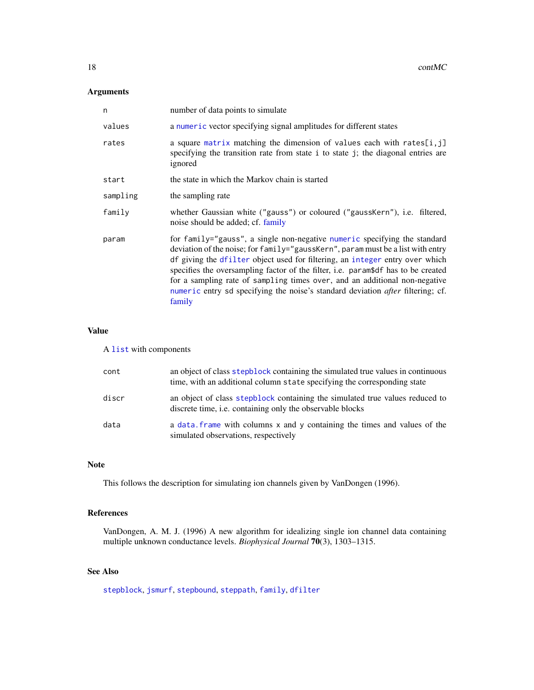# <span id="page-17-0"></span>Arguments

| n        | number of data points to simulate                                                                                                                                                                                                                                                                                                                                                                                                                                                                                   |
|----------|---------------------------------------------------------------------------------------------------------------------------------------------------------------------------------------------------------------------------------------------------------------------------------------------------------------------------------------------------------------------------------------------------------------------------------------------------------------------------------------------------------------------|
| values   | a numeric vector specifying signal amplitudes for different states                                                                                                                                                                                                                                                                                                                                                                                                                                                  |
| rates    | a square matrix matching the dimension of values each with rates[i,j]<br>specifying the transition rate from state i to state j; the diagonal entries are<br>ignored                                                                                                                                                                                                                                                                                                                                                |
| start    | the state in which the Markov chain is started                                                                                                                                                                                                                                                                                                                                                                                                                                                                      |
| sampling | the sampling rate                                                                                                                                                                                                                                                                                                                                                                                                                                                                                                   |
| family   | whether Gaussian white ("gauss") or coloured ("gaussKern"), i.e. filtered,<br>noise should be added; cf. family                                                                                                                                                                                                                                                                                                                                                                                                     |
| param    | for family="gauss", a single non-negative numeric specifying the standard<br>deviation of the noise; for family="gaussKern", param must be a list with entry<br>df giving the dfilter object used for filtering, an integer entry over which<br>specifies the oversampling factor of the filter, i.e. param\$df has to be created<br>for a sampling rate of sampling times over, and an additional non-negative<br>numeric entry sd specifying the noise's standard deviation <i>after</i> filtering; cf.<br>family |

# Value

# A [list](#page-0-0) with components

| cont  | an object of class stepblock containing the simulated true values in continuous<br>time, with an additional column state specifying the corresponding state |
|-------|-------------------------------------------------------------------------------------------------------------------------------------------------------------|
| discr | an object of class stepblock containing the simulated true values reduced to<br>discrete time, <i>i.e.</i> containing only the observable blocks            |
| data  | a data. frame with columns x and y containing the times and values of the<br>simulated observations, respectively                                           |

# Note

This follows the description for simulating ion channels given by VanDongen (1996).

# References

VanDongen, A. M. J. (1996) A new algorithm for idealizing single ion channel data containing multiple unknown conductance levels. *Biophysical Journal* 70(3), 1303–1315.

# See Also

[stepblock](#page-48-1), [jsmurf](#page-29-1), [stepbound](#page-50-1), [steppath](#page-59-1), [family](#page-27-1), [dfilter](#page-25-1)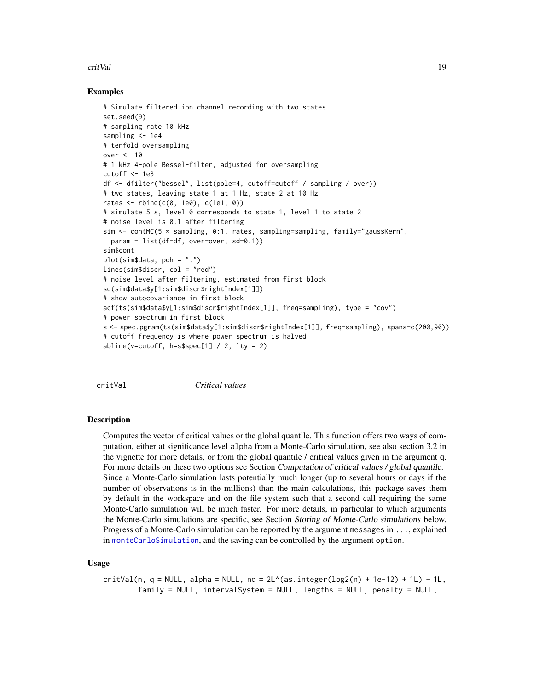#### <span id="page-18-0"></span>critVal 2008 and 2008 and 2008 and 2008 and 2008 and 2008 and 2008 and 2008 and 2008 and 2008 and 2008 and 200

#### Examples

```
# Simulate filtered ion channel recording with two states
set.seed(9)
# sampling rate 10 kHz
sampling <- 1e4
# tenfold oversampling
over <- 10
# 1 kHz 4-pole Bessel-filter, adjusted for oversampling
cutoff <-1e3df <- dfilter("bessel", list(pole=4, cutoff=cutoff / sampling / over))
# two states, leaving state 1 at 1 Hz, state 2 at 10 Hz
rates \le rbind(c(0, 1e0), c(1e1, 0))
# simulate 5 s, level 0 corresponds to state 1, level 1 to state 2
# noise level is 0.1 after filtering
sim \le contMC(5 \star sampling, 0:1, rates, sampling=sampling, family="gaussKern",
  param = list(df=df, over=over, sd=0.1))
sim$cont
plot(sim$data, pch = ".")
lines(sim$discr, col = "red")
# noise level after filtering, estimated from first block
sd(sim$data$y[1:sim$discr$rightIndex[1]])
# show autocovariance in first block
acf(ts(sim$data$y[1:sim$discr$rightIndex[1]], freq=sampling), type = "cov")
# power spectrum in first block
s <- spec.pgram(ts(sim$data$y[1:sim$discr$rightIndex[1]], freq=sampling), spans=c(200,90))
# cutoff frequency is where power spectrum is halved
abline(v=cutoff, h=s$spec[1] / 2, lty = 2)
```
<span id="page-18-1"></span>critVal *Critical values*

#### Description

Computes the vector of critical values or the global quantile. This function offers two ways of computation, either at significance level alpha from a Monte-Carlo simulation, see also section 3.2 in the vignette for more details, or from the global quantile / critical values given in the argument q. For more details on these two options see Section Computation of critical values / global quantile. Since a Monte-Carlo simulation lasts potentially much longer (up to several hours or days if the number of observations is in the millions) than the main calculations, this package saves them by default in the workspace and on the file system such that a second call requiring the same Monte-Carlo simulation will be much faster. For more details, in particular to which arguments the Monte-Carlo simulations are specific, see Section Storing of Monte-Carlo simulations below. Progress of a Monte-Carlo simulation can be reported by the argument messages in ..., explained in [monteCarloSimulation](#page-33-1), and the saving can be controlled by the argument option.

#### Usage

critVal(n, q = NULL, alpha = NULL,  $nq = 2L^*(as.integer(log2(n) + 1e-12) + 1L) - 1L$ , family = NULL, intervalSystem = NULL, lengths = NULL, penalty = NULL,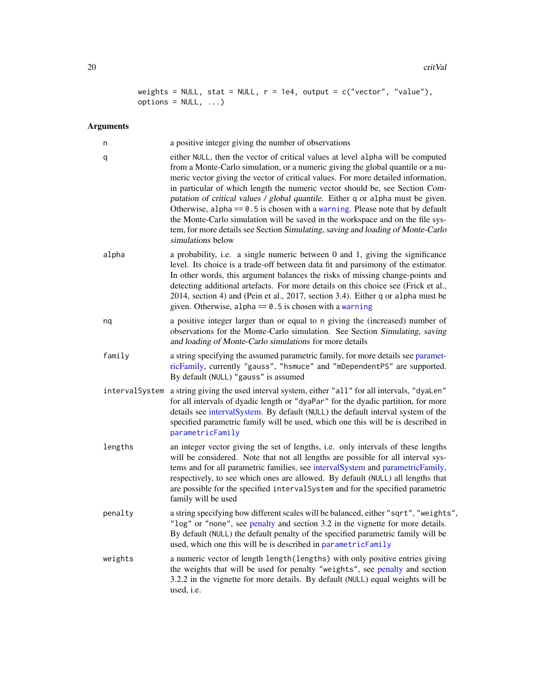```
weights = NULL, stat = NULL, r = 1e4, output = c("vector", "value"),
options = NULL, ...)
```
# Arguments

| n       | a positive integer giving the number of observations                                                                                                                                                                                                                                                                                                                                                                                                                                                                                                                                                                                                                                                    |
|---------|---------------------------------------------------------------------------------------------------------------------------------------------------------------------------------------------------------------------------------------------------------------------------------------------------------------------------------------------------------------------------------------------------------------------------------------------------------------------------------------------------------------------------------------------------------------------------------------------------------------------------------------------------------------------------------------------------------|
| q       | either NULL, then the vector of critical values at level alpha will be computed<br>from a Monte-Carlo simulation, or a numeric giving the global quantile or a nu-<br>meric vector giving the vector of critical values. For more detailed information,<br>in particular of which length the numeric vector should be, see Section Com-<br>putation of critical values / global quantile. Either q or alpha must be given.<br>Otherwise, alpha $== 0.5$ is chosen with a warning. Please note that by default<br>the Monte-Carlo simulation will be saved in the workspace and on the file sys-<br>tem, for more details see Section Simulating, saving and loading of Monte-Carlo<br>simulations below |
| alpha   | a probability, i.e. a single numeric between 0 and 1, giving the significance<br>level. Its choice is a trade-off between data fit and parsimony of the estimator.<br>In other words, this argument balances the risks of missing change-points and<br>detecting additional artefacts. For more details on this choice see (Frick et al.,<br>2014, section 4) and (Pein et al., 2017, section 3.4). Either q or alpha must be<br>given. Otherwise, alpha == $0.5$ is chosen with a warning                                                                                                                                                                                                              |
| nq      | a positive integer larger than or equal to n giving the (increased) number of<br>observations for the Monte-Carlo simulation. See Section Simulating, saving<br>and loading of Monte-Carlo simulations for more details                                                                                                                                                                                                                                                                                                                                                                                                                                                                                 |
| family  | a string specifying the assumed parametric family, for more details see paramet-<br>ricFamily, currently "gauss", "hsmuce" and "mDependentPS" are supported.<br>By default (NULL) "gauss" is assumed                                                                                                                                                                                                                                                                                                                                                                                                                                                                                                    |
|         | interval System a string giving the used interval system, either "all" for all intervals, "dyaLen"<br>for all intervals of dyadic length or "dyaPar" for the dyadic partition, for more<br>details see intervalSystem. By default (NULL) the default interval system of the<br>specified parametric family will be used, which one this will be is described in<br>parametricFamily                                                                                                                                                                                                                                                                                                                     |
| lengths | an integer vector giving the set of lengths, i.e. only intervals of these lengths<br>will be considered. Note that not all lengths are possible for all interval sys-<br>tems and for all parametric families, see intervalSystem and parametricFamily,<br>respectively, to see which ones are allowed. By default (NULL) all lengths that<br>are possible for the specified intervalSystem and for the specified parametric<br>family will be used                                                                                                                                                                                                                                                     |
| penalty | a string specifying how different scales will be balanced, either "sqrt", "weights",<br>"log" or "none", see penalty and section 3.2 in the vignette for more details.<br>By default (NULL) the default penalty of the specified parametric family will be<br>used, which one this will be is described in parametricFamily                                                                                                                                                                                                                                                                                                                                                                             |
| weights | a numeric vector of length length (lengths) with only positive entries giving<br>the weights that will be used for penalty "weights", see penalty and section<br>3.2.2 in the vignette for more details. By default (NULL) equal weights will be<br>used, i.e.                                                                                                                                                                                                                                                                                                                                                                                                                                          |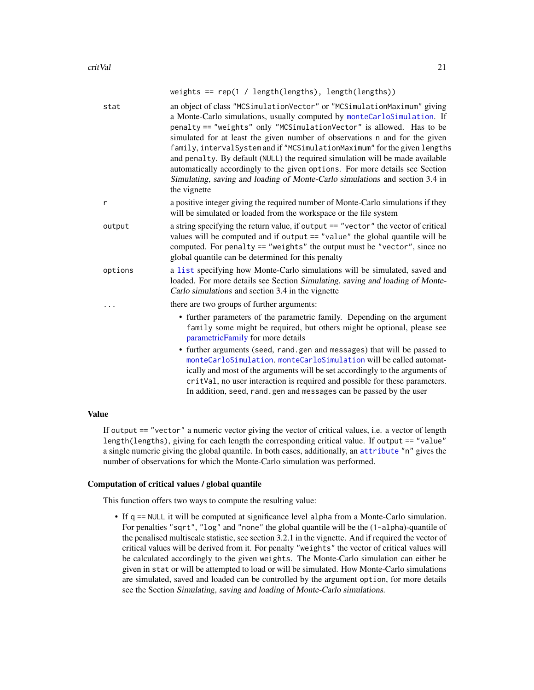<span id="page-20-0"></span>

|          | weights == $rep(1 / length(lengths), length(lengths))$                                                                                                                                                                                                                                                                                                                                                                                                                                                                                                                                                                                                  |
|----------|---------------------------------------------------------------------------------------------------------------------------------------------------------------------------------------------------------------------------------------------------------------------------------------------------------------------------------------------------------------------------------------------------------------------------------------------------------------------------------------------------------------------------------------------------------------------------------------------------------------------------------------------------------|
| stat     | an object of class "MCSimulationVector" or "MCSimulationMaximum" giving<br>a Monte-Carlo simulations, usually computed by monteCarloSimulation. If<br>penalty == "weights" only "MCSimulationVector" is allowed. Has to be<br>simulated for at least the given number of observations n and for the given<br>family, intervalSystem and if "MCSimulationMaximum" for the given lengths<br>and penalty. By default (NULL) the required simulation will be made available<br>automatically accordingly to the given options. For more details see Section<br>Simulating, saving and loading of Monte-Carlo simulations and section 3.4 in<br>the vignette |
| r        | a positive integer giving the required number of Monte-Carlo simulations if they<br>will be simulated or loaded from the workspace or the file system                                                                                                                                                                                                                                                                                                                                                                                                                                                                                                   |
| output   | a string specifying the return value, if output == "vector" the vector of critical<br>values will be computed and if output == "value" the global quantile will be<br>computed. For penalty == "weights" the output must be "vector", since no<br>global quantile can be determined for this penalty                                                                                                                                                                                                                                                                                                                                                    |
| options  | a list specifying how Monte-Carlo simulations will be simulated, saved and<br>loaded. For more details see Section Simulating, saving and loading of Monte-<br>Carlo simulations and section 3.4 in the vignette                                                                                                                                                                                                                                                                                                                                                                                                                                        |
| $\ddots$ | there are two groups of further arguments:                                                                                                                                                                                                                                                                                                                                                                                                                                                                                                                                                                                                              |

- further parameters of the parametric family. Depending on the argument family some might be required, but others might be optional, please see [parametricFamily](#page-40-1) for more details
- further arguments (seed, rand.gen and messages) that will be passed to [monteCarloSimulation](#page-33-1). [monteCarloSimulation](#page-33-1) will be called automatically and most of the arguments will be set accordingly to the arguments of critVal, no user interaction is required and possible for these parameters. In addition, seed, rand.gen and messages can be passed by the user

#### Value

If output == "vector" a numeric vector giving the vector of critical values, i.e. a vector of length length(lengths), giving for each length the corresponding critical value. If output == "value" a single numeric giving the global quantile. In both cases, additionally, an [attribute](#page-0-0) "n" gives the number of observations for which the Monte-Carlo simulation was performed.

#### Computation of critical values / global quantile

This function offers two ways to compute the resulting value:

• If q == NULL it will be computed at significance level alpha from a Monte-Carlo simulation. For penalties "sqrt", "log" and "none" the global quantile will be the (1-alpha)-quantile of the penalised multiscale statistic, see section 3.2.1 in the vignette. And if required the vector of critical values will be derived from it. For penalty "weights" the vector of critical values will be calculated accordingly to the given weights. The Monte-Carlo simulation can either be given in stat or will be attempted to load or will be simulated. How Monte-Carlo simulations are simulated, saved and loaded can be controlled by the argument option, for more details see the Section Simulating, saving and loading of Monte-Carlo simulations.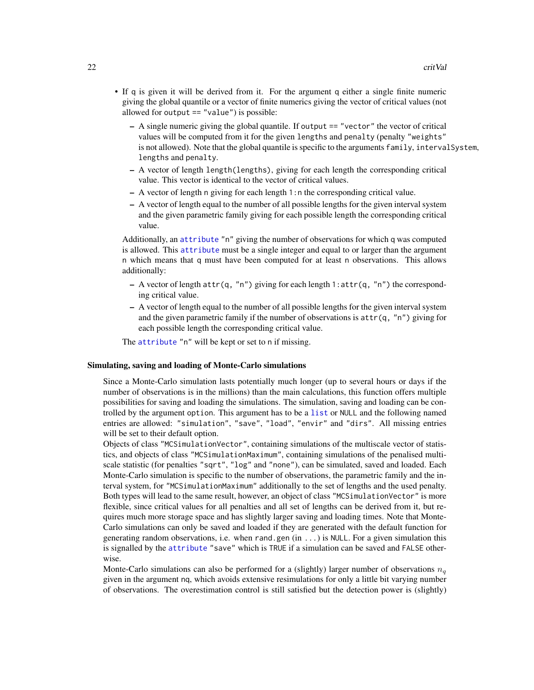- <span id="page-21-0"></span>• If q is given it will be derived from it. For the argument q either a single finite numeric giving the global quantile or a vector of finite numerics giving the vector of critical values (not allowed for output  $==$  "value") is possible:
	- A single numeric giving the global quantile. If output == "vector" the vector of critical values will be computed from it for the given lengths and penalty (penalty "weights" is not allowed). Note that the global quantile is specific to the arguments family, interval System, lengths and penalty.
	- A vector of length length(lengths), giving for each length the corresponding critical value. This vector is identical to the vector of critical values.
	- A vector of length n giving for each length 1:n the corresponding critical value.
	- A vector of length equal to the number of all possible lengths for the given interval system and the given parametric family giving for each possible length the corresponding critical value.

Additionally, an [attribute](#page-0-0) "n" giving the number of observations for which q was computed is allowed. This [attribute](#page-0-0) must be a single integer and equal to or larger than the argument n which means that q must have been computed for at least n observations. This allows additionally:

- $-$  A vector of length attr(q, "n") giving for each length 1:attr(q, "n") the corresponding critical value.
- A vector of length equal to the number of all possible lengths for the given interval system and the given parametric family if the number of observations is  $attr(q, "n")$  giving for each possible length the corresponding critical value.

The [attribute](#page-0-0) "n" will be kept or set to n if missing.

#### Simulating, saving and loading of Monte-Carlo simulations

Since a Monte-Carlo simulation lasts potentially much longer (up to several hours or days if the number of observations is in the millions) than the main calculations, this function offers multiple possibilities for saving and loading the simulations. The simulation, saving and loading can be controlled by the argument option. This argument has to be a [list](#page-0-0) or NULL and the following named entries are allowed: "simulation", "save", "load", "envir" and "dirs". All missing entries will be set to their default option.

Objects of class "MCSimulationVector", containing simulations of the multiscale vector of statistics, and objects of class "MCSimulationMaximum", containing simulations of the penalised multiscale statistic (for penalties "sqrt", "log" and "none"), can be simulated, saved and loaded. Each Monte-Carlo simulation is specific to the number of observations, the parametric family and the interval system, for "MCSimulationMaximum" additionally to the set of lengths and the used penalty. Both types will lead to the same result, however, an object of class "MCSimulationVector" is more flexible, since critical values for all penalties and all set of lengths can be derived from it, but requires much more storage space and has slightly larger saving and loading times. Note that Monte-Carlo simulations can only be saved and loaded if they are generated with the default function for generating random observations, i.e. when rand.gen  $(in ...)$  is NULL. For a given simulation this is signalled by the [attribute](#page-0-0) "save" which is TRUE if a simulation can be saved and FALSE otherwise.

Monte-Carlo simulations can also be performed for a (slightly) larger number of observations  $n_q$ given in the argument nq, which avoids extensive resimulations for only a little bit varying number of observations. The overestimation control is still satisfied but the detection power is (slightly)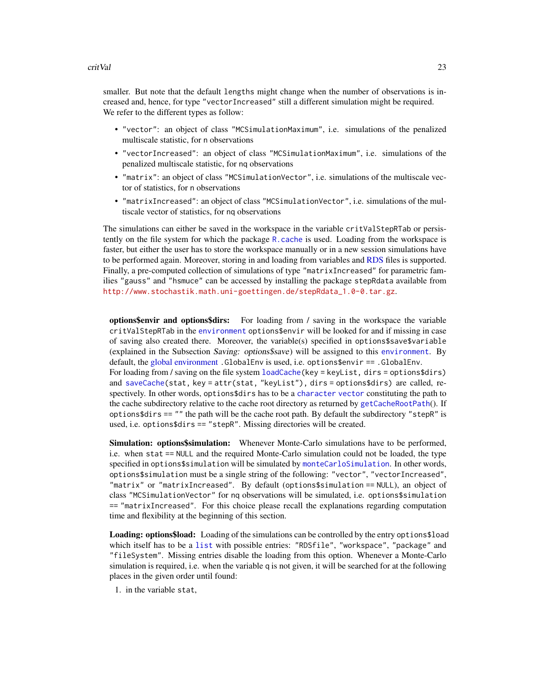#### <span id="page-22-0"></span>critVal 23

smaller. But note that the default lengths might change when the number of observations is increased and, hence, for type "vectorIncreased" still a different simulation might be required. We refer to the different types as follow:

- "vector": an object of class "MCSimulationMaximum", i.e. simulations of the penalized multiscale statistic, for n observations
- "vectorIncreased": an object of class "MCSimulationMaximum", i.e. simulations of the penalized multiscale statistic, for nq observations
- "matrix": an object of class "MCSimulationVector", i.e. simulations of the multiscale vector of statistics, for n observations
- "matrixIncreased": an object of class "MCSimulationVector", i.e. simulations of the multiscale vector of statistics, for nq observations

The simulations can either be saved in the workspace in the variable critValStepRTab or persistently on the file system for which the package  $R$ . cache is used. Loading from the workspace is faster, but either the user has to store the workspace manually or in a new session simulations have to be performed again. Moreover, storing in and loading from variables and [RDS](#page-0-0) files is supported. Finally, a pre-computed collection of simulations of type "matrixIncreased" for parametric families "gauss" and "hsmuce" can be accessed by installing the package stepRdata available from [http://www.stochastik.math.uni-goettingen.de/stepRdata\\_1.0-0.tar.gz](http://www.stochastik.math.uni-goettingen.de/stepRdata_1.0-0.tar.gz).

options\$envir and options\$dirs: For loading from / saving in the workspace the variable critValStepRTab in the [environment](#page-0-0) options\$envir will be looked for and if missing in case of saving also created there. Moreover, the variable(s) specified in options \$save \$variable (explained in the Subsection Saving: options\$save) will be assigned to this [environment](#page-0-0). By default, the [global environment](#page-0-0) .GlobalEnv is used, i.e. options\$envir == .GlobalEnv. For loading from / saving on the file system [loadCache\(](#page-0-0)key = keyList, dirs = options\$dirs) and [saveCache\(](#page-0-0)stat, key = attr(stat, "keyList"), dirs = options\$dirs) are called, respectively. In other words, options\$dirs has to be a [character](#page-0-0) [vector](#page-0-0) constituting the path to the cache subdirectory relative to the cache root directory as returned by [getCacheRootPath](#page-0-0)(). If options $\$dirs == ""$  the path will be the cache root path. By default the subdirectory "stepR" is used, i.e. options\$dirs == "stepR". Missing directories will be created.

Simulation: options\$simulation: Whenever Monte-Carlo simulations have to be performed, i.e. when stat == NULL and the required Monte-Carlo simulation could not be loaded, the type specified in options\$simulation will be simulated by [monteCarloSimulation](#page-33-1). In other words, options\$simulation must be a single string of the following: "vector", "vectorIncreased", "matrix" or "matrixIncreased". By default (options\$simulation == NULL), an object of class "MCSimulationVector" for nq observations will be simulated, i.e. options\$simulation == "matrixIncreased". For this choice please recall the explanations regarding computation time and flexibility at the beginning of this section.

Loading: options\$load: Loading of the simulations can be controlled by the entry options\$load which itself has to be a [list](#page-0-0) with possible entries: "RDSfile", "workspace", "package" and "fileSystem". Missing entries disable the loading from this option. Whenever a Monte-Carlo simulation is required, i.e. when the variable q is not given, it will be searched for at the following places in the given order until found:

1. in the variable stat,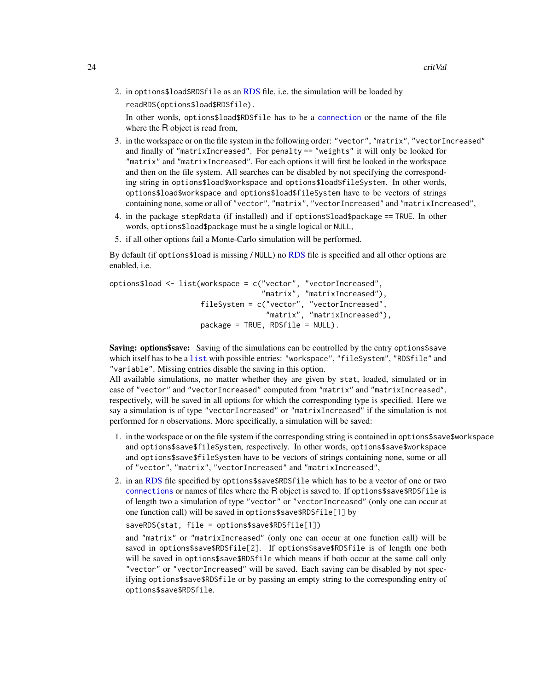<span id="page-23-0"></span>2. in options\$load\$RDSfile as an [RDS](#page-0-0) file, i.e. the simulation will be loaded by readRDS(options\$load\$RDSfile).

In other words, options\$load\$RDSfile has to be a [connection](#page-0-0) or the name of the file where the R object is read from,

- 3. in the workspace or on the file system in the following order: "vector", "matrix", "vectorIncreased" and finally of "matrixIncreased". For penalty == "weights" it will only be looked for "matrix" and "matrixIncreased". For each options it will first be looked in the workspace and then on the file system. All searches can be disabled by not specifying the corresponding string in options\$load\$workspace and options\$load\$fileSystem. In other words, options\$load\$workspace and options\$load\$fileSystem have to be vectors of strings containing none, some or all of "vector", "matrix", "vectorIncreased" and "matrixIncreased",
- 4. in the package stepRdata (if installed) and if options\$load\$package == TRUE. In other words, options\$load\$package must be a single logical or NULL,
- 5. if all other options fail a Monte-Carlo simulation will be performed.

By default (if options\$load is missing / NULL) no [RDS](#page-0-0) file is specified and all other options are enabled, i.e.

```
options$load <- list(workspace = c("vector", "vectorIncreased",
                                   "matrix", "matrixIncreased"),
                     fileSystem = c("vector", "vectorIncreased",
                                    "matrix", "matrixIncreased"),
                     package = TRUE, RDSfile = NULL).
```
Saving: options\$save: Saving of the simulations can be controlled by the entry options\$save which itself has to be a [list](#page-0-0) with possible entries: "workspace", "fileSystem", "RDSfile" and "variable". Missing entries disable the saving in this option.

All available simulations, no matter whether they are given by stat, loaded, simulated or in case of "vector" and "vectorIncreased" computed from "matrix" and "matrixIncreased", respectively, will be saved in all options for which the corresponding type is specified. Here we say a simulation is of type "vectorIncreased" or "matrixIncreased" if the simulation is not performed for n observations. More specifically, a simulation will be saved:

- 1. in the workspace or on the file system if the corresponding string is contained in options\$save\$workspace and options\$save\$fileSystem, respectively. In other words, options\$save\$workspace and options\$save\$fileSystem have to be vectors of strings containing none, some or all of "vector", "matrix", "vectorIncreased" and "matrixIncreased",
- 2. in an [RDS](#page-0-0) file specified by options\$save\$RDSfile which has to be a vector of one or two [connections](#page-0-0) or names of files where the R object is saved to. If options\$save\$RDSfile is of length two a simulation of type "vector" or "vectorIncreased" (only one can occur at one function call) will be saved in options\$save\$RDSfile[1] by

```
saveRDS(stat, file = options$save$RDSfile[1])
and "matrix" or "matrixIncreased" (only one can occur at one function call) will be
saved in options$save$RDSfile[2]. If options$save$RDSfile is of length one both
will be saved in options$save$RDSfile which means if both occur at the same call only
"vector" or "vectorIncreased" will be saved. Each saving can be disabled by not spec-
ifying options$save$RDSfile or by passing an empty string to the corresponding entry of
options$save$RDSfile.
```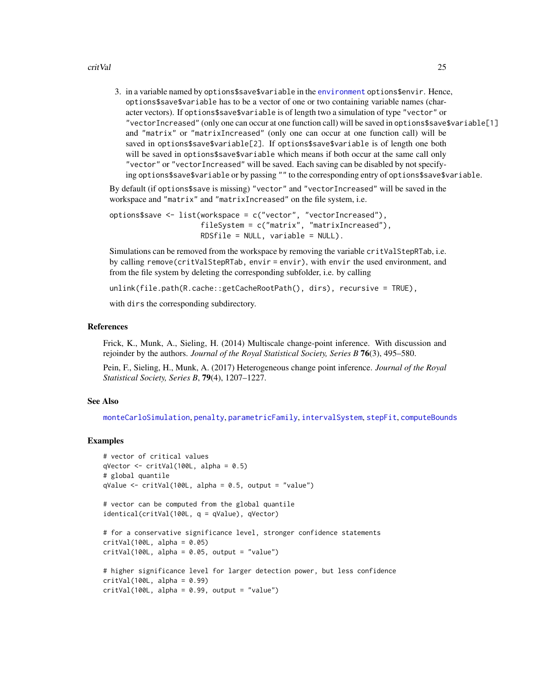#### <span id="page-24-0"></span>critVal 25

3. in a variable named by options\$save\$variable in the [environment](#page-0-0) options\$envir. Hence, options\$save\$variable has to be a vector of one or two containing variable names (character vectors). If options\$save\$variable is of length two a simulation of type "vector" or "vectorIncreased" (only one can occur at one function call) will be saved in options\$save\$variable[1] and "matrix" or "matrixIncreased" (only one can occur at one function call) will be saved in options\$save\$variable[2]. If options\$save\$variable is of length one both will be saved in options\$save\$variable which means if both occur at the same call only "vector" or "vectorIncreased" will be saved. Each saving can be disabled by not specifying options\$save\$variable or by passing "" to the corresponding entry of options\$save\$variable.

By default (if options\$save is missing) "vector" and "vectorIncreased" will be saved in the workspace and "matrix" and "matrixIncreased" on the file system, i.e.

```
options$save <- list(workspace = c("vector", "vectorIncreased"),
                     fileSystem = c("matrix", "matrixIncreased"),
                     RDSfile = NULL, variable = NULL).
```
Simulations can be removed from the workspace by removing the variable critValStepRTab, i.e. by calling remove(critValStepRTab, envir = envir), with envir the used environment, and from the file system by deleting the corresponding subfolder, i.e. by calling

unlink(file.path(R.cache::getCacheRootPath(), dirs), recursive = TRUE),

with dirs the corresponding subdirectory.

#### References

Frick, K., Munk, A., Sieling, H. (2014) Multiscale change-point inference. With discussion and rejoinder by the authors. *Journal of the Royal Statistical Society, Series B* 76(3), 495–580.

Pein, F., Sieling, H., Munk, A. (2017) Heterogeneous change point inference. *Journal of the Royal Statistical Society, Series B*, 79(4), 1207–1227.

# See Also

[monteCarloSimulation](#page-33-1), [penalty](#page-43-1), [parametricFamily](#page-40-1), [intervalSystem](#page-28-1), [stepFit](#page-53-1), [computeBounds](#page-11-1)

```
# vector of critical values
qVector \le critVal(100L, alpha = 0.5)
# global quantile
qValue \leftarrow critVal(100L, alpha = 0.5, output = "value")# vector can be computed from the global quantile
identical(critVal(100L, q = qValue), qVector)
# for a conservative significance level, stronger confidence statements
critVal(100L, alpha = 0.05)critVal(100L, alpha = 0.05, output = "value")# higher significance level for larger detection power, but less confidence
critVal(100L, alpha = 0.99)critVal(100L, alpha = 0.99, output = "value")
```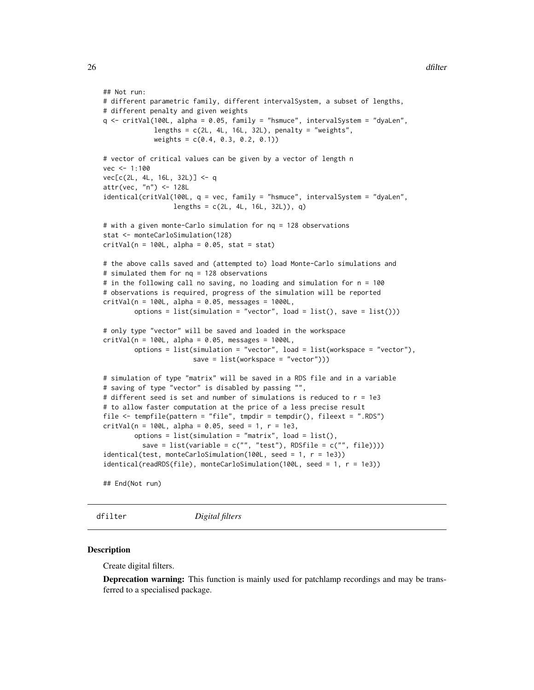```
## Not run:
# different parametric family, different intervalSystem, a subset of lengths,
# different penalty and given weights
q <- critVal(100L, alpha = 0.05, family = "hsmuce", intervalSystem = "dyaLen",
            lengths = c(2L, 4L, 16L, 32L), penalty = "weights",
            weights = c(0.4, 0.3, 0.2, 0.1)# vector of critical values can be given by a vector of length n
vec < -1:100vec[c(2L, 4L, 16L, 32L)] <- q
attr(vec, "n") <- 128L
identical(critVal(100L, q = vec, family = "hsmuce", intervalSystem = "dyaLen",
                  lengths = c(2L, 4L, 16L, 32L)), q)
# with a given monte-Carlo simulation for nq = 128 observations
stat <- monteCarloSimulation(128)
critVal(n = 100L, alpha = 0.05, stat = stat)# the above calls saved and (attempted to) load Monte-Carlo simulations and
# simulated them for nq = 128 observations
# in the following call no saving, no loading and simulation for n = 100
# observations is required, progress of the simulation will be reported
critVal(n = 100L, alpha = 0.05, message = 1000L,options = list(simulation = "vector", load = list(), save = list()))
# only type "vector" will be saved and loaded in the workspace
critVal(n = 100L, alpha = 0.05, message = 1000L,options = list(simulation = "vector", load = list(workspace = "vector"),
                      save = list(workspace = "vector")))
# simulation of type "matrix" will be saved in a RDS file and in a variable
# saving of type "vector" is disabled by passing "",
# different seed is set and number of simulations is reduced to r = 1e3
# to allow faster computation at the price of a less precise result
file <- tempfile(pattern = "file", tmpdir = tempdir(), fileext = ".RDS")
critVal(n = 100L, alpha = 0.05, seed = 1, r = 1e3,options = list(simulation = "matrix", load = list(),
          save = list(variable = c("", "test"), RDSfile = c("", file))))identical(test, monteCarloSimulation(100L, seed = 1, r = 1e3))
identical(readRDS(file), monteCarloSimulation(100L, seed = 1, r = 1e3))
```
## End(Not run)

<span id="page-25-1"></span>dfilter *Digital filters*

#### Description

Create digital filters.

**Deprecation warning:** This function is mainly used for patchlamp recordings and may be transferred to a specialised package.

<span id="page-25-0"></span>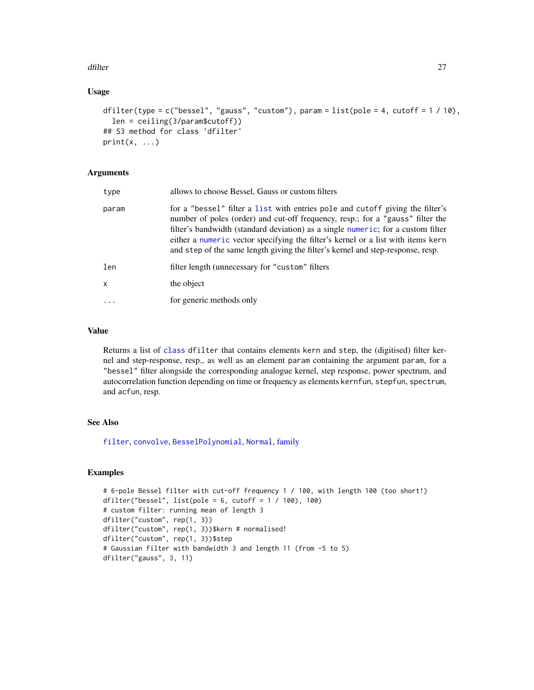#### <span id="page-26-0"></span>dfilter and the control of the control of the control of the control of the control of the control of the control of the control of the control of the control of the control of the control of the control of the control of

# Usage

```
dfilter(type = c("bessel", "gauss", "custom"), param = list(pole = 4, cutoff = 1 / 10),
  len = ceiling(3/param$cutoff))
## S3 method for class 'dfilter'
print(x, \ldots)
```
# Arguments

| type  | allows to choose Bessel, Gauss or custom filters                                                                                                                                                                                                                                                                                                                                                                           |
|-------|----------------------------------------------------------------------------------------------------------------------------------------------------------------------------------------------------------------------------------------------------------------------------------------------------------------------------------------------------------------------------------------------------------------------------|
| param | for a "bessel" filter a list with entries pole and cutoff giving the filter's<br>number of poles (order) and cut-off frequency, resp.; for a "gauss" filter the<br>filter's bandwidth (standard deviation) as a single numeric; for a custom filter<br>either a numeric vector specifying the filter's kernel or a list with items kern<br>and step of the same length giving the filter's kernel and step-response, resp. |
| len   | filter length (unnecessary for "custom" filters                                                                                                                                                                                                                                                                                                                                                                            |
| x     | the object                                                                                                                                                                                                                                                                                                                                                                                                                 |
| .     | for generic methods only                                                                                                                                                                                                                                                                                                                                                                                                   |
|       |                                                                                                                                                                                                                                                                                                                                                                                                                            |

# Value

Returns a list of [class](#page-0-0) dfilter that contains elements kern and step, the (digitised) filter kernel and step-response, resp., as well as an element param containing the argument param, for a "bessel" filter alongside the corresponding analogue kernel, step response, power spectrum, and autocorrelation function depending on time or frequency as elements kernfun, stepfun, spectrum, and acfun, resp.

# See Also

[filter](#page-0-0), [convolve](#page-0-0), [BesselPolynomial](#page-7-1), [Normal](#page-0-0), [family](#page-27-1)

```
# 6-pole Bessel filter with cut-off frequency 1 / 100, with length 100 (too short!)
dfilter("bessel", list(pole = 6, cutoff = 1 / 100), 100)
# custom filter: running mean of length 3
dfilter("custom", rep(1, 3))
dfilter("custom", rep(1, 3))$kern # normalised!
dfilter("custom", rep(1, 3))$step
# Gaussian filter with bandwidth 3 and length 11 (from -5 to 5)
dfilter("gauss", 3, 11)
```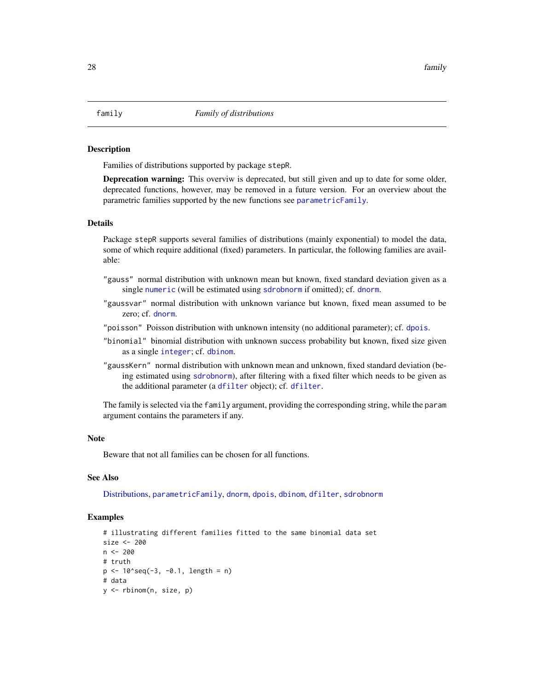#### <span id="page-27-1"></span><span id="page-27-0"></span>Description

Families of distributions supported by package stepR.

**Deprecation warning:** This overviw is deprecated, but still given and up to date for some older, deprecated functions, however, may be removed in a future version. For an overview about the parametric families supported by the new functions see [parametricFamily](#page-40-1).

#### Details

Package stepR supports several families of distributions (mainly exponential) to model the data, some of which require additional (fixed) parameters. In particular, the following families are available:

- "gauss" normal distribution with unknown mean but known, fixed standard deviation given as a single [numeric](#page-0-0) (will be estimated using [sdrobnorm](#page-45-1) if omitted); cf. [dnorm](#page-0-0).
- "gaussvar" normal distribution with unknown variance but known, fixed mean assumed to be zero; cf. [dnorm](#page-0-0).
- "poisson" Poisson distribution with unknown intensity (no additional parameter); cf. [dpois](#page-0-0).
- "binomial" binomial distribution with unknown success probability but known, fixed size given as a single [integer](#page-0-0); cf. [dbinom](#page-0-0).
- "gaussKern" normal distribution with unknown mean and unknown, fixed standard deviation (being estimated using [sdrobnorm](#page-45-1)), after filtering with a fixed filter which needs to be given as the additional parameter (a [dfilter](#page-25-1) object); cf. [dfilter](#page-25-1).

The family is selected via the family argument, providing the corresponding string, while the param argument contains the parameters if any.

#### **Note**

Beware that not all families can be chosen for all functions.

# See Also

[Distributions,](#page-0-0) [parametricFamily](#page-40-1), [dnorm](#page-0-0), [dpois](#page-0-0), [dbinom](#page-0-0), [dfilter](#page-25-1), [sdrobnorm](#page-45-1)

```
# illustrating different families fitted to the same binomial data set
size <- 200
n <- 200
# truth
p \le -10'seq(-3, -0.1, length = n)
# data
y <- rbinom(n, size, p)
```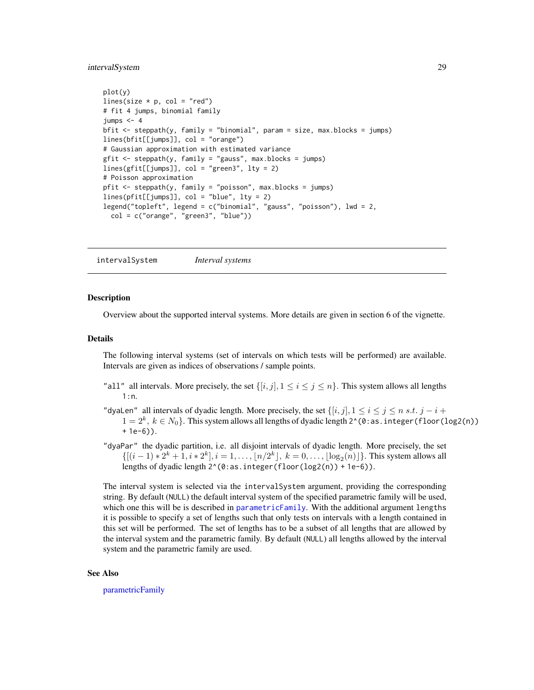#### <span id="page-28-0"></span>intervalSystem 29

```
plot(y)
lines(size * p, col = "red")
# fit 4 jumps, binomial family
jumps < -4bfit <- steppath(y, family = "binomial", param = size, max.blocks = jumps)
lines(bfit[[jumps]], col = "orange")
# Gaussian approximation with estimated variance
gfit <- steppath(y, family = "gauss", max.blocks = jumps)
lines(gfit[[jumps]], col = "green3", lty = 2)
# Poisson approximation
pfit <- steppath(y, family = "poisson", max.blocks = jumps)
lines(pfit[[jumps]], col = "blue", lty = 2)
legend("topleft", legend = c("binomial", "gauss", "poisson"), lwd = 2,
  col = c("orange", "green3", "blue")
```
<span id="page-28-1"></span>intervalSystem *Interval systems*

#### Description

Overview about the supported interval systems. More details are given in section 6 of the vignette.

#### Details

The following interval systems (set of intervals on which tests will be performed) are available. Intervals are given as indices of observations / sample points.

- "all" all intervals. More precisely, the set  $\{[i, j], 1 \le i \le j \le n\}$ . This system allows all lengths 1:n.
- "dyaLen" all intervals of dyadic length. More precisely, the set  $\{[i, j], 1 \le i \le j \le n \text{ s.t. } j i + j \le k \}$  $1=2^k,\,k\in N_0\}.$  This system allows all lengths of dyadic length 2^(0:as . integer (floor (log2(n)) + 1e-6)).
- "dyaPar" the dyadic partition, i.e. all disjoint intervals of dyadic length. More precisely, the set  $\{[(i-1)*2^k + 1, i * 2^k], i = 1, ..., \lfloor n/2^k \rfloor, k = 0, ..., \lfloor \log_2(n) \rfloor\}.$  This system allows all lengths of dyadic length  $2^(0:as.integer(floor(log2(n)) + 1e-6)).$

The interval system is selected via the intervalSystem argument, providing the corresponding string. By default (NULL) the default interval system of the specified parametric family will be used, which one this will be is described in [parametricFamily](#page-40-1). With the additional argument lengths it is possible to specify a set of lengths such that only tests on intervals with a length contained in this set will be performed. The set of lengths has to be a subset of all lengths that are allowed by the interval system and the parametric family. By default (NULL) all lengths allowed by the interval system and the parametric family are used.

#### See Also

[parametricFamily](#page-40-1)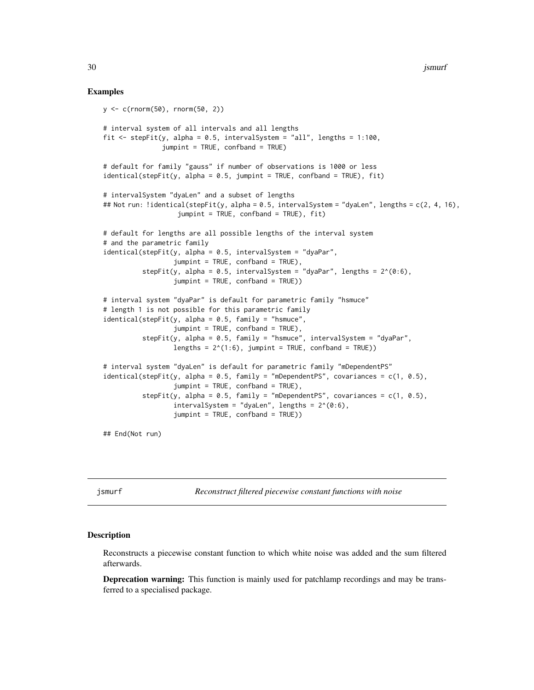30 **jsmurf** 

#### Examples

```
y <- c(rnorm(50), rnorm(50, 2))
# interval system of all intervals and all lengths
fit \le stepFit(y, alpha = 0.5, intervalSystem = "all", lengths = 1:100,
               jumpint = TRUE, confband = TRUE)
# default for family "gauss" if number of observations is 1000 or less
identical(stepFit(y, alpha = 0.5, jumpint = TRUE, confband = TRUE), fit)
# intervalSystem "dyaLen" and a subset of lengths
## Not run: !identical(stepFit(y, alpha = 0.5, intervalSystem = "dyaLen", lengths = c(2, 4, 16),
                   jumpint = TRUE, confband = TRUE), fit)
# default for lengths are all possible lengths of the interval system
# and the parametric family
identical(stepFit(y, alpha = 0.5, intervalSystem = "dyaPar",
                  jumpint = TRUE, confband = TRUE),
          stepFit(y, alpha = 0.5, intervalSystem = "dyaPar", lengths = 2^*(0:6),
                  jumpint = TRUE, confband = TRUE))
# interval system "dyaPar" is default for parametric family "hsmuce"
# length 1 is not possible for this parametric family
identical(stepFit(y, alpha = 0.5, family = "hsmuce",jumpint = TRUE, confband = TRUE,
          stepFit(y, alpha = 0.5, family = "hsmuce", intervalSystem = "dyaPar",
                  lengths = 2^*(1:6), jumpint = TRUE, confband = TRUE))
# interval system "dyaLen" is default for parametric family "mDependentPS"
identical(stepFit(y, alpha = 0.5, family = "mDependentPS", covariances = c(1, 0.5),
                  jumpint = TRUE, confband = TRUE),stepFit(y, alpha = 0.5, family = "mDependentPS", covariances = c(1, 0.5),
                  intervalSystem = "dyaLen", lengths = 2^*(0:6),
                  jumpint = TRUE, confband = TRUE))
```
## End(Not run)

<span id="page-29-1"></span>jsmurf *Reconstruct filtered piecewise constant functions with noise*

#### Description

Reconstructs a piecewise constant function to which white noise was added and the sum filtered afterwards.

**Deprecation warning:** This function is mainly used for patchlamp recordings and may be transferred to a specialised package.

<span id="page-29-0"></span>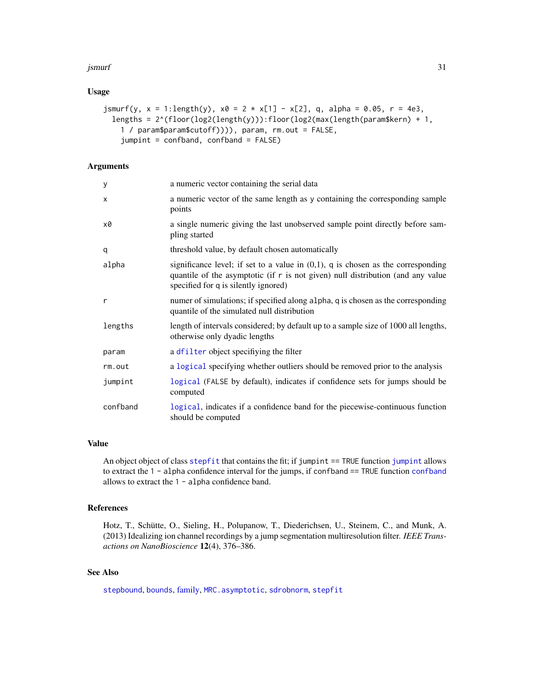#### <span id="page-30-0"></span>jsmurf 31

#### Usage

```
jsmurf(y, x = 1: length(y), x0 = 2 \times x[1] - x[2], q, alpha = 0.05, r = 4e3,
  lengths = 2^(floor(log2(length(y))):floor(log2(max(length(param$kern) + 1,
    1 / param$param$cutoff)))), param, rm.out = FALSE,
    jumpint = confband, confband = FALSE)
```
# Arguments

| У        | a numeric vector containing the serial data                                                                                                                                                                      |
|----------|------------------------------------------------------------------------------------------------------------------------------------------------------------------------------------------------------------------|
| X        | a numeric vector of the same length as y containing the corresponding sample<br>points                                                                                                                           |
| x0       | a single numeric giving the last unobserved sample point directly before sam-<br>pling started                                                                                                                   |
| q        | threshold value, by default chosen automatically                                                                                                                                                                 |
| alpha    | significance level; if set to a value in $(0,1)$ , q is chosen as the corresponding<br>quantile of the asymptotic (if $r$ is not given) null distribution (and any value<br>specified for q is silently ignored) |
| r        | numer of simulations; if specified along alpha, q is chosen as the corresponding<br>quantile of the simulated null distribution                                                                                  |
| lengths  | length of intervals considered; by default up to a sample size of 1000 all lengths,<br>otherwise only dyadic lengths                                                                                             |
| param    | a dfilter object specifiying the filter                                                                                                                                                                          |
| rm.out   | a logical specifying whether outliers should be removed prior to the analysis                                                                                                                                    |
| jumpint  | logical (FALSE by default), indicates if confidence sets for jumps should be<br>computed                                                                                                                         |
| confband | logical, indicates if a confidence band for the piecewise-continuous function<br>should be computed                                                                                                              |

#### Value

An object object of class [stepfit](#page-56-1) that contains the fit; if [jumpint](#page-31-1) == TRUE function jumpint allows to extract the 1 - alpha confidence interval for the jumps, if [confband](#page-31-2) == TRUE function confband allows to extract the 1 - alpha confidence band.

#### References

Hotz, T., Schütte, O., Sieling, H., Polupanow, T., Diederichsen, U., Steinem, C., and Munk, A. (2013) Idealizing ion channel recordings by a jump segmentation multiresolution filter. *IEEE Transactions on NanoBioscience* 12(4), 376–386.

# See Also

[stepbound](#page-50-1), [bounds](#page-8-1), [family,](#page-27-1) [MRC.asymptotic](#page-38-2), [sdrobnorm](#page-45-1), [stepfit](#page-56-1)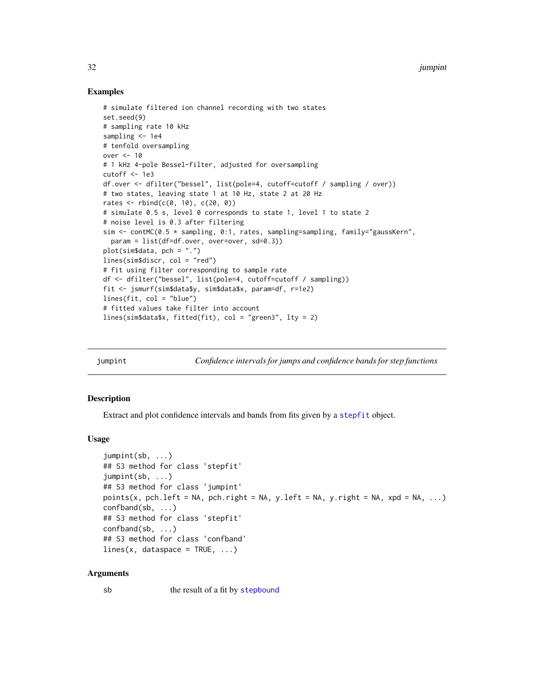### Examples

```
# simulate filtered ion channel recording with two states
set.seed(9)
# sampling rate 10 kHz
sampling <- 1e4
# tenfold oversampling
over <- 10
# 1 kHz 4-pole Bessel-filter, adjusted for oversampling
cutoff <-1e3df.over <- dfilter("bessel", list(pole=4, cutoff=cutoff / sampling / over))
# two states, leaving state 1 at 10 Hz, state 2 at 20 Hz
rates \le rbind(c(0, 10), c(20, 0))
# simulate 0.5 s, level 0 corresponds to state 1, level 1 to state 2
# noise level is 0.3 after filtering
sim \le contMC(0.5 \star sampling, 0:1, rates, sampling=sampling, family="gaussKern",
  param = list(df=df.over, over=over, sd=0.3))
plot(sim$data, pch = ".")
lines(sim$discr, col = "red")
# fit using filter corresponding to sample rate
df <- dfilter("bessel", list(pole=4, cutoff=cutoff / sampling))
fit <- jsmurf(sim$data$y, sim$data$x, param=df, r=1e2)
lines(fit, col = "blue")
# fitted values take filter into account
lines(sim$data$x, fitted(fit), col = "green3", lty = 2)
```
<span id="page-31-1"></span>jumpint *Confidence intervals for jumps and confidence bands for step functions*

#### <span id="page-31-2"></span>**Description**

Extract and plot confidence intervals and bands from fits given by a [stepfit](#page-56-1) object.

#### Usage

```
jumpint(sb, ...)
## S3 method for class 'stepfit'
jumpint(sb, ...)
## S3 method for class 'jumpint'
points(x, pch.left = NA, pch.right = NA, y.left = NA, y.right = NA, xpd = NA, ...)
confband(sb, ...)
## S3 method for class 'stepfit'
confband(sb, ...)
## S3 method for class 'confband'
lines(x, data space = TRUE, ...)
```
#### Arguments

sb the result of a fit by [stepbound](#page-50-1)

<span id="page-31-0"></span>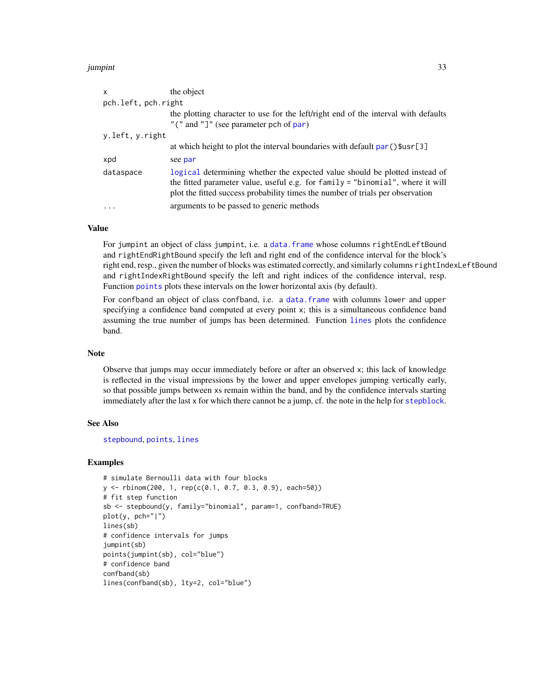#### <span id="page-32-0"></span>jumpint 33

| $\mathsf{x}$        | the object                                                                                                                                                                                                                                      |  |
|---------------------|-------------------------------------------------------------------------------------------------------------------------------------------------------------------------------------------------------------------------------------------------|--|
| pch.left, pch.right |                                                                                                                                                                                                                                                 |  |
|                     | the plotting character to use for the left/right end of the interval with defaults                                                                                                                                                              |  |
|                     | "(" and "]" (see parameter pch of par)                                                                                                                                                                                                          |  |
| y.left, y.right     |                                                                                                                                                                                                                                                 |  |
|                     | at which height to plot the interval boundaries with default par () \$usr[3]                                                                                                                                                                    |  |
| xpd                 | see par                                                                                                                                                                                                                                         |  |
| dataspace           | logical determining whether the expected value should be plotted instead of<br>the fitted parameter value, useful e.g. for family = "binomial", where it will<br>plot the fitted success probability times the number of trials per observation |  |
|                     | arguments to be passed to generic methods                                                                                                                                                                                                       |  |

# Value

For jumpint an object of class jumpint, i.e. a [data.frame](#page-0-0) whose columns rightEndLeftBound and rightEndRightBound specify the left and right end of the confidence interval for the block's right end, resp., given the number of blocks was estimated correctly, and similarly columns rightIndexLeftBound and rightIndexRightBound specify the left and right indices of the confidence interval, resp. Function [points](#page-0-0) plots these intervals on the lower horizontal axis (by default).

For confband an object of class confband, i.e. a [data.frame](#page-0-0) with columns lower and upper specifying a confidence band computed at every point x; this is a simultaneous confidence band assuming the true number of jumps has been determined. Function [lines](#page-0-0) plots the confidence band.

#### Note

Observe that jumps may occur immediately before or after an observed x; this lack of knowledge is reflected in the visual impressions by the lower and upper envelopes jumping vertically early, so that possible jumps between xs remain within the band, and by the confidence intervals starting immediately after the last x for which there cannot be a jump, cf. the note in the help for [stepblock](#page-48-1).

#### See Also

[stepbound](#page-50-1), [points](#page-0-0), [lines](#page-0-0)

```
# simulate Bernoulli data with four blocks
y <- rbinom(200, 1, rep(c(0.1, 0.7, 0.3, 0.9), each=50))
# fit step function
sb <- stepbound(y, family="binomial", param=1, confband=TRUE)
plot(y, pch="|")
lines(sb)
# confidence intervals for jumps
jumpint(sb)
points(jumpint(sb), col="blue")
# confidence band
confband(sb)
lines(confband(sb), lty=2, col="blue")
```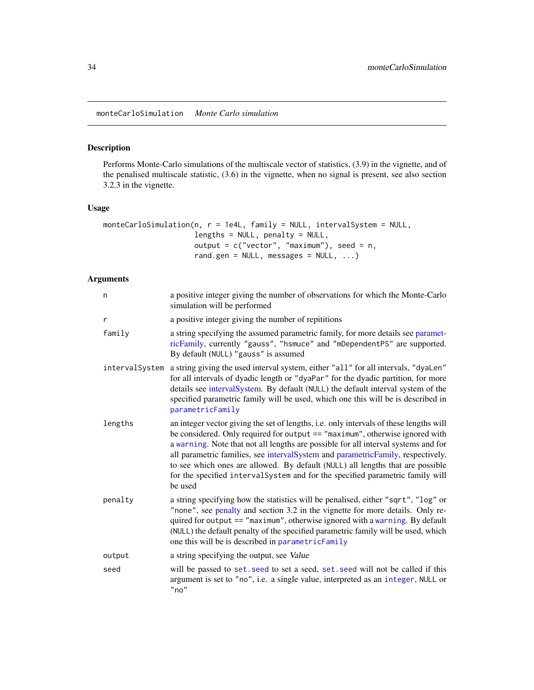<span id="page-33-1"></span><span id="page-33-0"></span>monteCarloSimulation *Monte Carlo simulation*

# Description

Performs Monte-Carlo simulations of the multiscale vector of statistics, (3.9) in the vignette, and of the penalised multiscale statistic, (3.6) in the vignette, when no signal is present, see also section 3.2.3 in the vignette.

#### Usage

```
monteCarloSimulation(n, r = 1e4L, family = NULL, intervalSystem = NULL,
                     lengths = NULL, penalty = NULL,
                     output = c("vector", "maximum"), seed = n,
                     rand.gen = NULL, messages = NULL, ...)
```
# Arguments

| n              | a positive integer giving the number of observations for which the Monte-Carlo<br>simulation will be performed                                                                                                                                                                                                                                                                                                                                                                                                                 |
|----------------|--------------------------------------------------------------------------------------------------------------------------------------------------------------------------------------------------------------------------------------------------------------------------------------------------------------------------------------------------------------------------------------------------------------------------------------------------------------------------------------------------------------------------------|
| r              | a positive integer giving the number of repititions                                                                                                                                                                                                                                                                                                                                                                                                                                                                            |
| family         | a string specifying the assumed parametric family, for more details see paramet-<br>ricFamily, currently "gauss", "hsmuce" and "mDependentPS" are supported.<br>By default (NULL) "gauss" is assumed                                                                                                                                                                                                                                                                                                                           |
| intervalSystem | a string giving the used interval system, either "all" for all intervals, "dyaLen"<br>for all intervals of dyadic length or "dyaPar" for the dyadic partition, for more<br>details see intervalSystem. By default (NULL) the default interval system of the<br>specified parametric family will be used, which one this will be is described in<br>parametricFamily                                                                                                                                                            |
| lengths        | an integer vector giving the set of lengths, i.e. only intervals of these lengths will<br>be considered. Only required for output == "maximum", otherwise ignored with<br>a warning. Note that not all lengths are possible for all interval systems and for<br>all parametric families, see intervalSystem and parametricFamily, respectively,<br>to see which ones are allowed. By default (NULL) all lengths that are possible<br>for the specified interval System and for the specified parametric family will<br>be used |
| penalty        | a string specifying how the statistics will be penalised, either "sqrt", "log" or<br>"none", see penalty and section 3.2 in the vignette for more details. Only re-<br>quired for output == "maximum", otherwise ignored with a warning. By default<br>(NULL) the default penalty of the specified parametric family will be used, which<br>one this will be is described in parametricFamily                                                                                                                                  |
| output         | a string specifying the output, see Value                                                                                                                                                                                                                                                                                                                                                                                                                                                                                      |
| seed           | will be passed to set. seed to set a seed, set. seed will not be called if this<br>argument is set to "no", i.e. a single value, interpreted as an integer, NULL or<br>"no"                                                                                                                                                                                                                                                                                                                                                    |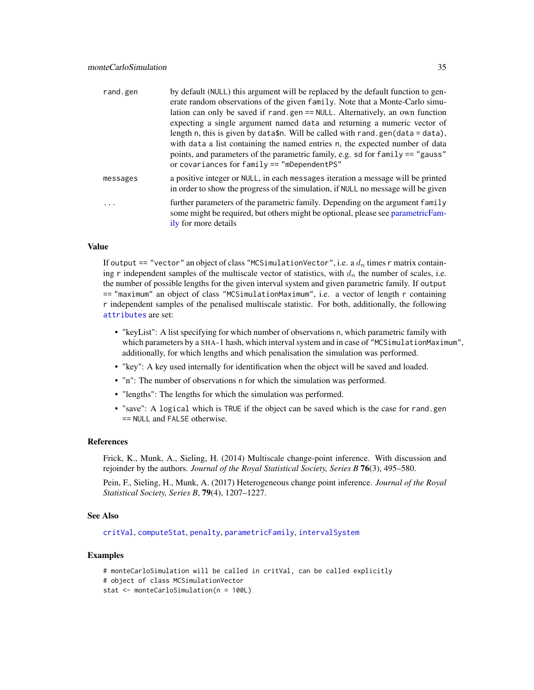<span id="page-34-0"></span>

| rand.gen | by default (NULL) this argument will be replaced by the default function to gen-                                                                                                         |
|----------|------------------------------------------------------------------------------------------------------------------------------------------------------------------------------------------|
|          | erate random observations of the given family. Note that a Monte-Carlo simu-                                                                                                             |
|          | lation can only be saved if rand.gen == NULL. Alternatively, an own function                                                                                                             |
|          | expecting a single argument named data and returning a numeric vector of                                                                                                                 |
|          | length n, this is given by data\$n. Will be called with rand.gen(data = data),                                                                                                           |
|          | with data a list containing the named entries n, the expected number of data                                                                                                             |
|          | points, and parameters of the parametric family, e.g. sd for family == "gauss"<br>or covariances for $family == "mDependent PS"$                                                         |
|          |                                                                                                                                                                                          |
| messages | a positive integer or NULL, in each messages iteration a message will be printed<br>in order to show the progress of the simulation, if NULL no message will be given                    |
| .        | further parameters of the parametric family. Depending on the argument family<br>some might be required, but others might be optional, please see parametricFam-<br>ily for more details |

# Value

If output == "vector" an object of class "MCSimulationVector", i.e. a  $d_n$  times r matrix containing r independent samples of the multiscale vector of statistics, with  $d_n$  the number of scales, i.e. the number of possible lengths for the given interval system and given parametric family. If output == "maximum" an object of class "MCSimulationMaximum", i.e. a vector of length r containing r independent samples of the penalised multiscale statistic. For both, additionally, the following [attributes](#page-0-0) are set:

- "keyList": A list specifying for which number of observations n, which parametric family with which parameters by a SHA-1 hash, which interval system and in case of "MCSimulationMaximum", additionally, for which lengths and which penalisation the simulation was performed.
- "key": A key used internally for identification when the object will be saved and loaded.
- "n": The number of observations n for which the simulation was performed.
- "lengths": The lengths for which the simulation was performed.
- "save": A logical which is TRUE if the object can be saved which is the case for rand.gen == NULL and FALSE otherwise.

#### References

Frick, K., Munk, A., Sieling, H. (2014) Multiscale change-point inference. With discussion and rejoinder by the authors. *Journal of the Royal Statistical Society, Series B* 76(3), 495–580.

Pein, F., Sieling, H., Munk, A. (2017) Heterogeneous change point inference. *Journal of the Royal Statistical Society, Series B*, 79(4), 1207–1227.

#### See Also

[critVal](#page-18-1), [computeStat](#page-14-1), [penalty](#page-43-1), [parametricFamily](#page-40-1), [intervalSystem](#page-28-1)

```
# monteCarloSimulation will be called in critVal, can be called explicitly
# object of class MCSimulationVector
stat <- monteCarloSimulation(n = 100L)
```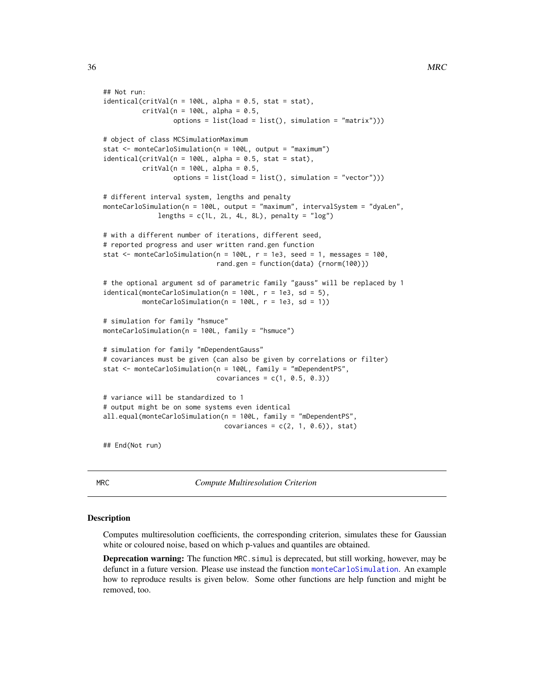```
## Not run:
identical(critVal(n = 100L, alpha = 0.5, stat = stat),critVal(n = 100L, alpha = 0.5,options = list(load = list(), simulation = "matrix"))# object of class MCSimulationMaximum
stat <- monteCarloSimulation(n = 100L, output = "maximum")
identical(critVal(n = 100L, alpha = 0.5, stat = stat),critVal(n = 100L, alpha = 0.5,options = list(load = list(), simulation = "vector")))
# different interval system, lengths and penalty
monteCarloSimulation(n = 100L, output = "maximum", intervalSystem = "dyaLen",
              lengths = c(1L, 2L, 4L, 8L), penalty = "log")
# with a different number of iterations, different seed,
# reported progress and user written rand.gen function
stat \le monteCarloSimulation(n = 100L, r = 1e3, seed = 1, messages = 100,
                             rand.gen = function(data) {rnorm(100)})
# the optional argument sd of parametric family "gauss" will be replaced by 1
identical(monteCarloSimulation(n = 100L, r = 1e3, sd = 5),monteCarloSimulation(n = 100L, r = 1e3, sd = 1))
# simulation for family "hsmuce"
monteCarloSimulation(n = 100L, family = "hsmuce")
# simulation for family "mDependentGauss"
# covariances must be given (can also be given by correlations or filter)
stat <- monteCarloSimulation(n = 100L, family = "mDependentPS",
                            covariances = c(1, 0.5, 0.3)# variance will be standardized to 1
# output might be on some systems even identical
all.equal(monteCarloSimulation(n = 100L, family = "mDependentPS",
                               covariances = c(2, 1, 0.6), stat)
## End(Not run)
```
<span id="page-35-1"></span>MRC *Compute Multiresolution Criterion*

#### Description

Computes multiresolution coefficients, the corresponding criterion, simulates these for Gaussian white or coloured noise, based on which p-values and quantiles are obtained.

**Deprecation warning:** The function MRC. simul is deprecated, but still working, however, may be defunct in a future version. Please use instead the function [monteCarloSimulation](#page-33-1). An example how to reproduce results is given below. Some other functions are help function and might be removed, too.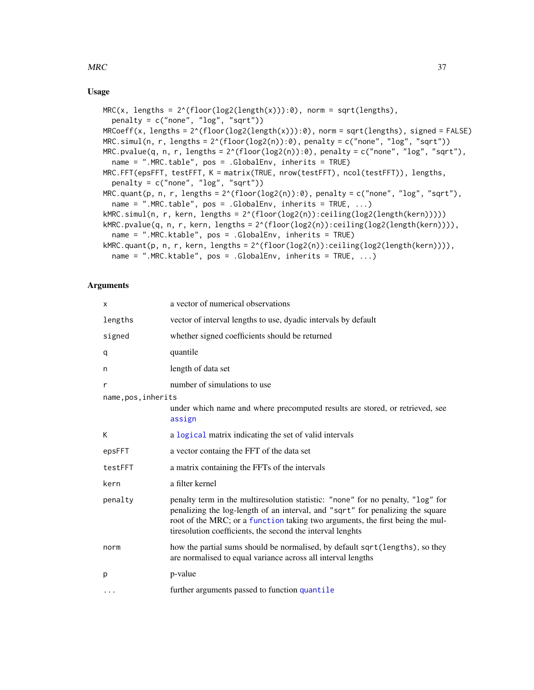#### <span id="page-36-0"></span> $MRC$  37

# Usage

```
MRC(x, lengths = 2^(floor(log2(length(x))):0), norm = sqrt(lengths),penalty = c("none", "log", "sqrt"))
MRCoeff(x, lengths = 2^(floor(log2(length(x))):0), norm = sqrt(lengths), signed = FALSE)MRC.simul(n, r, lengths = 2^(floor(log2(n)):0), penalty = c("none", "log", "sqrt"))
MRC.pvalue(q, n, r, lengths = 2^(floor(log2(n)):0), penalty = c("none", "log", "sqrt"),
  name = ".MRC.table", pos = .GlobalEnv, inherits = TRUE)
MRC.FFT(epsFFT, testFFT, K = matrix(TRUE, nrow(testFFT), ncol(testFFT)), lengths,
  penalty = c("none", "log", "sqrt")MRC.quant(p, n, r, lengths = 2^(floor(log2(n)):0), penalty = c("none", "log", "sqrt"),
  name = ".MRC.table", pos = .GlobalEnv, inherits = TRUE, ...)
kMRC.simul(n, r, kern, lengths = 2^(floor(log2(n)):ceiling(log2(length(kern)))))
kMRC.pvalue(q, n, r, kern, lengths = 2^(floor(log2(n)):ceiling(log2(length(kern)))),
  name = ".MRC.ktable", pos = .GlobalEnv, inherits = TRUE)
kMRC.quant(p, n, r, kern, lengths = 2^(floor(\log 2(n)):ceiling(log2(length(kern)))),
  name = ".MRC.ktable", pos = .GlobalEnv, inherits = TRUE, ...)
```
# Arguments

| x                   | a vector of numerical observations                                                                                                                                                                                                                                                                               |
|---------------------|------------------------------------------------------------------------------------------------------------------------------------------------------------------------------------------------------------------------------------------------------------------------------------------------------------------|
| lengths             | vector of interval lengths to use, dyadic intervals by default                                                                                                                                                                                                                                                   |
| signed              | whether signed coefficients should be returned                                                                                                                                                                                                                                                                   |
| q                   | quantile                                                                                                                                                                                                                                                                                                         |
| n                   | length of data set                                                                                                                                                                                                                                                                                               |
| r                   | number of simulations to use                                                                                                                                                                                                                                                                                     |
| name, pos, inherits |                                                                                                                                                                                                                                                                                                                  |
|                     | under which name and where precomputed results are stored, or retrieved, see<br>assign                                                                                                                                                                                                                           |
| К                   | a logical matrix indicating the set of valid intervals                                                                                                                                                                                                                                                           |
| epsFFT              | a vector containg the FFT of the data set                                                                                                                                                                                                                                                                        |
| testFFT             | a matrix containing the FFTs of the intervals                                                                                                                                                                                                                                                                    |
| kern                | a filter kernel                                                                                                                                                                                                                                                                                                  |
| penalty             | penalty term in the multiresolution statistic: "none" for no penalty, "log" for<br>penalizing the log-length of an interval, and "sqrt" for penalizing the square<br>root of the MRC; or a function taking two arguments, the first being the mul-<br>tiresolution coefficients, the second the interval lenghts |
| norm                | how the partial sums should be normalised, by default sqrt(lengths), so they<br>are normalised to equal variance across all interval lengths                                                                                                                                                                     |
| р                   | p-value                                                                                                                                                                                                                                                                                                          |
| $\cdots$            | further arguments passed to function quantile                                                                                                                                                                                                                                                                    |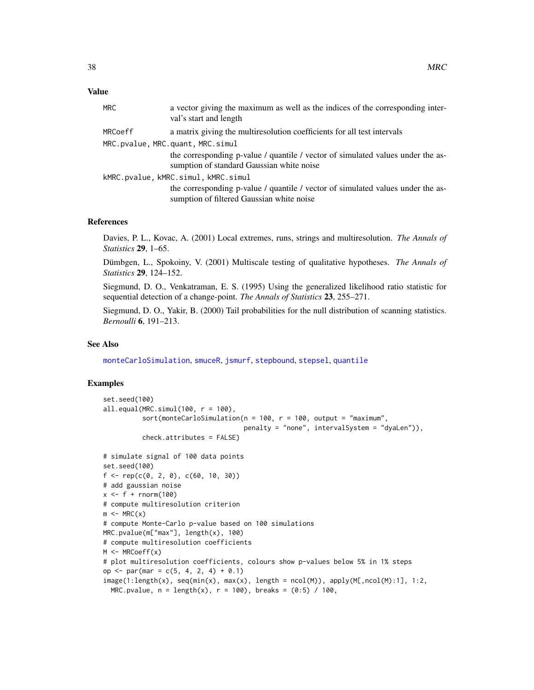#### <span id="page-37-0"></span>Value

| MRC.                              | a vector giving the maximum as well as the indices of the corresponding inter-<br>val's start and length                     |  |
|-----------------------------------|------------------------------------------------------------------------------------------------------------------------------|--|
| MRCoeff                           | a matrix giving the multiresolution coefficients for all test intervals                                                      |  |
| MRC.pvalue, MRC.quant, MRC.simul  |                                                                                                                              |  |
|                                   | the corresponding p-value / quantile / vector of simulated values under the as-<br>sumption of standard Gaussian white noise |  |
| kMRC.pvalue,kMRC.simul,kMRC.simul |                                                                                                                              |  |
|                                   | the corresponding p-value / quantile / vector of simulated values under the as-<br>sumption of filtered Gaussian white noise |  |
|                                   |                                                                                                                              |  |

#### References

Davies, P. L., Kovac, A. (2001) Local extremes, runs, strings and multiresolution. *The Annals of Statistics* 29, 1–65.

Dümbgen, L., Spokoiny, V. (2001) Multiscale testing of qualitative hypotheses. *The Annals of Statistics* 29, 124–152.

Siegmund, D. O., Venkatraman, E. S. (1995) Using the generalized likelihood ratio statistic for sequential detection of a change-point. *The Annals of Statistics* 23, 255–271.

Siegmund, D. O., Yakir, B. (2000) Tail probabilities for the null distribution of scanning statistics. *Bernoulli* 6, 191–213.

#### See Also

[monteCarloSimulation](#page-33-1), [smuceR](#page-46-1), [jsmurf](#page-29-1), [stepbound](#page-50-1), [stepsel](#page-61-1), [quantile](#page-0-0)

```
set.seed(100)
all.equals(MRC.simul(100, r = 100),sort(monteCarloSimulation(n = 100, r = 100, output = "maximum",
                                      penalty = "none", intervalSystem = "dyaLen")),
          check.attributes = FALSE)
# simulate signal of 100 data points
set.seed(100)
f \leftarrow \text{rep}(c(0, 2, 0), c(60, 10, 30))# add gaussian noise
x \leq-f + \text{rnorm}(100)# compute multiresolution criterion
m \leftarrow MRC(x)# compute Monte-Carlo p-value based on 100 simulations
MRC.pvalue(m["max"], length(x), 100)
# compute multiresolution coefficients
M < - MRCoeff(x)# plot multiresolution coefficients, colours show p-values below 5% in 1% steps
op <- par(mar = c(5, 4, 2, 4) + 0.1)
image(1:length(x), seq(min(x), max(x), length = ncol(M)), apply(M[, ncol(M):1], 1:2,MRC.pvalue, n = length(x), r = 100, breaks = (0:5) / 100,
```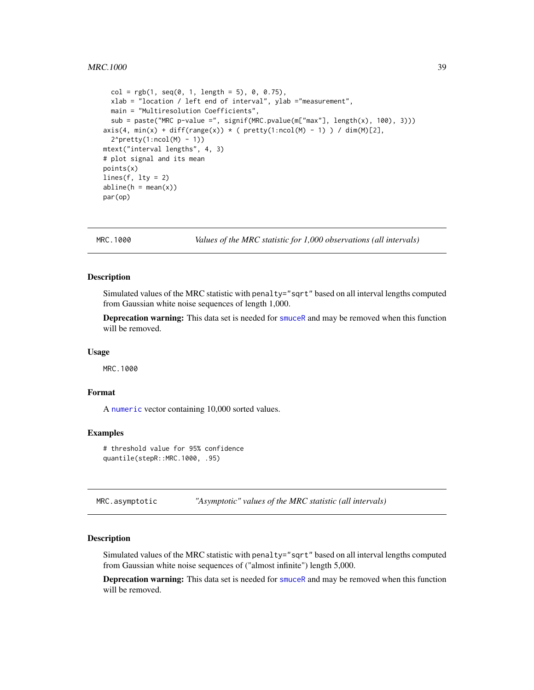```
col = rgb(1, seq(0, 1, length = 5), 0, 0.75),xlab = "location / left end of interval", ylab ="measurement",
 main = "Multiresolution Coefficients",
 sub = paste("MRC p-value =", signif(MRC.pvalue(m["max"], length(x), 100), 3)))
axis(4, min(x) + diff(range(x)) * ( pretty(1:ncol(M) - 1)) / dim(M)[2],2^{\wedge}pretty(1:ncol(M) - 1))
mtext("interval lengths", 4, 3)
# plot signal and its mean
points(x)
lines(f, 1ty = 2)abline(h = mean(x))par(op)
```
<span id="page-38-1"></span>

MRC.1000 *Values of the MRC statistic for 1,000 observations (all intervals)*

#### Description

Simulated values of the MRC statistic with penalty="sqrt" based on all interval lengths computed from Gaussian white noise sequences of length 1,000.

Deprecation warning: This data set is needed for [smuceR](#page-46-1) and may be removed when this function will be removed.

#### Usage

MRC.1000

# Format

A [numeric](#page-0-0) vector containing 10,000 sorted values.

#### Examples

# threshold value for 95% confidence quantile(stepR::MRC.1000, .95)

<span id="page-38-2"></span>MRC.asymptotic *"Asymptotic" values of the MRC statistic (all intervals)*

#### **Description**

Simulated values of the MRC statistic with penalty="sqrt" based on all interval lengths computed from Gaussian white noise sequences of ("almost infinite") length 5,000.

Deprecation warning: This data set is needed for [smuceR](#page-46-1) and may be removed when this function will be removed.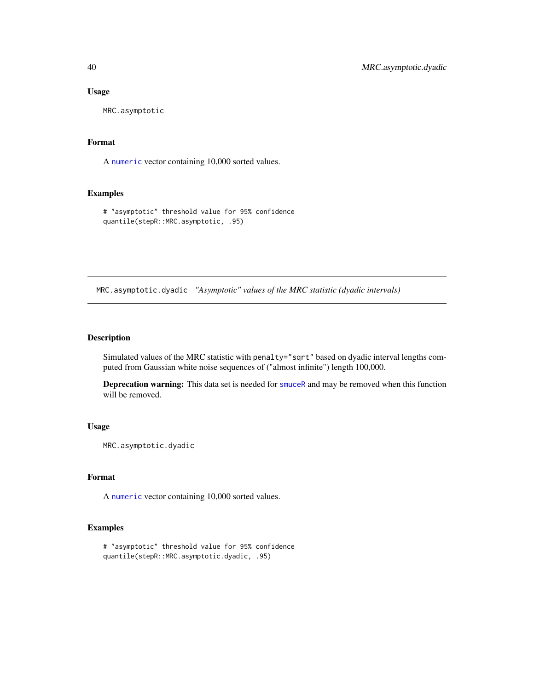# Usage

MRC.asymptotic

#### Format

A [numeric](#page-0-0) vector containing 10,000 sorted values.

# Examples

# "asymptotic" threshold value for 95% confidence quantile(stepR::MRC.asymptotic, .95)

<span id="page-39-1"></span>MRC.asymptotic.dyadic *"Asymptotic" values of the MRC statistic (dyadic intervals)*

# Description

Simulated values of the MRC statistic with penalty="sqrt" based on dyadic interval lengths computed from Gaussian white noise sequences of ("almost infinite") length 100,000.

Deprecation warning: This data set is needed for [smuceR](#page-46-1) and may be removed when this function will be removed.

# Usage

MRC.asymptotic.dyadic

# Format

A [numeric](#page-0-0) vector containing 10,000 sorted values.

```
# "asymptotic" threshold value for 95% confidence
quantile(stepR::MRC.asymptotic.dyadic, .95)
```
<span id="page-39-0"></span>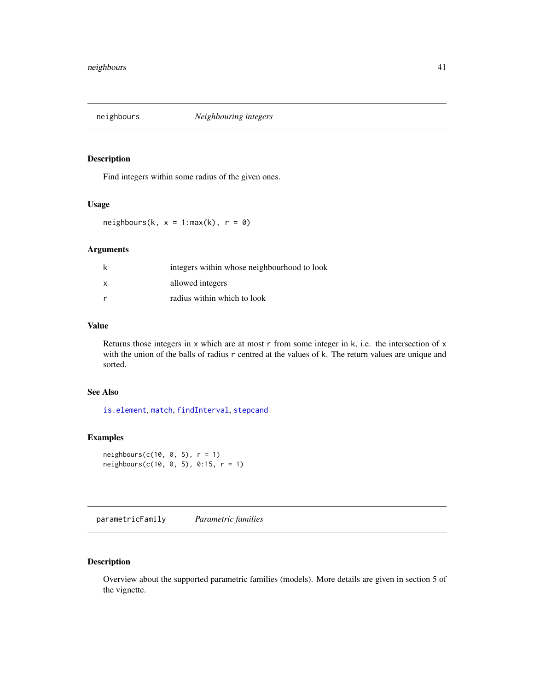<span id="page-40-2"></span><span id="page-40-0"></span>

# Description

Find integers within some radius of the given ones.

#### Usage

neighbours(k,  $x = 1:max(k)$ ,  $r = 0$ )

# Arguments

| k            | integers within whose neighbourhood to look |
|--------------|---------------------------------------------|
| $\mathsf{x}$ | allowed integers                            |
| r            | radius within which to look                 |

# Value

Returns those integers in x which are at most  $r$  from some integer in k, i.e. the intersection of x with the union of the balls of radius r centred at the values of k. The return values are unique and sorted.

# See Also

[is.element](#page-0-0), [match](#page-0-0), [findInterval](#page-0-0), [stepcand](#page-51-1)

# Examples

```
neighbours(c(10, 0, 5), r = 1)
neighbours(c(10, 0, 5), 0:15, r = 1)
```
<span id="page-40-1"></span>parametricFamily *Parametric families*

# Description

Overview about the supported parametric families (models). More details are given in section 5 of the vignette.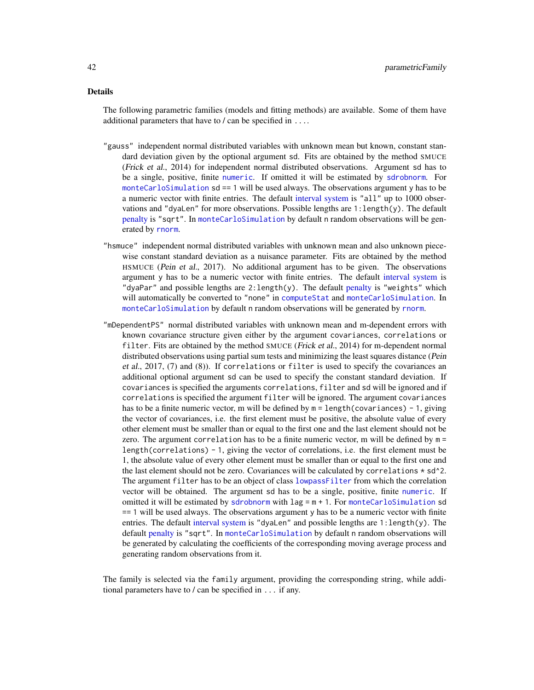# <span id="page-41-0"></span>Details

The following parametric families (models and fitting methods) are available. Some of them have additional parameters that have to / can be specified in ....

- "gauss" independent normal distributed variables with unknown mean but known, constant standard deviation given by the optional argument sd. Fits are obtained by the method SMUCE (Frick et al., 2014) for independent normal distributed observations. Argument sd has to be a single, positive, finite [numeric](#page-0-0). If omitted it will be estimated by [sdrobnorm](#page-45-1). For [monteCarloSimulation](#page-33-1) sd == 1 will be used always. The observations argument y has to be a numeric vector with finite entries. The default [interval system](#page-28-1) is "all" up to 1000 observations and "dyaLen" for more observations. Possible lengths are  $1$ : length $(y)$ . The default [penalty](#page-43-1) is "sqrt". In [monteCarloSimulation](#page-33-1) by default n random observations will be generated by [rnorm](#page-0-0).
- "hsmuce" independent normal distributed variables with unknown mean and also unknown piecewise constant standard deviation as a nuisance parameter. Fits are obtained by the method HSMUCE (Pein et al., 2017). No additional argument has to be given. The observations argument y has to be a numeric vector with finite entries. The default [interval system](#page-28-1) is "dyaPar" and possible lengths are  $2$ : length(y). The default [penalty](#page-43-1) is "weights" which will automatically be converted to "none" in [computeStat](#page-14-1) and [monteCarloSimulation](#page-33-1). In [monteCarloSimulation](#page-33-1) by default n random observations will be generated by [rnorm](#page-0-0).
- "mDependentPS" normal distributed variables with unknown mean and m-dependent errors with known covariance structure given either by the argument covariances, correlations or filter. Fits are obtained by the method SMUCE (Frick et al., 2014) for m-dependent normal distributed observations using partial sum tests and minimizing the least squares distance (Pein et al., 2017, (7) and (8)). If correlations or filter is used to specify the covariances an additional optional argument sd can be used to specify the constant standard deviation. If covariances is specified the arguments correlations, filter and sd will be ignored and if correlations is specified the argument filter will be ignored. The argument covariances has to be a finite numeric vector, m will be defined by  $m =$  length(covariances) - 1, giving the vector of covariances, i.e. the first element must be positive, the absolute value of every other element must be smaller than or equal to the first one and the last element should not be zero. The argument correlation has to be a finite numeric vector, m will be defined by  $m =$ length(correlations) - 1, giving the vector of correlations, i.e. the first element must be 1, the absolute value of every other element must be smaller than or equal to the first one and the last element should not be zero. Covariances will be calculated by correlations  $*$  sd<sup> $\lambda$ </sup>2. The argument filter has to be an object of class [lowpassFilter](#page-0-0) from which the correlation vector will be obtained. The argument sd has to be a single, positive, finite [numeric](#page-0-0). If omitted it will be estimated by [sdrobnorm](#page-45-1) with  $\text{lag} = m + 1$ . For [monteCarloSimulation](#page-33-1) sd == 1 will be used always. The observations argument y has to be a numeric vector with finite entries. The default [interval system](#page-28-1) is "dyaLen" and possible lengths are  $1$ :length(y). The default [penalty](#page-43-1) is "sqrt". In [monteCarloSimulation](#page-33-1) by default n random observations will be generated by calculating the coefficients of the corresponding moving average process and generating random observations from it.

The family is selected via the family argument, providing the corresponding string, while additional parameters have to / can be specified in ... if any.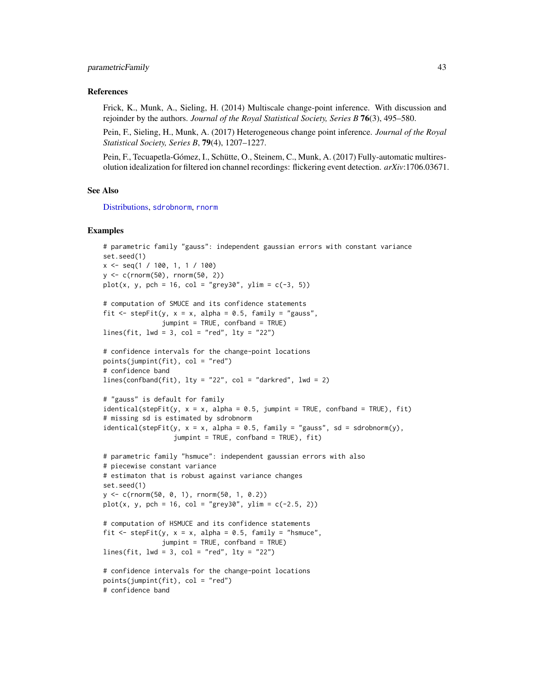#### <span id="page-42-0"></span>References

Frick, K., Munk, A., Sieling, H. (2014) Multiscale change-point inference. With discussion and rejoinder by the authors. *Journal of the Royal Statistical Society, Series B* 76(3), 495–580.

Pein, F., Sieling, H., Munk, A. (2017) Heterogeneous change point inference. *Journal of the Royal Statistical Society, Series B*, 79(4), 1207–1227.

Pein, F., Tecuapetla-Gómez, I., Schütte, O., Steinem, C., Munk, A. (2017) Fully-automatic multiresolution idealization for filtered ion channel recordings: flickering event detection. *arXiv*:1706.03671.

#### See Also

[Distributions,](#page-0-0) [sdrobnorm](#page-45-1), [rnorm](#page-0-0)

```
# parametric family "gauss": independent gaussian errors with constant variance
set.seed(1)
x \leq -\text{seq}(1 / 100, 1, 1 / 100)y <- c(rnorm(50), rnorm(50, 2))
plot(x, y, pch = 16, col = "grey30", ylim = c(-3, 5))# computation of SMUCE and its confidence statements
fit \le stepFit(y, x = x, alpha = 0.5, family = "gauss",
               jumpint = TRUE, confband = TRUE)
lines(fit, lwd = 3, col = "red", lty = "22")# confidence intervals for the change-point locations
points(jumpint(fit), col = "red")
# confidence band
lines(confband(fit), lty = "22", col = "darkred", lwd = 2)# "gauss" is default for family
identical(stepFit(y, x = x, alpha = 0.5, jumpint = TRUE, confband = TRUE), fit)# missing sd is estimated by sdrobnorm
identical(stepFit(y, x = x, alpha = 0.5, family = "gauss", sd = sdrobnorm(y),
                  jumpint = TRUE, confband = TRUE), fit)
# parametric family "hsmuce": independent gaussian errors with also
# piecewise constant variance
# estimaton that is robust against variance changes
set.seed(1)
y <- c(rnorm(50, 0, 1), rnorm(50, 1, 0.2))
plot(x, y, pch = 16, col = "grey30", ylim = c(-2.5, 2))# computation of HSMUCE and its confidence statements
fit \le stepFit(y, x = x, alpha = 0.5, family = "hsmuce",
               jumpint = TRUE, confband = TRUE)
lines(fit, 1wd = 3, col = "red", 1ty = "22")# confidence intervals for the change-point locations
points(jumpint(fit), col = "red")
# confidence band
```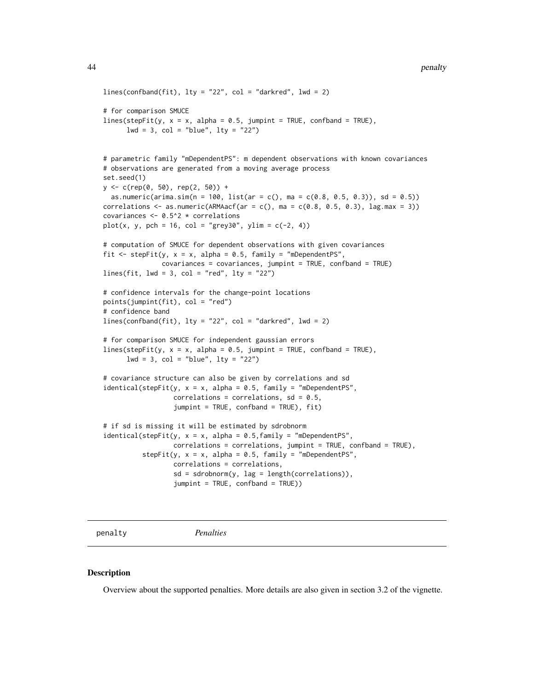```
lines(confband(fit), lty = "22", col = "darkred", lw = 2)# for comparison SMUCE
lines(stepFit(y, x = x, alpha = 0.5, jumpint = TRUE, confband = TRUE),1wd = 3, col = "blue", 1ty = "22")# parametric family "mDependentPS": m dependent observations with known covariances
# observations are generated from a moving average process
set.seed(1)
y <- c(rep(0, 50), rep(2, 50)) +
 as.numeric(arima.sim(n = 100, list(ar = c(), ma = c(0.8, 0.5, 0.3)), sd = 0.5))
correlations \leq as.numeric(ARMAacf(ar = c(), ma = c(0.8, 0.5, 0.3), lag.max = 3))
covariances <- 0.5^2 * correlations
plot(x, y, pch = 16, col = "grey30", ylim = c(-2, 4))# computation of SMUCE for dependent observations with given covariances
fit \le stepFit(y, x = x, alpha = 0.5, family = "mDependentPS",
               covariances = covariances, jumpint = TRUE, confband = TRUE)
lines(fit, lwd = 3, col = "red", lty = "22")# confidence intervals for the change-point locations
points(jumpint(fit), col = "red")
# confidence band
lines(confband(fit), lty = "22", col = "darkred", lwd = 2)
# for comparison SMUCE for independent gaussian errors
lines(stepFit(y, x = x, alpha = 0.5, jumpint = TRUE, confband = TRUE),
     1wd = 3, col = "blue", 1ty = "22")# covariance structure can also be given by correlations and sd
identical(stepFit(y, x = x, alpha = 0.5, family = "mDependentPS",correlations = correlations, sd = 0.5,
                  jumpint = TRUE, confband = TRUE), fit)
# if sd is missing it will be estimated by sdrobnorm
identical(stepFit(y, x = x, alpha = 0.5, family = "mDependentPS",correlations = correlations, jumpint = TRUE, confband = TRUE),
          stepFit(y, x = x, alpha = 0.5, family = "mDependentPS",
                  correlations = correlations,
                  sd = sdrobnorm(y, lag = length(correlations)),jumpint = TRUE, confband = TRUE))
```
<span id="page-43-1"></span>penalty *Penalties*

#### **Description**

Overview about the supported penalties. More details are also given in section 3.2 of the vignette.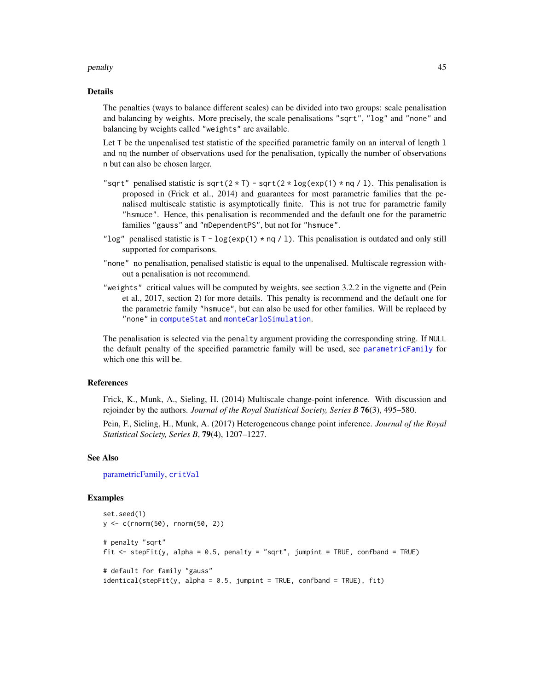#### <span id="page-44-0"></span>penalty and the contract of the contract of the contract of the contract of the contract of the contract of the contract of the contract of the contract of the contract of the contract of the contract of the contract of th

#### Details

The penalties (ways to balance different scales) can be divided into two groups: scale penalisation and balancing by weights. More precisely, the scale penalisations "sqrt", "log" and "none" and balancing by weights called "weights" are available.

Let T be the unpenalised test statistic of the specified parametric family on an interval of length 1 and nq the number of observations used for the penalisation, typically the number of observations n but can also be chosen larger.

- "sqrt" penalised statistic is sqrt( $2 \times T$ ) sqrt( $2 \times log(exp(1) \times nq / 1)$ . This penalisation is proposed in (Frick et al., 2014) and guarantees for most parametric families that the penalised multiscale statistic is asymptotically finite. This is not true for parametric family "hsmuce". Hence, this penalisation is recommended and the default one for the parametric families "gauss" and "mDependentPS", but not for "hsmuce".
- "log" penalised statistic is  $T log(exp(1) * nq / 1)$ . This penalisation is outdated and only still supported for comparisons.
- "none" no penalisation, penalised statistic is equal to the unpenalised. Multiscale regression without a penalisation is not recommend.
- "weights" critical values will be computed by weights, see section 3.2.2 in the vignette and (Pein et al., 2017, section 2) for more details. This penalty is recommend and the default one for the parametric family "hsmuce", but can also be used for other families. Will be replaced by "none" in [computeStat](#page-14-1) and [monteCarloSimulation](#page-33-1).

The penalisation is selected via the penalty argument providing the corresponding string. If NULL the default penalty of the specified parametric family will be used, see [parametricFamily](#page-40-1) for which one this will be.

#### References

Frick, K., Munk, A., Sieling, H. (2014) Multiscale change-point inference. With discussion and rejoinder by the authors. *Journal of the Royal Statistical Society, Series B* 76(3), 495–580.

Pein, F., Sieling, H., Munk, A. (2017) Heterogeneous change point inference. *Journal of the Royal Statistical Society, Series B*, 79(4), 1207–1227.

#### See Also

[parametricFamily,](#page-40-1) [critVal](#page-18-1)

```
set.seed(1)
y <- c(rnorm(50), rnorm(50, 2))
# penalty "sqrt"
fit <- stepFit(y, alpha = 0.5, penalty = "sqrt", jumpint = TRUE, confband = TRUE)
# default for family "gauss"
identical(stepFit(y, alpha = 0.5, jump) = TRUE, confband = TRUE), fit)
```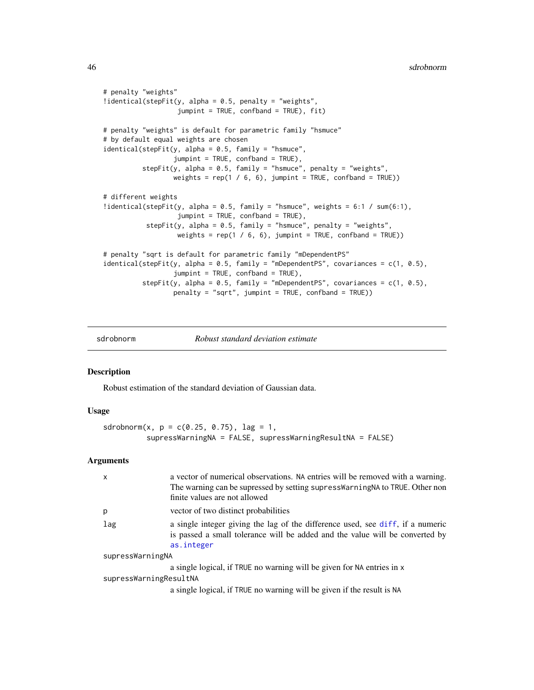```
# penalty "weights"
!identical(stepFit(y, alpha = 0.5, penalty = "weights",
                   jumpint = TRUE, confband = TRUE), fit)
# penalty "weights" is default for parametric family "hsmuce"
# by default equal weights are chosen
identical(stepFit(y, alpha = 0.5, family = "hsmuce",jumpint = TRUE, confband = TRUE),
          stepFit(y, alpha = 0.5, family = "hsmuce", penalty = "weights",
                 weights = rep(1 / 6, 6), jumpint = TRUE, confband = TRUE))
# different weights
!identical(stepFit(y, alpha = 0.5, family = "hsmuce", weights = 6:1 / sum(6:1),
                   jumpint = TRUE, confband = TRUE),
           stepFit(y, alpha = 0.5, family = "hsmuce", penalty = "weights",
                  weights = rep(1 / 6, 6), jumpint = TRUE, confband = TRUE))
# penalty "sqrt is default for parametric family "mDependentPS"
identical(stepFit(y, alpha = 0.5, family = "mDependentPS", covariances = c(1, 0.5),
                  jumpint = TRUE, confband = TRUE),
         stepFit(y, alpha = 0.5, family = "mDependentPS", covariances = c(1, 0.5),
                 penalty = "sqrt", jumpint = TRUE, confband = TRUE))
```
sdrobnorm *Robust standard deviation estimate*

#### Description

Robust estimation of the standard deviation of Gaussian data.

#### Usage

```
sdrobnorm(x, p = c(0.25, 0.75), lag = 1,
          supressWarningNA = FALSE, supressWarningResultNA = FALSE)
```
#### Arguments

| $\mathsf{x}$           | a vector of numerical observations. NA entries will be removed with a warning.<br>The warning can be supressed by setting supressWarningNA to TRUE. Other non<br>finite values are not allowed |  |
|------------------------|------------------------------------------------------------------------------------------------------------------------------------------------------------------------------------------------|--|
| p                      | vector of two distinct probabilities                                                                                                                                                           |  |
| lag                    | a single integer giving the lag of the difference used, see diff, if a numeric<br>is passed a small tolerance will be added and the value will be converted by<br>as.integer                   |  |
| supressWarningNA       |                                                                                                                                                                                                |  |
|                        | a single logical, if TRUE no warning will be given for NA entries in x                                                                                                                         |  |
| supressWarningResultNA |                                                                                                                                                                                                |  |
|                        | a single logical, if TRUE no warning will be given if the result is NA                                                                                                                         |  |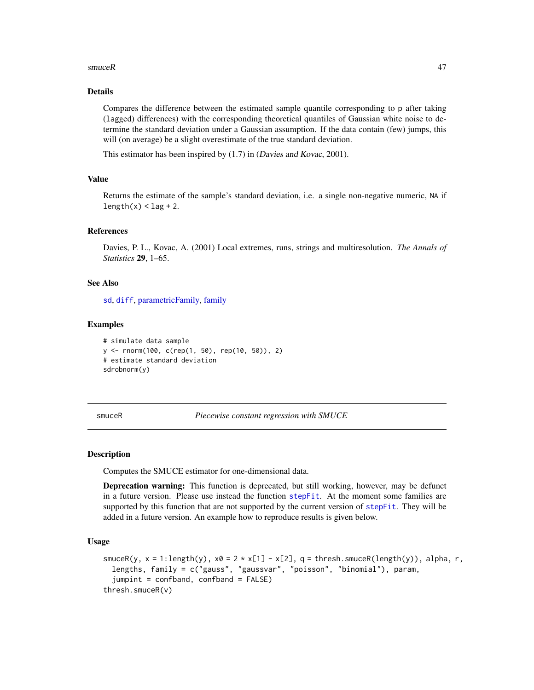#### <span id="page-46-0"></span> $smuceR$  and  $47$

# Details

Compares the difference between the estimated sample quantile corresponding to p after taking (lagged) differences) with the corresponding theoretical quantiles of Gaussian white noise to determine the standard deviation under a Gaussian assumption. If the data contain (few) jumps, this will (on average) be a slight overestimate of the true standard deviation.

This estimator has been inspired by (1.7) in (Davies and Kovac, 2001).

#### Value

Returns the estimate of the sample's standard deviation, i.e. a single non-negative numeric, NA if  $length(x) <$  lag + 2.

# References

Davies, P. L., Kovac, A. (2001) Local extremes, runs, strings and multiresolution. *The Annals of Statistics* 29, 1–65.

# See Also

[sd](#page-0-0), [diff](#page-0-0), [parametricFamily,](#page-40-1) [family](#page-27-1)

#### Examples

```
# simulate data sample
y <- rnorm(100, c(rep(1, 50), rep(10, 50)), 2)
# estimate standard deviation
sdrobnorm(y)
```
<span id="page-46-1"></span>smuceR *Piecewise constant regression with SMUCE*

#### Description

Computes the SMUCE estimator for one-dimensional data.

Deprecation warning: This function is deprecated, but still working, however, may be defunct in a future version. Please use instead the function [stepFit](#page-53-1). At the moment some families are supported by this function that are not supported by the current version of [stepFit](#page-53-1). They will be added in a future version. An example how to reproduce results is given below.

# Usage

```
smuceR(y, x = 1:length(y), x0 = 2 \times x[1] - x[2], q = thresh.smuceR(length(y)), alpha, r,
  lengths, family = c("gauss", "gaussvar", "poisson", "binomial"), param,
  jumpint = confband, confband = FALSE)
thresh.smuceR(v)
```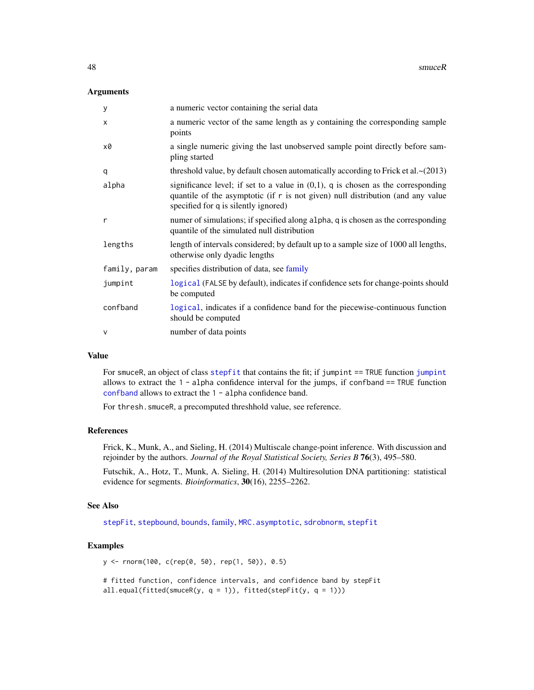#### <span id="page-47-0"></span>**Arguments**

| У             | a numeric vector containing the serial data                                                                                                                                                                    |
|---------------|----------------------------------------------------------------------------------------------------------------------------------------------------------------------------------------------------------------|
| $\mathsf{x}$  | a numeric vector of the same length as y containing the corresponding sample<br>points                                                                                                                         |
| x0            | a single numeric giving the last unobserved sample point directly before sam-<br>pling started                                                                                                                 |
| q             | threshold value, by default chosen automatically according to Frick et al. $\sim$ (2013)                                                                                                                       |
| alpha         | significance level; if set to a value in $(0,1)$ , q is chosen as the corresponding<br>quantile of the asymptotic (if r is not given) null distribution (and any value<br>specified for q is silently ignored) |
| r             | numer of simulations; if specified along alpha, q is chosen as the corresponding<br>quantile of the simulated null distribution                                                                                |
| lengths       | length of intervals considered; by default up to a sample size of 1000 all lengths,<br>otherwise only dyadic lengths                                                                                           |
| family, param | specifies distribution of data, see family                                                                                                                                                                     |
| jumpint       | logical (FALSE by default), indicates if confidence sets for change-points should<br>be computed                                                                                                               |
| confband      | logical, indicates if a confidence band for the piecewise-continuous function<br>should be computed                                                                                                            |
| $\mathsf{V}$  | number of data points                                                                                                                                                                                          |

# Value

For smuceR, an object of class [stepfit](#page-56-1) that contains the fit; if jumpint == TRUE function [jumpint](#page-31-1) allows to extract the  $1$  - alpha confidence interval for the jumps, if confband  $==$  TRUE function [confband](#page-31-2) allows to extract the 1 - alpha confidence band.

For thresh.smuceR, a precomputed threshhold value, see reference.

#### References

Frick, K., Munk, A., and Sieling, H. (2014) Multiscale change-point inference. With discussion and rejoinder by the authors. *Journal of the Royal Statistical Society, Series B* 76(3), 495–580.

Futschik, A., Hotz, T., Munk, A. Sieling, H. (2014) Multiresolution DNA partitioning: statistical evidence for segments. *Bioinformatics*, 30(16), 2255–2262.

#### See Also

[stepFit](#page-53-1), [stepbound](#page-50-1), [bounds](#page-8-1), [family,](#page-27-1) [MRC.asymptotic](#page-38-2), [sdrobnorm](#page-45-1), [stepfit](#page-56-1)

# Examples

y <- rnorm(100, c(rep(0, 50), rep(1, 50)), 0.5)

```
# fitted function, confidence intervals, and confidence band by stepFit
all.equal(fitted(smuceR(y, q = 1)), fitted(stepFit(y, q = 1)))
```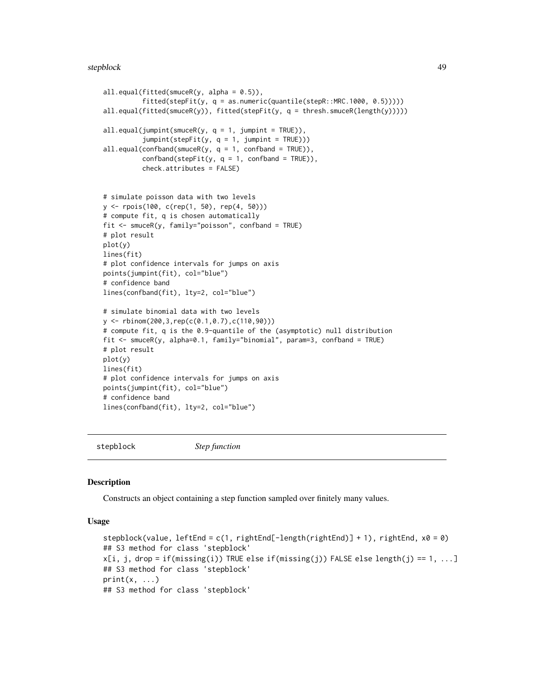#### <span id="page-48-0"></span>stepblock and the stephene of the stephene of the stephene of the stephene of the stephene of the stephene of the stephene of the stephene of the stephene of the stephene of the stephene of the stephene of the stephene of

```
all.equal(fitted(smuceR(y, alpha = 0.5)),
          fitted(stepFit(y, q = as.numeric(quantile(stepR::MRC.1000, 0.5)))))
all.equal(fitted(smuceR(y)), fitted(stepFit(y, q = thresh.smuceR(length(y)))))
all.equals(jumption(smoveR(y, q = 1, jumption = TRUE)),jumpint(stepFit(y, q = 1, jumpint = TRUE)))all.equals(confband(smuceR(y, q = 1, confband = TRUE)),confband(stepFit(y, q = 1, confband = TRUE)),check.attributes = FALSE)
# simulate poisson data with two levels
y <- rpois(100, c(rep(1, 50), rep(4, 50)))
# compute fit, q is chosen automatically
fit <- smuceR(y, family="poisson", confband = TRUE)
# plot result
plot(y)
lines(fit)
# plot confidence intervals for jumps on axis
points(jumpint(fit), col="blue")
# confidence band
lines(confband(fit), lty=2, col="blue")
# simulate binomial data with two levels
y <- rbinom(200,3,rep(c(0.1,0.7),c(110,90)))
# compute fit, q is the 0.9-quantile of the (asymptotic) null distribution
fit <- smuceR(y, alpha=0.1, family="binomial", param=3, confband = TRUE)
# plot result
plot(y)
lines(fit)
# plot confidence intervals for jumps on axis
points(jumpint(fit), col="blue")
# confidence band
lines(confband(fit), lty=2, col="blue")
```
stepblock *Step function*

#### Description

Constructs an object containing a step function sampled over finitely many values.

# Usage

```
stepblock(value, leftEnd = c(1, rightEnd[-length(rightEnd)] + 1), rightEnd, x0 = 0)
## S3 method for class 'stepblock'
x[i, j, drop = if(missing(i)) TRUE else if(missing(j)) FALSE else length(j) == 1, ...]
## S3 method for class 'stepblock'
print(x, \ldots)## S3 method for class 'stepblock'
```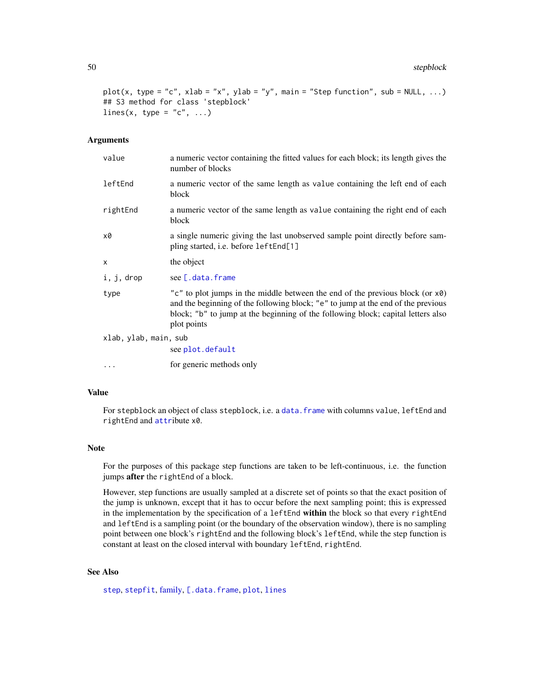```
plot(x, type = "c", xlab = "x", ylab = "y", main = "Step function", sub = NULL, ...)
## S3 method for class 'stepblock'
lines(x, type = "c", \dots)
```
#### Arguments

| value                 | a numeric vector containing the fitted values for each block; its length gives the<br>number of blocks                                                                                                                                                               |
|-----------------------|----------------------------------------------------------------------------------------------------------------------------------------------------------------------------------------------------------------------------------------------------------------------|
| leftEnd               | a numeric vector of the same length as value containing the left end of each<br>block                                                                                                                                                                                |
| rightEnd              | a numeric vector of the same length as value containing the right end of each<br>block                                                                                                                                                                               |
| x0                    | a single numeric giving the last unobserved sample point directly before sam-<br>pling started, i.e. before leftEnd[1]                                                                                                                                               |
| X                     | the object                                                                                                                                                                                                                                                           |
| i, j, drop            | see [.data.frame                                                                                                                                                                                                                                                     |
| type                  | "c" to plot jumps in the middle between the end of the previous block (or x0)<br>and the beginning of the following block; "e" to jump at the end of the previous<br>block; "b" to jump at the beginning of the following block; capital letters also<br>plot points |
| xlab, ylab, main, sub |                                                                                                                                                                                                                                                                      |
|                       | see plot.default                                                                                                                                                                                                                                                     |
| $\cdots$              | for generic methods only                                                                                                                                                                                                                                             |

# Value

For stepblock an object of class stepblock, i.e. a [data.frame](#page-0-0) with columns value, leftEnd and rightEnd and [attr](#page-0-0)ibute x0.

#### Note

For the purposes of this package step functions are taken to be left-continuous, i.e. the function jumps after the rightEnd of a block.

However, step functions are usually sampled at a discrete set of points so that the exact position of the jump is unknown, except that it has to occur before the next sampling point; this is expressed in the implementation by the specification of a leftEnd within the block so that every rightEnd and leftEnd is a sampling point (or the boundary of the observation window), there is no sampling point between one block's rightEnd and the following block's leftEnd, while the step function is constant at least on the closed interval with boundary leftEnd, rightEnd.

# See Also

[step](#page-0-0), [stepfit](#page-56-1), [family,](#page-27-1) [\[.data.frame](#page-0-0), [plot](#page-0-0), [lines](#page-0-0)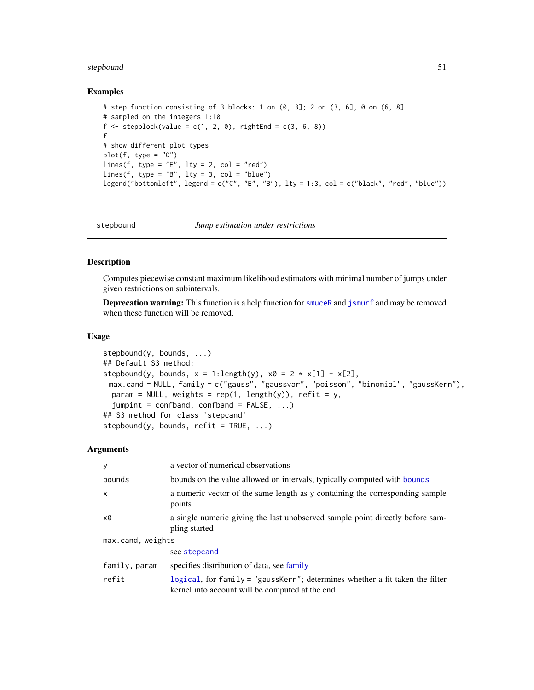#### <span id="page-50-0"></span>stepbound 51

#### Examples

```
# step function consisting of 3 blocks: 1 on (0, 3]; 2 on (3, 6], 0 on (6, 8]
# sampled on the integers 1:10
f \leftarrow stepblock(value = c(1, 2, 0), rightEnd = c(3, 6, 8))
f
# show different plot types
plot(f, type = "C")lines(f, type = "E", lty = 2, col = "red")lines(f, type = "B", lty = 3, col = "blue")
legend("bottomleft", legend = c("C", "E", "B"), lty = 1:3, col = c("black", "red", "blue"))
```
<span id="page-50-1"></span>

stepbound *Jump estimation under restrictions*

# Description

Computes piecewise constant maximum likelihood estimators with minimal number of jumps under given restrictions on subintervals.

**Deprecation warning:** This function is a help function for [smuceR](#page-46-1) and [jsmurf](#page-29-1) and may be removed when these function will be removed.

# Usage

```
stepbound(y, bounds, ...)
## Default S3 method:
stepbound(y, bounds, x = 1: length(y), x0 = 2 \times x[1] - x[2],
 max.cand = NULL, family = c("gauss", "gaussvar", "poisson", "binomial", "gaussKern"),
 param = NULL, weights = rep(1, length(y)), refit = y,
  jumpint = confband, confband = FALSE, ...)## S3 method for class 'stepcand'
stepbound(y, bounds, refit = TRUE, ...)
```
#### Arguments

| y                 | a vector of numerical observations                                                                                              |  |
|-------------------|---------------------------------------------------------------------------------------------------------------------------------|--|
| bounds            | bounds on the value allowed on intervals; typically computed with bounds                                                        |  |
| $\mathsf{x}$      | a numeric vector of the same length as y containing the corresponding sample<br>points                                          |  |
| x0                | a single numeric giving the last unobserved sample point directly before sam-<br>pling started                                  |  |
| max.cand, weights |                                                                                                                                 |  |
|                   | see stepcand                                                                                                                    |  |
| family, param     | specifies distribution of data, see family                                                                                      |  |
| refit             | logical, for family = "gaussKern"; determines whether a fit taken the filter<br>kernel into account will be computed at the end |  |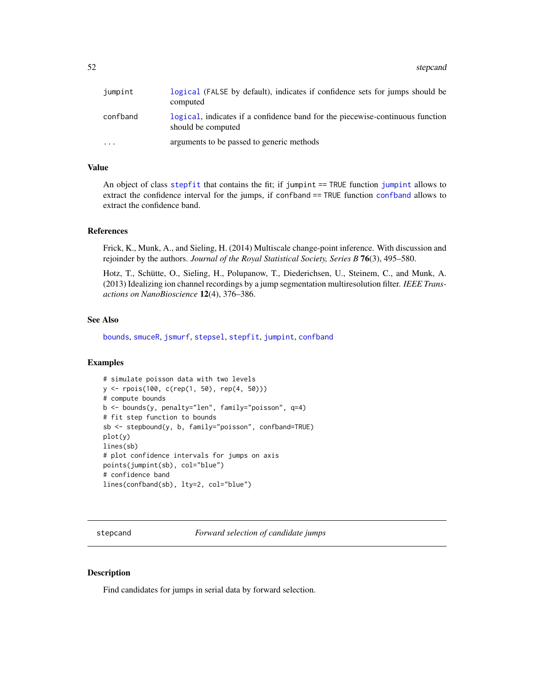#### <span id="page-51-0"></span>52 stepcand and the step can be a step can be a step can be a step can be a step can be a step can be a step can be a step can be a step can be a step can be a step can be a step can be a step can be a step can be a step c

| jumpint                 | logical (FALSE by default), indicates if confidence sets for jumps should be<br>computed            |
|-------------------------|-----------------------------------------------------------------------------------------------------|
| confband                | logical, indicates if a confidence band for the piecewise-continuous function<br>should be computed |
| $\cdot$ $\cdot$ $\cdot$ | arguments to be passed to generic methods                                                           |

# Value

An object of class [stepfit](#page-56-1) that contains the fit; if jumpint == TRUE function [jumpint](#page-31-1) allows to extract the confidence interval for the jumps, if [confband](#page-31-2) == TRUE function confband allows to extract the confidence band.

# References

Frick, K., Munk, A., and Sieling, H. (2014) Multiscale change-point inference. With discussion and rejoinder by the authors. *Journal of the Royal Statistical Society, Series B* 76(3), 495–580.

Hotz, T., Schütte, O., Sieling, H., Polupanow, T., Diederichsen, U., Steinem, C., and Munk, A. (2013) Idealizing ion channel recordings by a jump segmentation multiresolution filter. *IEEE Transactions on NanoBioscience* 12(4), 376–386.

#### See Also

[bounds](#page-8-1), [smuceR](#page-46-1), [jsmurf](#page-29-1), [stepsel](#page-61-1), [stepfit](#page-56-1), [jumpint](#page-31-1), [confband](#page-31-2)

# Examples

```
# simulate poisson data with two levels
y <- rpois(100, c(rep(1, 50), rep(4, 50)))
# compute bounds
b <- bounds(y, penalty="len", family="poisson", q=4)
# fit step function to bounds
sb <- stepbound(y, b, family="poisson", confband=TRUE)
plot(y)
lines(sb)
# plot confidence intervals for jumps on axis
points(jumpint(sb), col="blue")
# confidence band
lines(confband(sb), lty=2, col="blue")
```
<span id="page-51-1"></span>stepcand *Forward selection of candidate jumps*

# Description

Find candidates for jumps in serial data by forward selection.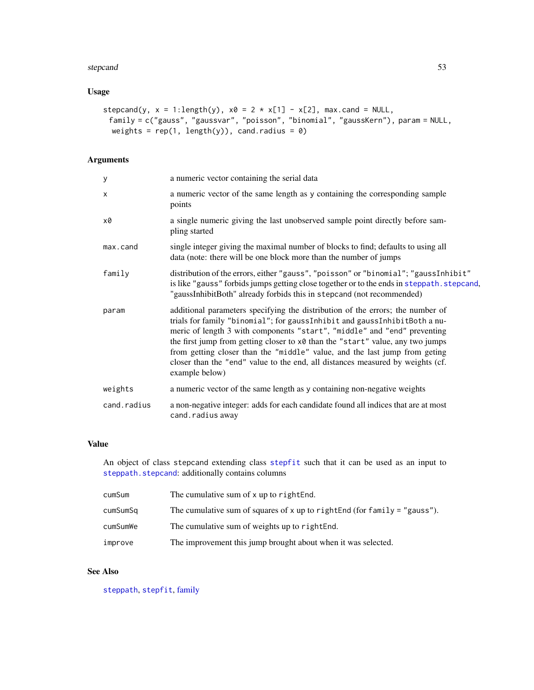#### <span id="page-52-0"></span>stepcand 53

# Usage

```
stepcand(y, x = 1: length(y), x0 = 2 \times x[1] - x[2], max.cand = NULL,
 family = c("gauss", "gaussvar", "poisson", "binomial", "gaussKern"), param = NULL,
 weights = rep(1, length(y)), can d.radius = 0)
```
# Arguments

| У           | a numeric vector containing the serial data                                                                                                                                                                                                                                                                                                                                                                                                                                                                 |
|-------------|-------------------------------------------------------------------------------------------------------------------------------------------------------------------------------------------------------------------------------------------------------------------------------------------------------------------------------------------------------------------------------------------------------------------------------------------------------------------------------------------------------------|
| $\times$    | a numeric vector of the same length as y containing the corresponding sample<br>points                                                                                                                                                                                                                                                                                                                                                                                                                      |
| x0          | a single numeric giving the last unobserved sample point directly before sam-<br>pling started                                                                                                                                                                                                                                                                                                                                                                                                              |
| max.cand    | single integer giving the maximal number of blocks to find; defaults to using all<br>data (note: there will be one block more than the number of jumps                                                                                                                                                                                                                                                                                                                                                      |
| family      | distribution of the errors, either "gauss", "poisson" or "binomial"; "gaussInhibit"<br>is like "gauss" forbids jumps getting close together or to the ends in steppath. stepcand,<br>"gaussInhibitBoth" already forbids this in stepcand (not recommended)                                                                                                                                                                                                                                                  |
| param       | additional parameters specifying the distribution of the errors; the number of<br>trials for family "binomial"; for gaussInhibit and gaussInhibitBoth a nu-<br>meric of length 3 with components "start", "middle" and "end" preventing<br>the first jump from getting closer to x0 than the "start" value, any two jumps<br>from getting closer than the "middle" value, and the last jump from geting<br>closer than the "end" value to the end, all distances measured by weights (cf.<br>example below) |
| weights     | a numeric vector of the same length as y containing non-negative weights                                                                                                                                                                                                                                                                                                                                                                                                                                    |
| cand.radius | a non-negative integer: adds for each candidate found all indices that are at most<br>cand.radius away                                                                                                                                                                                                                                                                                                                                                                                                      |

# Value

An object of class stepcand extending class [stepfit](#page-56-1) such that it can be used as an input to [steppath.stepcand](#page-59-2): additionally contains columns

| cumSum   | The cumulative sum of x up to right End.                                    |
|----------|-----------------------------------------------------------------------------|
| cumSumSq | The cumulative sum of squares of $x$ up to rightEnd (for family = "gauss"). |
| cumSumWe | The cumulative sum of weights up to right End.                              |
| improve  | The improvement this jump brought about when it was selected.               |

# See Also

[steppath](#page-59-1), [stepfit](#page-56-1), [family](#page-27-1)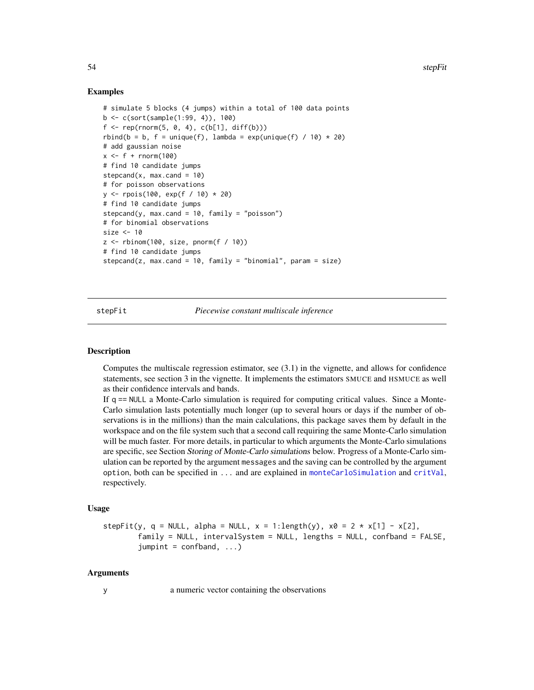#### Examples

```
# simulate 5 blocks (4 jumps) within a total of 100 data points
b <- c(sort(sample(1:99, 4)), 100)
f \leq -rep(rnorm(5, 0, 4), c(b[1], diff(b)))rbind(b = b, f = unique(f), lambda = exp(unique(f) / 10) * 20)# add gaussian noise
x \leq-f + \text{norm}(100)# find 10 candidate jumps
stepcand(x, max.cand = 10)
# for poisson observations
y <- rpois(100, exp(f / 10) * 20)
# find 10 candidate jumps
stepcand(y, max.cand = 10, family = "poisson")
# for binomial observations
size <- 10
z \le rbinom(100, size, pnorm(f / 10))
# find 10 candidate jumps
stepcand(z, max.cand = 10, family = "binomial", param = size)
```
<span id="page-53-1"></span>stepFit *Piecewise constant multiscale inference*

# Description

Computes the multiscale regression estimator, see (3.1) in the vignette, and allows for confidence statements, see section 3 in the vignette. It implements the estimators SMUCE and HSMUCE as well as their confidence intervals and bands.

If q == NULL a Monte-Carlo simulation is required for computing critical values. Since a Monte-Carlo simulation lasts potentially much longer (up to several hours or days if the number of observations is in the millions) than the main calculations, this package saves them by default in the workspace and on the file system such that a second call requiring the same Monte-Carlo simulation will be much faster. For more details, in particular to which arguments the Monte-Carlo simulations are specific, see Section Storing of Monte-Carlo simulations below. Progress of a Monte-Carlo simulation can be reported by the argument messages and the saving can be controlled by the argument option, both can be specified in ... and are explained in [monteCarloSimulation](#page-33-1) and [critVal](#page-18-1), respectively.

#### Usage

```
stepFit(y, q = NULL, alpha = NULL, x = 1:length(y), x0 = 2 \times x[1] - x[2],
       family = NULL, intervalSystem = NULL, lengths = NULL, confband = FALSE,
        jumpint = confband, ...)
```
#### Arguments

y a numeric vector containing the observations

<span id="page-53-0"></span>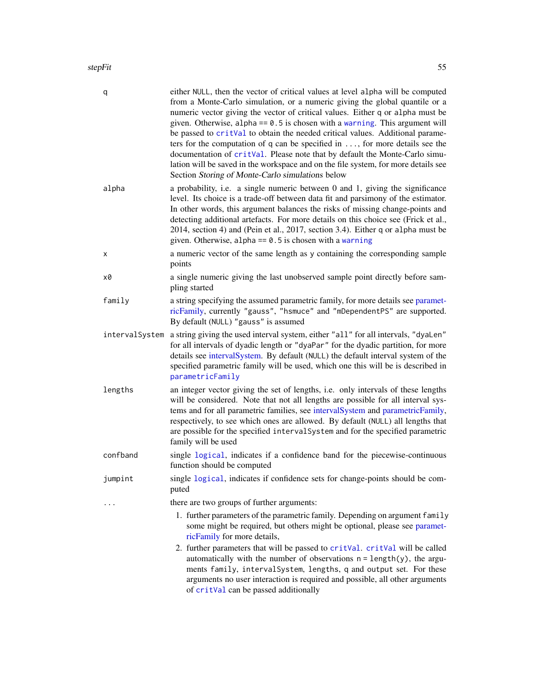#### <span id="page-54-0"></span>stepFit 55

| q              | either NULL, then the vector of critical values at level alpha will be computed<br>from a Monte-Carlo simulation, or a numeric giving the global quantile or a<br>numeric vector giving the vector of critical values. Either q or alpha must be<br>given. Otherwise, alpha == $0.5$ is chosen with a warning. This argument will<br>be passed to critVal to obtain the needed critical values. Additional parame-<br>ters for the computation of $q$ can be specified in , for more details see the<br>documentation of critVal. Please note that by default the Monte-Carlo simu-<br>lation will be saved in the workspace and on the file system, for more details see<br>Section Storing of Monte-Carlo simulations below |
|----------------|-------------------------------------------------------------------------------------------------------------------------------------------------------------------------------------------------------------------------------------------------------------------------------------------------------------------------------------------------------------------------------------------------------------------------------------------------------------------------------------------------------------------------------------------------------------------------------------------------------------------------------------------------------------------------------------------------------------------------------|
| alpha          | a probability, i.e. a single numeric between 0 and 1, giving the significance<br>level. Its choice is a trade-off between data fit and parsimony of the estimator.<br>In other words, this argument balances the risks of missing change-points and<br>detecting additional artefacts. For more details on this choice see (Frick et al.,<br>2014, section 4) and (Pein et al., 2017, section 3.4). Either q or alpha must be<br>given. Otherwise, alpha == $0.5$ is chosen with a warning                                                                                                                                                                                                                                    |
| х              | a numeric vector of the same length as y containing the corresponding sample<br>points                                                                                                                                                                                                                                                                                                                                                                                                                                                                                                                                                                                                                                        |
| x0             | a single numeric giving the last unobserved sample point directly before sam-<br>pling started                                                                                                                                                                                                                                                                                                                                                                                                                                                                                                                                                                                                                                |
| family         | a string specifying the assumed parametric family, for more details see paramet-<br>ricFamily, currently "gauss", "hsmuce" and "mDependentPS" are supported.<br>By default (NULL) "gauss" is assumed                                                                                                                                                                                                                                                                                                                                                                                                                                                                                                                          |
| intervalSystem | a string giving the used interval system, either "all" for all intervals, "dyaLen"<br>for all intervals of dyadic length or "dyaPar" for the dyadic partition, for more<br>details see intervalSystem. By default (NULL) the default interval system of the<br>specified parametric family will be used, which one this will be is described in<br>parametricFamily                                                                                                                                                                                                                                                                                                                                                           |
| lengths        | an integer vector giving the set of lengths, i.e. only intervals of these lengths<br>will be considered. Note that not all lengths are possible for all interval sys-<br>tems and for all parametric families, see intervalSystem and parametricFamily,<br>respectively, to see which ones are allowed. By default (NULL) all lengths that<br>are possible for the specified interval System and for the specified parametric<br>family will be used                                                                                                                                                                                                                                                                          |
| confband       | single logical, indicates if a confidence band for the piecewise-continuous<br>function should be computed                                                                                                                                                                                                                                                                                                                                                                                                                                                                                                                                                                                                                    |
| jumpint        | single logical, indicates if confidence sets for change-points should be com-<br>puted                                                                                                                                                                                                                                                                                                                                                                                                                                                                                                                                                                                                                                        |
|                | there are two groups of further arguments:                                                                                                                                                                                                                                                                                                                                                                                                                                                                                                                                                                                                                                                                                    |
|                | 1. further parameters of the parametric family. Depending on argument family<br>some might be required, but others might be optional, please see paramet-<br>ricFamily for more details,                                                                                                                                                                                                                                                                                                                                                                                                                                                                                                                                      |
|                | 2. further parameters that will be passed to critVal. critVal will be called<br>automatically with the number of observations $n = length(y)$ , the argu-<br>ments family, intervalSystem, lengths, q and output set. For these<br>arguments no user interaction is required and possible, all other arguments<br>of critVal can be passed additionally                                                                                                                                                                                                                                                                                                                                                                       |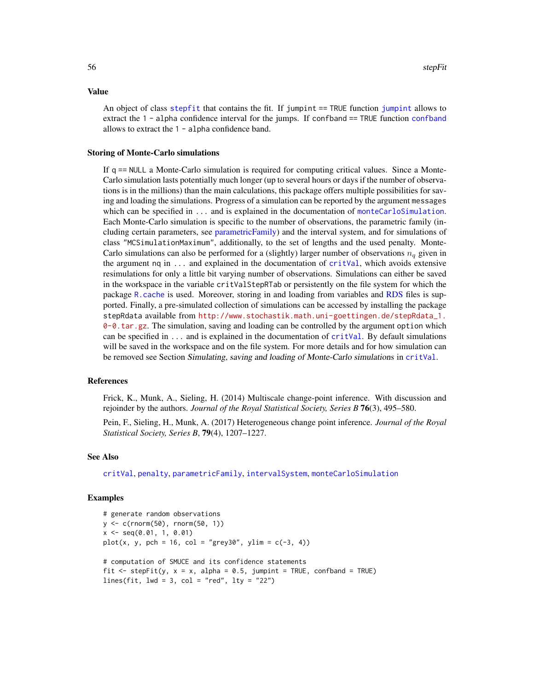An object of class [stepfit](#page-56-1) that contains the fit. If [jumpint](#page-31-1) == TRUE function jumpint allows to extract the 1 - alpha confidence interval for the jumps. If [confband](#page-31-2) == TRUE function confband allows to extract the 1 - alpha confidence band.

#### Storing of Monte-Carlo simulations

If q == NULL a Monte-Carlo simulation is required for computing critical values. Since a Monte-Carlo simulation lasts potentially much longer (up to several hours or days if the number of observations is in the millions) than the main calculations, this package offers multiple possibilities for saving and loading the simulations. Progress of a simulation can be reported by the argument messages which can be specified in ... and is explained in the documentation of [monteCarloSimulation](#page-33-1). Each Monte-Carlo simulation is specific to the number of observations, the parametric family (including certain parameters, see [parametricFamily\)](#page-40-1) and the interval system, and for simulations of class "MCSimulationMaximum", additionally, to the set of lengths and the used penalty. Monte-Carlo simulations can also be performed for a (slightly) larger number of observations  $n_q$  given in the argument  $nq$  in  $\dots$  and explained in the documentation of  $critVal$ , which avoids extensive resimulations for only a little bit varying number of observations. Simulations can either be saved in the workspace in the variable critValStepRTab or persistently on the file system for which the package [R.cache](#page-0-0) is used. Moreover, storing in and loading from variables and [RDS](#page-0-0) files is supported. Finally, a pre-simulated collection of simulations can be accessed by installing the package stepRdata available from [http://www.stochastik.math.uni-goettingen.de/stepRdata\\_1.](http://www.stochastik.math.uni-goettingen.de/stepRdata_1.0-0.tar.gz) [0-0.tar.gz](http://www.stochastik.math.uni-goettingen.de/stepRdata_1.0-0.tar.gz). The simulation, saving and loading can be controlled by the argument option which can be specified in  $\dots$  and is explained in the documentation of  $critVal$ . By default simulations will be saved in the workspace and on the file system. For more details and for how simulation can be removed see Section Simulating, saving and loading of Monte-Carlo simulations in [critVal](#page-18-1).

#### References

Frick, K., Munk, A., Sieling, H. (2014) Multiscale change-point inference. With discussion and rejoinder by the authors. *Journal of the Royal Statistical Society, Series B* 76(3), 495–580.

Pein, F., Sieling, H., Munk, A. (2017) Heterogeneous change point inference. *Journal of the Royal Statistical Society, Series B*, 79(4), 1207–1227.

#### See Also

[critVal](#page-18-1), [penalty](#page-43-1), [parametricFamily](#page-40-1), [intervalSystem](#page-28-1), [monteCarloSimulation](#page-33-1)

#### Examples

```
# generate random observations
y <- c(rnorm(50), rnorm(50, 1))
x <- seq(0.01, 1, 0.01)
plot(x, y, pch = 16, col = "grey30", ylim = c(-3, 4))# computation of SMUCE and its confidence statements
fit \le stepFit(y, x = x, alpha = 0.5, jumpint = TRUE, confband = TRUE)
lines(fit, lwd = 3, col = "red", lty = "22")
```
#### <span id="page-55-0"></span>Value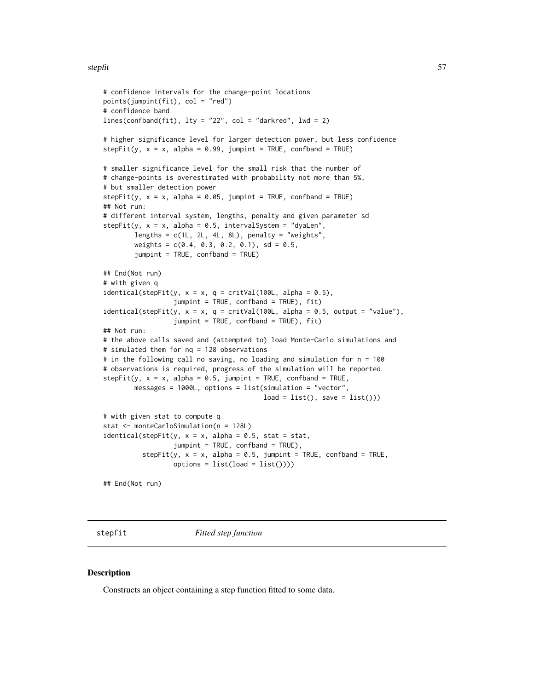#### <span id="page-56-0"></span>stepfit 57

```
# confidence intervals for the change-point locations
points(jumpint(fit), col = "red")
# confidence band
lines(confband(fit), lty = "22", col = "darkred", lwd = 2)# higher significance level for larger detection power, but less confidence
stepFit(y, x = x, alpha = 0.99, jumpint = TRUE, confband = TRUE)# smaller significance level for the small risk that the number of
# change-points is overestimated with probability not more than 5%,
# but smaller detection power
stepFit(y, x = x, alpha = 0.05, jumpint = TRUE, confband = TRUE)## Not run:
# different interval system, lengths, penalty and given parameter sd
stepFit(y, x = x, alpha = 0.5, intervalSystem = "dyalen",lengths = c(1L, 2L, 4L, 8L), penalty = "weights",
        weights = c(0.4, 0.3, 0.2, 0.1), sd = 0.5,
        jumpint = TRUE, confband = TRUE)
## End(Not run)
# with given q
identical(stepFit(y, x = x, q = critVal(100L, alpha = 0.5),
                  jumpint = TRUE, confband = TRUE), fit)
identical(stepFit(y, x = x, q = critVal(100L, alpha = 0.5, output = "value"),jumpint = TRUE, confband = TRUE), fit)
## Not run:
# the above calls saved and (attempted to) load Monte-Carlo simulations and
# simulated them for nq = 128 observations
# in the following call no saving, no loading and simulation for n = 100
# observations is required, progress of the simulation will be reported
stepFit(y, x = x, alpha = 0.5, jumpint = TRUE, confband = TRUE,messages = 1000L, options = list(simulation = "vector",
                                         load = list(), save = list())# with given stat to compute q
stat <- monteCarloSimulation(n = 128L)
identical(stepFit(y, x = x, alpha = 0.5, stat = stat,jumpint = TRUE, confband = TRUE),
          stepFit(y, x = x, alpha = 0.5, jumpint = TRUE, confband = TRUE,options = list(long = list())## End(Not run)
```
<span id="page-56-1"></span>stepfit *Fitted step function*

#### **Description**

Constructs an object containing a step function fitted to some data.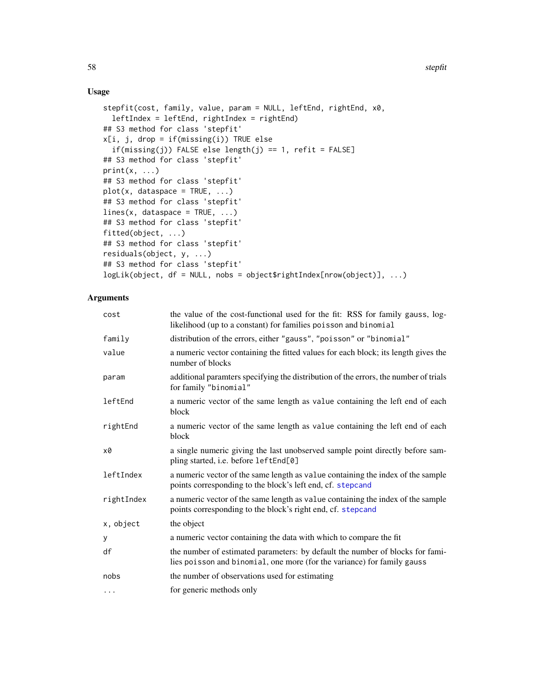# Usage

```
stepfit(cost, family, value, param = NULL, leftEnd, rightEnd, x0,
 leftIndex = leftEnd, rightIndex = rightEnd)
## S3 method for class 'stepfit'
x[i, j, drop = if(missing(i)) TRUE else
  if(missing(j)) FALSE else length(j) == 1, refit = FALSE]
## S3 method for class 'stepfit'
print(x, \ldots)## S3 method for class 'stepfit'
plot(x, database = TRUE, ...)## S3 method for class 'stepfit'
lines(x, data space = TRUE, ...)## S3 method for class 'stepfit'
fitted(object, ...)
## S3 method for class 'stepfit'
residuals(object, y, ...)
## S3 method for class 'stepfit'
logLik(object, df = NULL, nobs = object$rightIndex[nrow(object)], ...)
```
# Arguments

| cost       | the value of the cost-functional used for the fit: RSS for family gauss, log-<br>likelihood (up to a constant) for families poisson and binomial         |
|------------|----------------------------------------------------------------------------------------------------------------------------------------------------------|
| family     | distribution of the errors, either "gauss", "poisson" or "binomial"                                                                                      |
| value      | a numeric vector containing the fitted values for each block; its length gives the<br>number of blocks                                                   |
| param      | additional paramters specifying the distribution of the errors, the number of trials<br>for family "binomial"                                            |
| leftEnd    | a numeric vector of the same length as value containing the left end of each<br>block                                                                    |
| rightEnd   | a numeric vector of the same length as value containing the left end of each<br>block                                                                    |
| x0         | a single numeric giving the last unobserved sample point directly before sam-<br>pling started, i.e. before leftEnd[0]                                   |
| leftIndex  | a numeric vector of the same length as value containing the index of the sample<br>points corresponding to the block's left end, cf. stepcand            |
| rightIndex | a numeric vector of the same length as value containing the index of the sample<br>points corresponding to the block's right end, cf. stepcand           |
| x, object  | the object                                                                                                                                               |
| у          | a numeric vector containing the data with which to compare the fit                                                                                       |
| df         | the number of estimated parameters: by default the number of blocks for fami-<br>lies poisson and binomial, one more (for the variance) for family gauss |
| nobs       | the number of observations used for estimating                                                                                                           |
| $\cdots$   | for generic methods only                                                                                                                                 |

<span id="page-57-0"></span>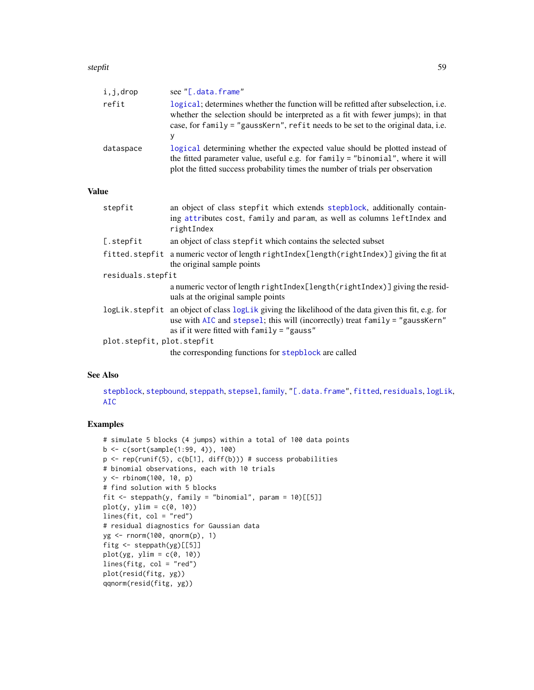#### <span id="page-58-0"></span>stepfit 59 September 2014 1996 Stephen 2014 1997 Stephen 2014 1997 Stephen 2014 1997 Stephen 2014 1997 Stephen 2014

|                   | i,j,drop                   | see "[.data.frame"                                                                                                                                                                                                                                                    |
|-------------------|----------------------------|-----------------------------------------------------------------------------------------------------------------------------------------------------------------------------------------------------------------------------------------------------------------------|
|                   | refit                      | logical; determines whether the function will be refitted after subselection, <i>i.e.</i><br>whether the selection should be interpreted as a fit with fewer jumps); in that<br>case, for family = "gaussKern", refit needs to be set to the original data, i.e.<br>у |
|                   | dataspace                  | logical determining whether the expected value should be plotted instead of<br>the fitted parameter value, useful e.g. for family = "binomial", where it will<br>plot the fitted success probability times the number of trials per observation                       |
| <b>Value</b>      |                            |                                                                                                                                                                                                                                                                       |
|                   | stepfit                    | an object of class stepfit which extends stepblock, additionally contain-<br>ing attributes cost, family and param, as well as columns leftIndex and<br>rightIndex                                                                                                    |
|                   | [.stepfit                  | an object of class stepfit which contains the selected subset                                                                                                                                                                                                         |
|                   |                            | fitted.stepfit a numeric vector of length rightIndex[length(rightIndex)] giving the fit at<br>the original sample points                                                                                                                                              |
| residuals.stepfit |                            |                                                                                                                                                                                                                                                                       |
|                   |                            | a numeric vector of length rightIndex[length(rightIndex)] giving the resid-<br>uals at the original sample points                                                                                                                                                     |
|                   |                            | logLik.stepfit an object of class logLik giving the likelihood of the data given this fit, e.g. for<br>use with AIC and stepsel; this will (incorrectly) treat family = "gaussKern"<br>as if it were fitted with $family = "gauss"$                                   |
|                   | plot.stepfit, plot.stepfit |                                                                                                                                                                                                                                                                       |
|                   |                            | the corresponding functions for stepblock are called                                                                                                                                                                                                                  |

#### See Also

[stepblock](#page-48-1), [stepbound](#page-50-1), [steppath](#page-59-1), [stepsel](#page-61-1), [family,](#page-27-1) ["\[.data.frame"](#page-0-0), [fitted](#page-0-0), [residuals](#page-0-0), [logLik](#page-0-0), [AIC](#page-0-0)

```
# simulate 5 blocks (4 jumps) within a total of 100 data points
b <- c(sort(sample(1:99, 4)), 100)
p \leftarrow rep(runif(5), c(b[1], diff(b))) # success probabilities
# binomial observations, each with 10 trials
y <- rbinom(100, 10, p)
# find solution with 5 blocks
fit \le steppath(y, family = "binomial", param = 10)[[5]]
plot(y, ylim = c(0, 10))lines(fit, col = "red")
# residual diagnostics for Gaussian data
yg <- rnorm(100, qnorm(p), 1)
fitg <- steppath(yg)[[5]]
plot(yg, ylim = c(0, 10))lines(fitg, col = "red")
plot(resid(fitg, yg))
qqnorm(resid(fitg, yg))
```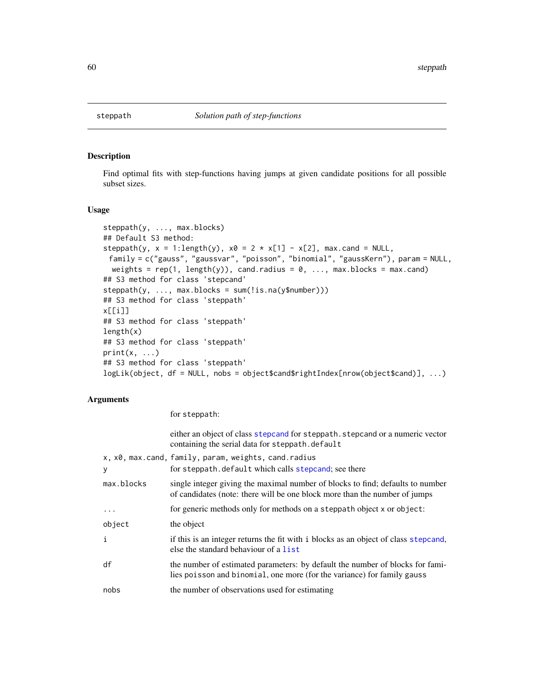<span id="page-59-1"></span><span id="page-59-0"></span>

#### <span id="page-59-2"></span>Description

Find optimal fits with step-functions having jumps at given candidate positions for all possible subset sizes.

#### Usage

```
steppath(y, ..., max.blocks)
## Default S3 method:
steppath(y, x = 1:length(y), x0 = 2 \times x[1] - x[2], max.cand = NULL,
 family = c("gauss", "gaussvar", "poisson", "binomial", "gaussKern"), param = NULL,
 weights = rep(1, length(y)), cand.radius = \theta, ..., max.blocks = max.cand)
## S3 method for class 'stepcand'
steppath(y, ..., max.blocks = sum(!is.na(y$number)))
## S3 method for class 'steppath'
x[[i]]
## S3 method for class 'steppath'
length(x)
## S3 method for class 'steppath'
print(x, \ldots)## S3 method for class 'steppath'
logLik(object, df = NULL, nobs = object$cand$rightIndex[nrow(object$cand)], ...)
```
#### Arguments

for steppath:

|            | either an object of class stepcand for steppath. stepcand or a numeric vector<br>containing the serial data for steppath. default                            |
|------------|--------------------------------------------------------------------------------------------------------------------------------------------------------------|
| y          | x, x0, max.cand, family, param, weights, cand.radius<br>for steppath. default which calls stepcand; see there                                                |
| max.blocks | single integer giving the maximal number of blocks to find; defaults to number<br>of candidates (note: there will be one block more than the number of jumps |
| $\ddots$   | for generic methods only for methods on a steppath object x or object:                                                                                       |
| object     | the object                                                                                                                                                   |
| i          | if this is an integer returns the fit with i blocks as an object of class stepcand,<br>else the standard behaviour of a list                                 |
| df         | the number of estimated parameters: by default the number of blocks for fami-<br>lies poisson and binomial, one more (for the variance) for family gauss     |
| nobs       | the number of observations used for estimating                                                                                                               |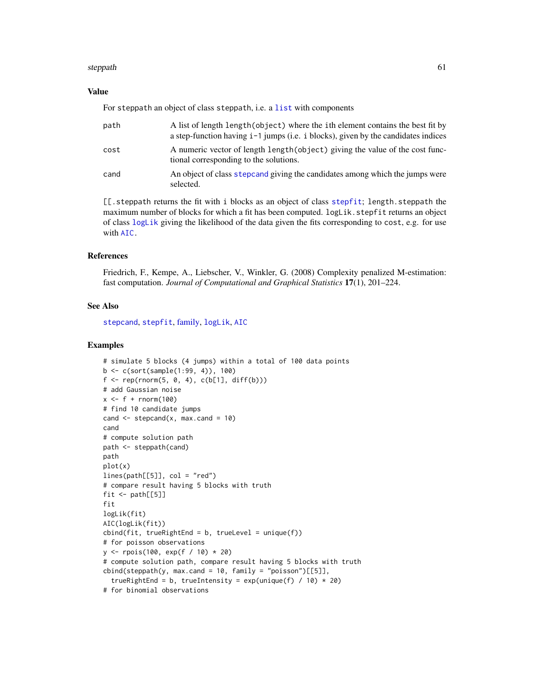#### <span id="page-60-0"></span>steppath 61

#### Value

For steppath an object of class steppath, i.e. a [list](#page-0-0) with components

| path | A list of length length (object) where the ith element contains the best fit by<br>a step-function having $i-1$ jumps (i.e. i blocks), given by the candidates indices |
|------|------------------------------------------------------------------------------------------------------------------------------------------------------------------------|
| cost | A numeric vector of length length (object) giving the value of the cost func-<br>tional corresponding to the solutions.                                                |
| cand | An object of class stepcand giving the candidates among which the jumps were<br>selected.                                                                              |

[[.steppath returns the fit with i blocks as an object of class [stepfit](#page-56-1); length.steppath the maximum number of blocks for which a fit has been computed.  $logLik$ . stepfit returns an object of class [logLik](#page-0-0) giving the likelihood of the data given the fits corresponding to cost, e.g. for use with [AIC.](#page-0-0)

# References

Friedrich, F., Kempe, A., Liebscher, V., Winkler, G. (2008) Complexity penalized M-estimation: fast computation. *Journal of Computational and Graphical Statistics* 17(1), 201–224.

#### See Also

[stepcand](#page-51-1), [stepfit](#page-56-1), [family,](#page-27-1) [logLik](#page-0-0), [AIC](#page-0-0)

```
# simulate 5 blocks (4 jumps) within a total of 100 data points
b \leq c (sort(sample(1:99, 4)), 100)
f \leftarrow rep(rnorm(5, 0, 4), c(b[1], diff(b)))# add Gaussian noise
x \leq-f + \text{norm}(100)# find 10 candidate jumps
cand \le stepcand(x, max.cand = 10)
cand
# compute solution path
path <- steppath(cand)
path
plot(x)
lines(path[[5]], col = "red")# compare result having 5 blocks with truth
fit \leftarrow path[[5]]
fit
logLik(fit)
AIC(logLik(fit))
cbind(fit, trueRightEnd = b, trueLevel = unique(f))# for poisson observations
y <- rpois(100, exp(f / 10) * 20)
# compute solution path, compare result having 5 blocks with truth
cbind(steppath(y, max.cand = 10, family = "poisson")[[5]],
  trueRightEnd = b, trueIntensity = exp(unique(f) / 10) * 20)# for binomial observations
```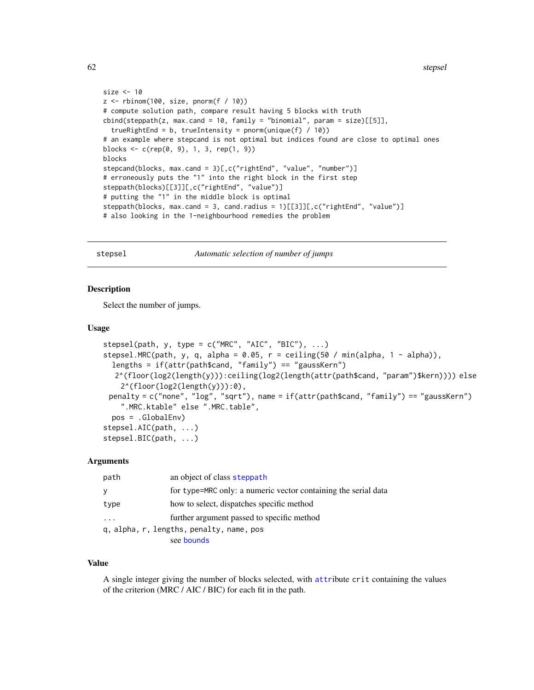```
size <- 10
z <- rbinom(100, size, pnorm(f / 10))
# compute solution path, compare result having 5 blocks with truth
\text{cbind}(\text{steppath}(z, \text{max.cand} = 10, \text{ family} = \text{"binomial", } \text{param} = \text{size}) [[5]],
  trueRightEnd = b, trueIntensity = pnorm(unique(f) / 10))
# an example where stepcand is not optimal but indices found are close to optimal ones
blocks <- c(rep(0, 9), 1, 3, rep(1, 9))
blocks
stepcand(blocks, max.cand = 3)[,c("rightEnd", "value", "number")]
# erroneously puts the "1" into the right block in the first step
steppath(blocks)[[3]][,c("rightEnd", "value")]
# putting the "1" in the middle block is optimal
steppath(blocks, max.cand = 3, cand.radius = 1)[[3]][,c("rightEnd", "value")]
# also looking in the 1-neighbourhood remedies the problem
```
<span id="page-61-1"></span>stepsel *Automatic selection of number of jumps*

# **Description**

Select the number of jumps.

#### Usage

```
stepsel(path, y, type = c("MRC", "AIC", "BIC"), ...)
stepsel.MRC(path, y, q, alpha = 0.05, r = ceiling(50 / min(alpha, 1 - alpha)),
  lengths = if(attr(pathScand, "family") == "gaussKern")2^(floor(log2(length(y))):ceiling(log2(length(attr(path$cand, "param")$kern)))) else
    2^{\wedge}(\text{floor}(\text{log}2(\text{length}(y))):0),penalty = c("none", "log", "sqrt"), name = if(attr(path$cand, "family") == "gaussKern")
    ".MRC.ktable" else ".MRC.table",
  pos = .GlobalEnv)
stepsel.AIC(path, ...)
stepsel.BIC(path, ...)
```
#### Arguments

| path | an object of class steppath                                    |
|------|----------------------------------------------------------------|
| У    | for type=MRC only: a numeric vector containing the serial data |
| type | how to select, dispatches specific method                      |
|      | further argument passed to specific method                     |
|      | q, alpha, r, lengths, penalty, name, pos                       |
|      | see bounds                                                     |

#### Value

A single integer giving the number of blocks selected, with [attr](#page-0-0)ibute crit containing the values of the criterion (MRC / AIC / BIC) for each fit in the path.

<span id="page-61-0"></span>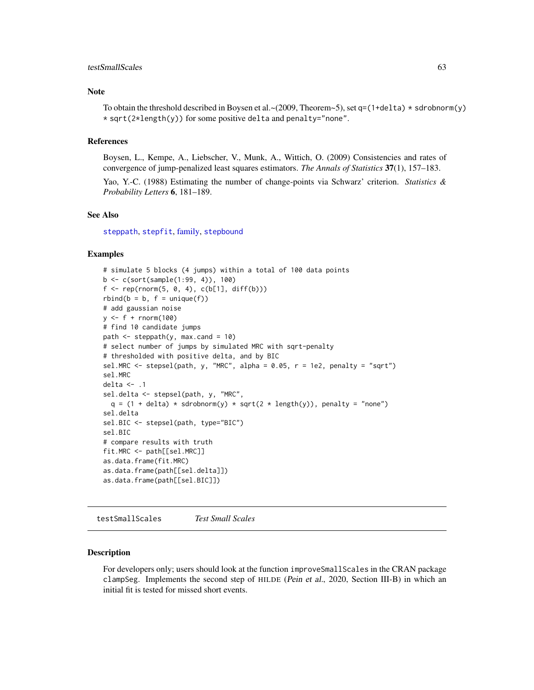#### <span id="page-62-0"></span>testSmallScales 63

#### Note

To obtain the threshold described in Boysen et al. ~ (2009, Theorem~5), set q=(1+delta)  $\star$  sdrobnorm(y) \* sqrt(2\*length(y)) for some positive delta and penalty="none".

#### References

Boysen, L., Kempe, A., Liebscher, V., Munk, A., Wittich, O. (2009) Consistencies and rates of convergence of jump-penalized least squares estimators. *The Annals of Statistics* 37(1), 157–183.

Yao, Y.-C. (1988) Estimating the number of change-points via Schwarz' criterion. *Statistics & Probability Letters* 6, 181–189.

#### See Also

[steppath](#page-59-1), [stepfit](#page-56-1), [family,](#page-27-1) [stepbound](#page-50-1)

#### Examples

```
# simulate 5 blocks (4 jumps) within a total of 100 data points
b <- c(sort(sample(1:99, 4)), 100)
f \leq -\text{rep}(rnorm(5, 0, 4), c(b[1], diff(b)))rbind(b = b, f = unique(f))# add gaussian noise
y \le -f + \text{norm}(100)# find 10 candidate jumps
path \leq steppath(y, max.cand = 10)
# select number of jumps by simulated MRC with sqrt-penalty
# thresholded with positive delta, and by BIC
sel.MRC \le stepsel(path, y, "MRC", alpha = 0.05, r = 1e2, penalty = "sqrt")
sel.MRC
delta \leftarrow .1
sel.delta <- stepsel(path, y, "MRC",
  q = (1 + delta) * sdrobnorm(y) * sqrt(2 * length(y)), penalty = "none")sel.delta
sel.BIC <- stepsel(path, type="BIC")
sel.BIC
# compare results with truth
fit.MRC <- path[[sel.MRC]]
as.data.frame(fit.MRC)
as.data.frame(path[[sel.delta]])
as.data.frame(path[[sel.BIC]])
```
testSmallScales *Test Small Scales*

#### Description

For developers only; users should look at the function improveSmallScales in the CRAN package clampSeg. Implements the second step of HILDE (Pein et al., 2020, Section III-B) in which an initial fit is tested for missed short events.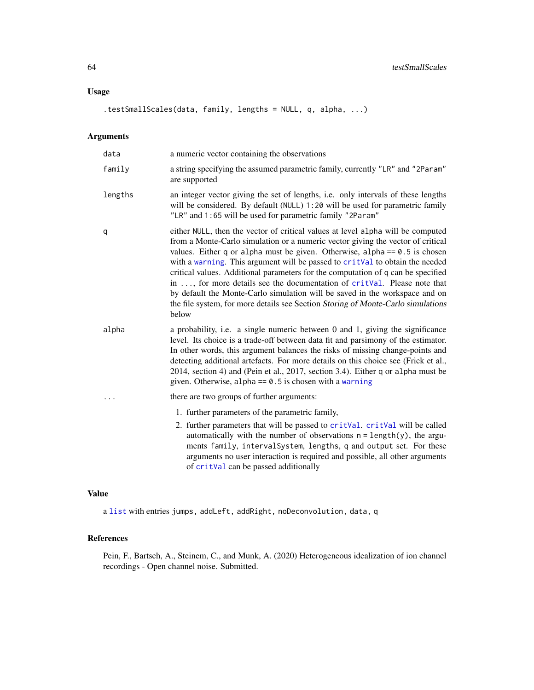# <span id="page-63-0"></span>Usage

.testSmallScales(data, family, lengths = NULL, q, alpha, ...)

# Arguments

| data    | a numeric vector containing the observations                                                                                                                                                                                                                                                                                                                                                                                                                                                                                                                                                                                                                                   |
|---------|--------------------------------------------------------------------------------------------------------------------------------------------------------------------------------------------------------------------------------------------------------------------------------------------------------------------------------------------------------------------------------------------------------------------------------------------------------------------------------------------------------------------------------------------------------------------------------------------------------------------------------------------------------------------------------|
| family  | a string specifying the assumed parametric family, currently "LR" and "2Param"<br>are supported                                                                                                                                                                                                                                                                                                                                                                                                                                                                                                                                                                                |
| lengths | an integer vector giving the set of lengths, i.e. only intervals of these lengths<br>will be considered. By default (NULL) 1:20 will be used for parametric family<br>"LR" and 1:65 will be used for parametric family "2Param"                                                                                                                                                                                                                                                                                                                                                                                                                                                |
| q       | either NULL, then the vector of critical values at level alpha will be computed<br>from a Monte-Carlo simulation or a numeric vector giving the vector of critical<br>values. Either q or alpha must be given. Otherwise, alpha == $0.5$ is chosen<br>with a warning. This argument will be passed to critVal to obtain the needed<br>critical values. Additional parameters for the computation of q can be specified<br>in , for more details see the documentation of critVal. Please note that<br>by default the Monte-Carlo simulation will be saved in the workspace and on<br>the file system, for more details see Section Storing of Monte-Carlo simulations<br>below |
| alpha   | a probability, i.e. a single numeric between 0 and 1, giving the significance<br>level. Its choice is a trade-off between data fit and parsimony of the estimator.<br>In other words, this argument balances the risks of missing change-points and<br>detecting additional artefacts. For more details on this choice see (Frick et al.,<br>2014, section 4) and (Pein et al., 2017, section 3.4). Either q or alpha must be<br>given. Otherwise, alpha $== 0.5$ is chosen with a warning                                                                                                                                                                                     |
|         | there are two groups of further arguments:                                                                                                                                                                                                                                                                                                                                                                                                                                                                                                                                                                                                                                     |
|         | 1. further parameters of the parametric family,                                                                                                                                                                                                                                                                                                                                                                                                                                                                                                                                                                                                                                |
|         | 2. further parameters that will be passed to critVal. critVal will be called<br>automatically with the number of observations $n = length(y)$ , the argu-<br>ments family, intervalSystem, lengths, q and output set. For these<br>arguments no user interaction is required and possible, all other arguments<br>of critVal can be passed additionally                                                                                                                                                                                                                                                                                                                        |

# Value

a [list](#page-0-0) with entries jumps, addLeft, addRight, noDeconvolution, data, q

# References

Pein, F., Bartsch, A., Steinem, C., and Munk, A. (2020) Heterogeneous idealization of ion channel recordings - Open channel noise. Submitted.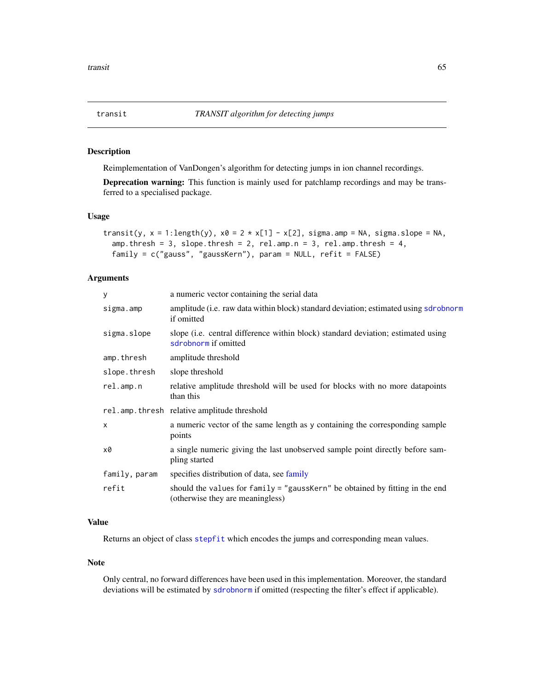<span id="page-64-1"></span><span id="page-64-0"></span>

#### Description

Reimplementation of VanDongen's algorithm for detecting jumps in ion channel recordings.

Deprecation warning: This function is mainly used for patchlamp recordings and may be transferred to a specialised package.

#### Usage

```
transit(y, x = 1:length(y), x0 = 2 \times x[1] - x[2], sigma.amp = NA, sigma.slope = NA,
  amp. thresh = 3, slope.thresh = 2, rel.amp.n = 3, rel.amp.thresh = 4,
  family = c("gauss", "gaussKern"), param = NULL, refit = FALSE)
```
# Arguments

| У             | a numeric vector containing the serial data                                                                      |
|---------------|------------------------------------------------------------------------------------------------------------------|
| sigma.amp     | amplitude (i.e. raw data within block) standard deviation; estimated using sdrobnorm<br>if omitted               |
| sigma.slope   | slope (i.e. central difference within block) standard deviation; estimated using<br>sdrobnorm if omitted         |
| amp.thresh    | amplitude threshold                                                                                              |
| slope.thresh  | slope threshold                                                                                                  |
| relamp.n      | relative amplitude threshold will be used for blocks with no more datapoints<br>than this                        |
|               | rel.amp.thresh relative amplitude threshold                                                                      |
| $\mathsf{x}$  | a numeric vector of the same length as y containing the corresponding sample<br>points                           |
| x0            | a single numeric giving the last unobserved sample point directly before sam-<br>pling started                   |
| family, param | specifies distribution of data, see family                                                                       |
| refit         | should the values for family = "gaussKern" be obtained by fitting in the end<br>(otherwise they are meaningless) |

# Value

Returns an object of class [stepfit](#page-56-1) which encodes the jumps and corresponding mean values.

#### Note

Only central, no forward differences have been used in this implementation. Moreover, the standard deviations will be estimated by [sdrobnorm](#page-45-1) if omitted (respecting the filter's effect if applicable).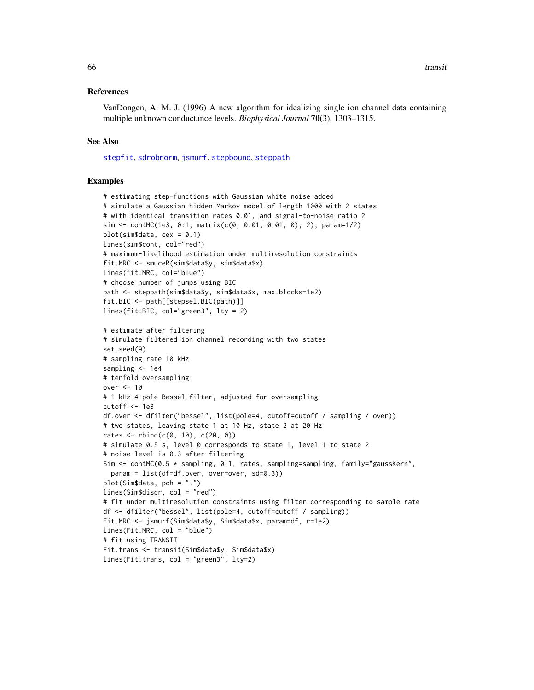#### <span id="page-65-0"></span>References

VanDongen, A. M. J. (1996) A new algorithm for idealizing single ion channel data containing multiple unknown conductance levels. *Biophysical Journal* 70(3), 1303–1315.

#### See Also

[stepfit](#page-56-1), [sdrobnorm](#page-45-1), [jsmurf](#page-29-1), [stepbound](#page-50-1), [steppath](#page-59-1)

```
# estimating step-functions with Gaussian white noise added
# simulate a Gaussian hidden Markov model of length 1000 with 2 states
# with identical transition rates 0.01, and signal-to-noise ratio 2
sim <- contMC(1e3, 0:1, matrix(c(0, 0.01, 0.01, 0), 2), param=1/2)
plot(sim$data, cex = 0.1)lines(sim$cont, col="red")
# maximum-likelihood estimation under multiresolution constraints
fit.MRC <- smuceR(sim$data$y, sim$data$x)
lines(fit.MRC, col="blue")
# choose number of jumps using BIC
path <- steppath(sim$data$y, sim$data$x, max.blocks=1e2)
fit.BIC <- path[[stepsel.BIC(path)]]
lines(fit.BIC, col="green3", lty = 2)
# estimate after filtering
# simulate filtered ion channel recording with two states
set.seed(9)
# sampling rate 10 kHz
sampling <- 1e4
# tenfold oversampling
over <- 10
# 1 kHz 4-pole Bessel-filter, adjusted for oversampling
cutoff <- 1e3
df.over <- dfilter("bessel", list(pole=4, cutoff=cutoff / sampling / over))
# two states, leaving state 1 at 10 Hz, state 2 at 20 Hz
rates \le rbind(c(0, 10), c(20, 0))
# simulate 0.5 s, level 0 corresponds to state 1, level 1 to state 2
# noise level is 0.3 after filtering
Sim <- contMC(0.5 * sampling, 0:1, rates, sampling=sampling, family="gaussKern",
  param = list(df=df.over, over=over, sd=0.3))
plot(Sim$data, pch = ".")
lines(Sim$discr, col = "red")
# fit under multiresolution constraints using filter corresponding to sample rate
df <- dfilter("bessel", list(pole=4, cutoff=cutoff / sampling))
Fit.MRC <- jsmurf(Sim$data$y, Sim$data$x, param=df, r=1e2)
lines(Fit.MRC, col = "blue")
# fit using TRANSIT
Fit.trans <- transit(Sim$data$y, Sim$data$x)
lines(Fit.trans, col = "green3", lty=2)
```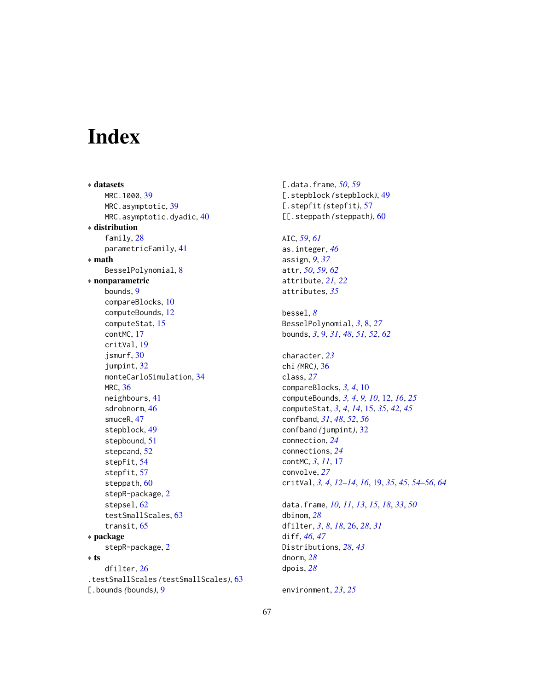# <span id="page-66-0"></span>Index

∗ datasets MRC.1000, [39](#page-38-0) MRC.asymptotic, [39](#page-38-0) MRC.asymptotic.dyadic, [40](#page-39-0) ∗ distribution family, [28](#page-27-0) parametricFamily, [41](#page-40-0) ∗ math BesselPolynomial, [8](#page-7-0) ∗ nonparametric bounds, [9](#page-8-0) compareBlocks, [10](#page-9-0) computeBounds, [12](#page-11-0) computeStat, [15](#page-14-0) contMC, [17](#page-16-0) critVal, [19](#page-18-0) jsmurf, [30](#page-29-0) jumpint, [32](#page-31-0) monteCarloSimulation, [34](#page-33-0) MRC, [36](#page-35-0) neighbours, [41](#page-40-0) sdrobnorm, [46](#page-45-0) smuceR, [47](#page-46-0) stepblock, [49](#page-48-0) stepbound, [51](#page-50-0) stepcand, [52](#page-51-0) stepFit, [54](#page-53-0) stepfit, [57](#page-56-0) steppath, [60](#page-59-0) stepR-package, [2](#page-1-0) stepsel, [62](#page-61-0) testSmallScales, [63](#page-62-0) transit, [65](#page-64-0) ∗ package stepR-package, [2](#page-1-0) ∗ ts dfilter, [26](#page-25-0) .testSmallScales *(*testSmallScales*)*, [63](#page-62-0) [.bounds *(*bounds*)*, [9](#page-8-0)

[.data.frame, *[50](#page-49-0)*, *[59](#page-58-0)* [.stepblock *(*stepblock*)*, [49](#page-48-0) [.stepfit *(*stepfit*)*, [57](#page-56-0) [[.steppath *(*steppath*)*, [60](#page-59-0) AIC, *[59](#page-58-0)*, *[61](#page-60-0)* as.integer, *[46](#page-45-0)* assign, *[9](#page-8-0)*, *[37](#page-36-0)* attr, *[50](#page-49-0)*, *[59](#page-58-0)*, *[62](#page-61-0)* attribute, *[21,](#page-20-0) [22](#page-21-0)* attributes, *[35](#page-34-0)* bessel, *[8](#page-7-0)* BesselPolynomial, *[3](#page-2-0)*, [8,](#page-7-0) *[27](#page-26-0)* bounds, *[3](#page-2-0)*, [9,](#page-8-0) *[31](#page-30-0)*, *[48](#page-47-0)*, *[51,](#page-50-0) [52](#page-51-0)*, *[62](#page-61-0)* character, *[23](#page-22-0)* chi *(*MRC*)*, [36](#page-35-0) class, *[27](#page-26-0)* compareBlocks, *[3,](#page-2-0) [4](#page-3-0)*, [10](#page-9-0) computeBounds, *[3,](#page-2-0) [4](#page-3-0)*, *[9,](#page-8-0) [10](#page-9-0)*, [12,](#page-11-0) *[16](#page-15-0)*, *[25](#page-24-0)* computeStat, *[3,](#page-2-0) [4](#page-3-0)*, *[14](#page-13-0)*, [15,](#page-14-0) *[35](#page-34-0)*, *[42](#page-41-0)*, *[45](#page-44-0)* confband, *[31](#page-30-0)*, *[48](#page-47-0)*, *[52](#page-51-0)*, *[56](#page-55-0)* confband *(*jumpint*)*, [32](#page-31-0) connection, *[24](#page-23-0)* connections, *[24](#page-23-0)* contMC, *[3](#page-2-0)*, *[11](#page-10-0)*, [17](#page-16-0) convolve, *[27](#page-26-0)* critVal, *[3,](#page-2-0) [4](#page-3-0)*, *[12](#page-11-0)[–14](#page-13-0)*, *[16](#page-15-0)*, [19,](#page-18-0) *[35](#page-34-0)*, *[45](#page-44-0)*, *[54](#page-53-0)[–56](#page-55-0)*, *[64](#page-63-0)* data.frame, *[10,](#page-9-0) [11](#page-10-0)*, *[13](#page-12-0)*, *[15](#page-14-0)*, *[18](#page-17-0)*, *[33](#page-32-0)*, *[50](#page-49-0)* dbinom, *[28](#page-27-0)* dfilter, *[3](#page-2-0)*, *[8](#page-7-0)*, *[18](#page-17-0)*, [26,](#page-25-0) *[28](#page-27-0)*, *[31](#page-30-0)* diff, *[46,](#page-45-0) [47](#page-46-0)* Distributions, *[28](#page-27-0)*, *[43](#page-42-0)* dnorm, *[28](#page-27-0)* dpois, *[28](#page-27-0)*

environment, *[23](#page-22-0)*, *[25](#page-24-0)*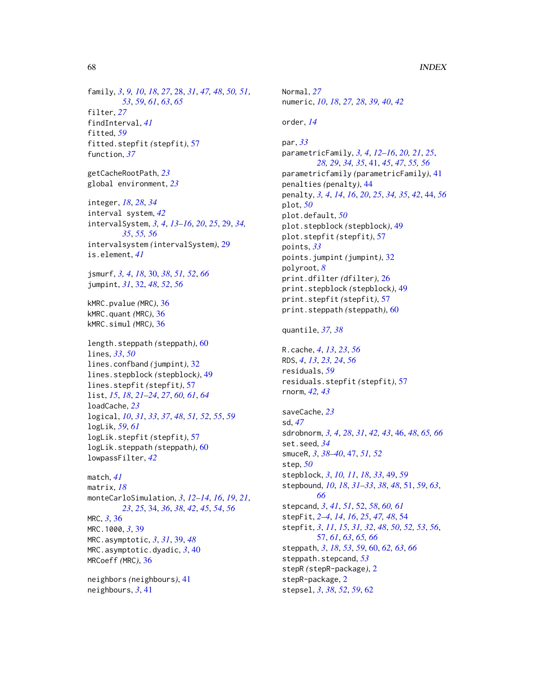family, *[3](#page-2-0)*, *[9,](#page-8-0) [10](#page-9-0)*, *[18](#page-17-0)*, *[27](#page-26-0)*, [28,](#page-27-0) *[31](#page-30-0)*, *[47,](#page-46-0) [48](#page-47-0)*, *[50,](#page-49-0) [51](#page-50-0)*, *[53](#page-52-0)*, *[59](#page-58-0)*, *[61](#page-60-0)*, *[63](#page-62-0)*, *[65](#page-64-0)* filter, *[27](#page-26-0)* findInterval, *[41](#page-40-0)* fitted, *[59](#page-58-0)* fitted.stepfit *(*stepfit*)*, [57](#page-56-0) function, *[37](#page-36-0)*

getCacheRootPath, *[23](#page-22-0)* global environment, *[23](#page-22-0)*

integer, *[18](#page-17-0)*, *[28](#page-27-0)*, *[34](#page-33-0)* interval system, *[42](#page-41-0)* intervalSystem, *[3,](#page-2-0) [4](#page-3-0)*, *[13–](#page-12-0)[16](#page-15-0)*, *[20](#page-19-0)*, *[25](#page-24-0)*, [29,](#page-28-0) *[34,](#page-33-0) [35](#page-34-0)*, *[55,](#page-54-0) [56](#page-55-0)* intervalsystem *(*intervalSystem*)*, [29](#page-28-0) is.element, *[41](#page-40-0)*

jsmurf, *[3,](#page-2-0) [4](#page-3-0)*, *[18](#page-17-0)*, [30,](#page-29-0) *[38](#page-37-0)*, *[51,](#page-50-0) [52](#page-51-0)*, *[66](#page-65-0)* jumpint, *[31](#page-30-0)*, [32,](#page-31-0) *[48](#page-47-0)*, *[52](#page-51-0)*, *[56](#page-55-0)*

kMRC.pvalue *(*MRC*)*, [36](#page-35-0) kMRC.quant *(*MRC*)*, [36](#page-35-0) kMRC.simul *(*MRC*)*, [36](#page-35-0)

length.steppath *(*steppath*)*, [60](#page-59-0) lines, *[33](#page-32-0)*, *[50](#page-49-0)* lines.confband *(*jumpint*)*, [32](#page-31-0) lines.stepblock *(*stepblock*)*, [49](#page-48-0) lines.stepfit *(*stepfit*)*, [57](#page-56-0) list, *[15](#page-14-0)*, *[18](#page-17-0)*, *[21](#page-20-0)[–24](#page-23-0)*, *[27](#page-26-0)*, *[60,](#page-59-0) [61](#page-60-0)*, *[64](#page-63-0)* loadCache, *[23](#page-22-0)* logical, *[10](#page-9-0)*, *[31](#page-30-0)*, *[33](#page-32-0)*, *[37](#page-36-0)*, *[48](#page-47-0)*, *[51,](#page-50-0) [52](#page-51-0)*, *[55](#page-54-0)*, *[59](#page-58-0)* logLik, *[59](#page-58-0)*, *[61](#page-60-0)* logLik.stepfit *(*stepfit*)*, [57](#page-56-0) logLik.steppath *(*steppath*)*, [60](#page-59-0) lowpassFilter, *[42](#page-41-0)*

match, *[41](#page-40-0)* matrix, *[18](#page-17-0)* monteCarloSimulation, *[3](#page-2-0)*, *[12–](#page-11-0)[14](#page-13-0)*, *[16](#page-15-0)*, *[19](#page-18-0)*, *[21](#page-20-0)*, *[23](#page-22-0)*, *[25](#page-24-0)*, [34,](#page-33-0) *[36](#page-35-0)*, *[38](#page-37-0)*, *[42](#page-41-0)*, *[45](#page-44-0)*, *[54](#page-53-0)*, *[56](#page-55-0)* MRC, *[3](#page-2-0)*, [36](#page-35-0) MRC.1000, *[3](#page-2-0)*, [39](#page-38-0) MRC.asymptotic, *[3](#page-2-0)*, *[31](#page-30-0)*, [39,](#page-38-0) *[48](#page-47-0)* MRC.asymptotic.dyadic, *[3](#page-2-0)*, [40](#page-39-0) MRCoeff *(*MRC*)*, [36](#page-35-0)

neighbors *(*neighbours*)*, [41](#page-40-0) neighbours, *[3](#page-2-0)*, [41](#page-40-0)

Normal, *[27](#page-26-0)* numeric, *[10](#page-9-0)*, *[18](#page-17-0)*, *[27,](#page-26-0) [28](#page-27-0)*, *[39,](#page-38-0) [40](#page-39-0)*, *[42](#page-41-0)* order, *[14](#page-13-0)* par, *[33](#page-32-0)* parametricFamily, *[3,](#page-2-0) [4](#page-3-0)*, *[12](#page-11-0)[–16](#page-15-0)*, *[20,](#page-19-0) [21](#page-20-0)*, *[25](#page-24-0)*, *[28,](#page-27-0) [29](#page-28-0)*, *[34,](#page-33-0) [35](#page-34-0)*, [41,](#page-40-0) *[45](#page-44-0)*, *[47](#page-46-0)*, *[55,](#page-54-0) [56](#page-55-0)* parametricfamily *(*parametricFamily*)*, [41](#page-40-0) penalties *(*penalty*)*, [44](#page-43-0) penalty, *[3,](#page-2-0) [4](#page-3-0)*, *[14](#page-13-0)*, *[16](#page-15-0)*, *[20](#page-19-0)*, *[25](#page-24-0)*, *[34,](#page-33-0) [35](#page-34-0)*, *[42](#page-41-0)*, [44,](#page-43-0) *[56](#page-55-0)* plot, *[50](#page-49-0)* plot.default, *[50](#page-49-0)* plot.stepblock *(*stepblock*)*, [49](#page-48-0) plot.stepfit *(*stepfit*)*, [57](#page-56-0) points, *[33](#page-32-0)* points.jumpint *(*jumpint*)*, [32](#page-31-0) polyroot, *[8](#page-7-0)* print.dfilter *(*dfilter*)*, [26](#page-25-0) print.stepblock *(*stepblock*)*, [49](#page-48-0) print.stepfit *(*stepfit*)*, [57](#page-56-0) print.steppath *(*steppath*)*, [60](#page-59-0) quantile, *[37,](#page-36-0) [38](#page-37-0)* R.cache, *[4](#page-3-0)*, *[13](#page-12-0)*, *[23](#page-22-0)*, *[56](#page-55-0)* RDS, *[4](#page-3-0)*, *[13](#page-12-0)*, *[23,](#page-22-0) [24](#page-23-0)*, *[56](#page-55-0)* residuals, *[59](#page-58-0)* residuals.stepfit *(*stepfit*)*, [57](#page-56-0) rnorm, *[42,](#page-41-0) [43](#page-42-0)* saveCache, *[23](#page-22-0)*

sd, *[47](#page-46-0)* sdrobnorm, *[3,](#page-2-0) [4](#page-3-0)*, *[28](#page-27-0)*, *[31](#page-30-0)*, *[42,](#page-41-0) [43](#page-42-0)*, [46,](#page-45-0) *[48](#page-47-0)*, *[65,](#page-64-0) [66](#page-65-0)* set.seed, *[34](#page-33-0)* smuceR, *[3](#page-2-0)*, *[38](#page-37-0)[–40](#page-39-0)*, [47,](#page-46-0) *[51,](#page-50-0) [52](#page-51-0)* step, *[50](#page-49-0)* stepblock, *[3](#page-2-0)*, *[10,](#page-9-0) [11](#page-10-0)*, *[18](#page-17-0)*, *[33](#page-32-0)*, [49,](#page-48-0) *[59](#page-58-0)* stepbound, *[10](#page-9-0)*, *[18](#page-17-0)*, *[31](#page-30-0)[–33](#page-32-0)*, *[38](#page-37-0)*, *[48](#page-47-0)*, [51,](#page-50-0) *[59](#page-58-0)*, *[63](#page-62-0)*, *[66](#page-65-0)* stepcand, *[3](#page-2-0)*, *[41](#page-40-0)*, *[51](#page-50-0)*, [52,](#page-51-0) *[58](#page-57-0)*, *[60,](#page-59-0) [61](#page-60-0)* stepFit, *[2](#page-1-0)[–4](#page-3-0)*, *[14](#page-13-0)*, *[16](#page-15-0)*, *[25](#page-24-0)*, *[47,](#page-46-0) [48](#page-47-0)*, [54](#page-53-0) stepfit, *[3](#page-2-0)*, *[11](#page-10-0)*, *[15](#page-14-0)*, *[31,](#page-30-0) [32](#page-31-0)*, *[48](#page-47-0)*, *[50](#page-49-0)*, *[52,](#page-51-0) [53](#page-52-0)*, *[56](#page-55-0)*, [57,](#page-56-0) *[61](#page-60-0)*, *[63](#page-62-0)*, *[65,](#page-64-0) [66](#page-65-0)* steppath, *[3](#page-2-0)*, *[18](#page-17-0)*, *[53](#page-52-0)*, *[59](#page-58-0)*, [60,](#page-59-0) *[62,](#page-61-0) [63](#page-62-0)*, *[66](#page-65-0)* steppath.stepcand, *[53](#page-52-0)* stepR *(*stepR-package*)*, [2](#page-1-0) stepR-package, [2](#page-1-0) stepsel, *[3](#page-2-0)*, *[38](#page-37-0)*, *[52](#page-51-0)*, *[59](#page-58-0)*, [62](#page-61-0)